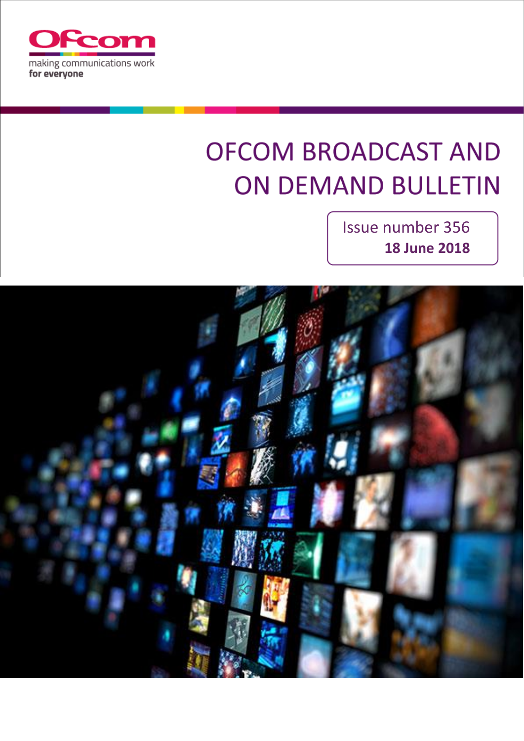

# **OFCOM BROADCAST AND ON DEMAND BULLETIN**

Issue number 356 **18 June 2018**

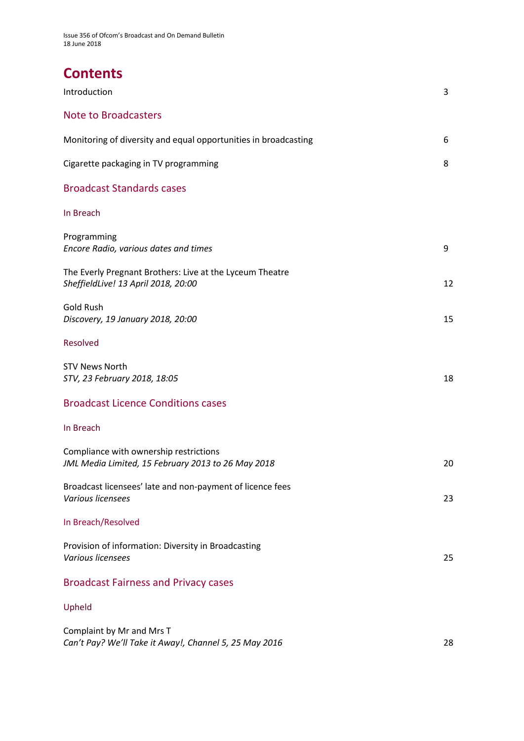# **Contents**

| Introduction                                                                                    | 3  |
|-------------------------------------------------------------------------------------------------|----|
| <b>Note to Broadcasters</b>                                                                     |    |
| Monitoring of diversity and equal opportunities in broadcasting                                 | 6  |
| Cigarette packaging in TV programming                                                           | 8  |
| <b>Broadcast Standards cases</b>                                                                |    |
| In Breach                                                                                       |    |
| Programming<br>Encore Radio, various dates and times                                            | 9  |
| The Everly Pregnant Brothers: Live at the Lyceum Theatre<br>SheffieldLive! 13 April 2018, 20:00 | 12 |
| <b>Gold Rush</b><br>Discovery, 19 January 2018, 20:00                                           | 15 |
| Resolved                                                                                        |    |
| <b>STV News North</b><br>STV, 23 February 2018, 18:05                                           | 18 |
| <b>Broadcast Licence Conditions cases</b>                                                       |    |
| In Breach                                                                                       |    |
| Compliance with ownership restrictions<br>JML Media Limited, 15 February 2013 to 26 May 2018    | 20 |
| Broadcast licensees' late and non-payment of licence fees<br>Various licensees                  | 23 |
| In Breach/Resolved                                                                              |    |
| Provision of information: Diversity in Broadcasting<br>Various licensees                        | 25 |
| <b>Broadcast Fairness and Privacy cases</b>                                                     |    |
| Upheld                                                                                          |    |
| Complaint by Mr and Mrs T                                                                       |    |

*Can't Pay? We'll Take it Away!, Channel 5, 25 May 2016* 28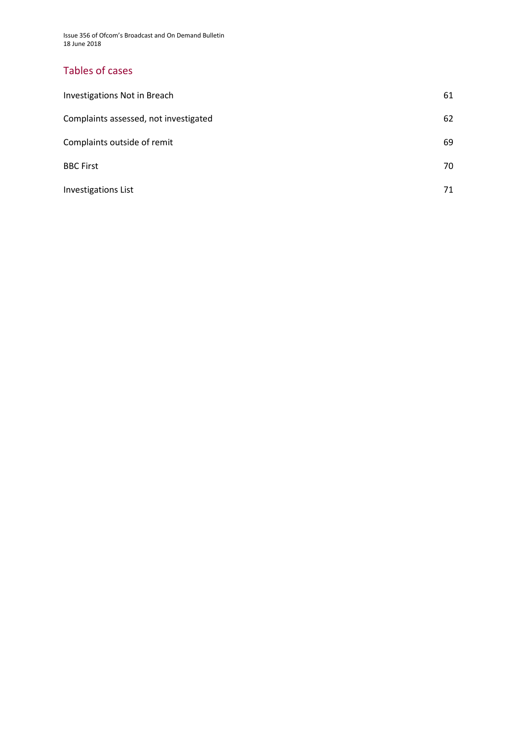Issue 356 of Ofcom's Broadcast and On Demand Bulletin 18 June 2018

### Tables of cases

| Investigations Not in Breach          | 61 |
|---------------------------------------|----|
| Complaints assessed, not investigated | 62 |
| Complaints outside of remit           | 69 |
| <b>BBC First</b>                      | 70 |
| <b>Investigations List</b>            | 71 |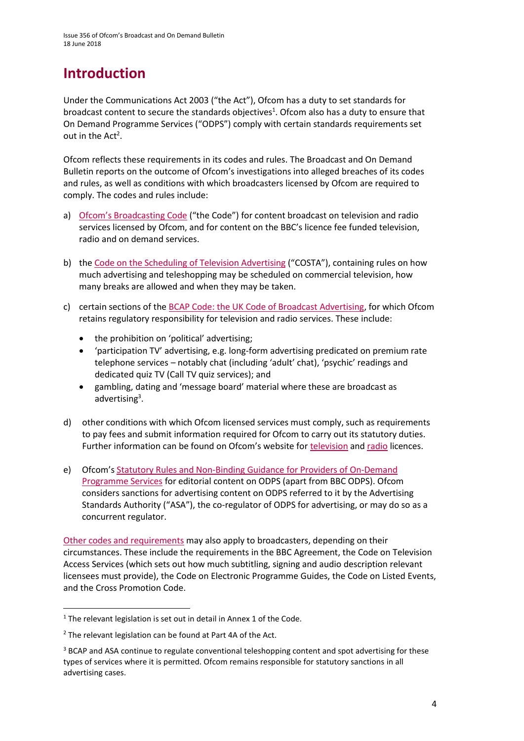# **Introduction**

Under the Communications Act 2003 ("the Act"), Ofcom has a duty to set standards for broadcast content to secure the standards objectives<sup>1</sup>. Ofcom also has a duty to ensure that On Demand Programme Services ("ODPS") comply with certain standards requirements set out in the  $Act^2$ .

Ofcom reflects these requirements in its codes and rules. The Broadcast and On Demand Bulletin reports on the outcome of Ofcom's investigations into alleged breaches of its codes and rules, as well as conditions with which broadcasters licensed by Ofcom are required to comply. The codes and rules include:

- a) [Ofcom's Broadcasting Code](http://stakeholders.ofcom.org.uk/broadcasting/broadcast-codes/broadcast-code/) ("the Code") for content broadcast on television and radio services licensed by Ofcom, and for content on the BBC's licence fee funded television, radio and on demand services.
- b) the [Code on the Scheduling of Television Advertising](https://www.ofcom.org.uk/__data/assets/pdf_file/0014/32162/costa-april-2016.pdf) ("COSTA"), containing rules on how much advertising and teleshopping may be scheduled on commercial television, how many breaks are allowed and when they may be taken.
- c) certain sections of th[e BCAP Code: the UK Code of Broadcast Advertising,](https://www.cap.org.uk/Advertising-Codes/Broadcast.aspx) for which Ofcom retains regulatory responsibility for television and radio services. These include:
	- the prohibition on 'political' advertising;
	- 'participation TV' advertising, e.g. long-form advertising predicated on premium rate telephone services – notably chat (including 'adult' chat), 'psychic' readings and dedicated quiz TV (Call TV quiz services); and
	- gambling, dating and 'message board' material where these are broadcast as advertising<sup>3</sup>.
- d) other conditions with which Ofcom licensed services must comply, such as requirements to pay fees and submit information required for Ofcom to carry out its statutory duties. Further information can be found on Ofcom's website for [television](http://licensing.ofcom.org.uk/tv-broadcast-licences/) and [radio](http://licensing.ofcom.org.uk/radio-broadcast-licensing/) licences.
- e) Ofcom's [Statutory Rules and Non-Binding Guidance for Providers of On-Demand](http://stakeholders.ofcom.org.uk/binaries/broadcast/on-demand/rules-guidance/rules_and_guidance.pdf)  [Programme Services](http://stakeholders.ofcom.org.uk/binaries/broadcast/on-demand/rules-guidance/rules_and_guidance.pdf) for editorial content on ODPS (apart from BBC ODPS). Ofcom considers sanctions for advertising content on ODPS referred to it by the Advertising Standards Authority ("ASA"), the co-regulator of ODPS for advertising, or may do so as a concurrent regulator.

[Other codes and requirements](http://stakeholders.ofcom.org.uk/broadcasting/broadcast-codes/) may also apply to broadcasters, depending on their circumstances. These include the requirements in the BBC Agreement, the Code on Television Access Services (which sets out how much subtitling, signing and audio description relevant licensees must provide), the Code on Electronic Programme Guides, the Code on Listed Events, and the Cross Promotion Code.

**.** 

<sup>&</sup>lt;sup>1</sup> The relevant legislation is set out in detail in Annex 1 of the Code.

<sup>&</sup>lt;sup>2</sup> The relevant legislation can be found at Part 4A of the Act.

<sup>&</sup>lt;sup>3</sup> BCAP and ASA continue to regulate conventional teleshopping content and spot advertising for these types of services where it is permitted. Ofcom remains responsible for statutory sanctions in all advertising cases.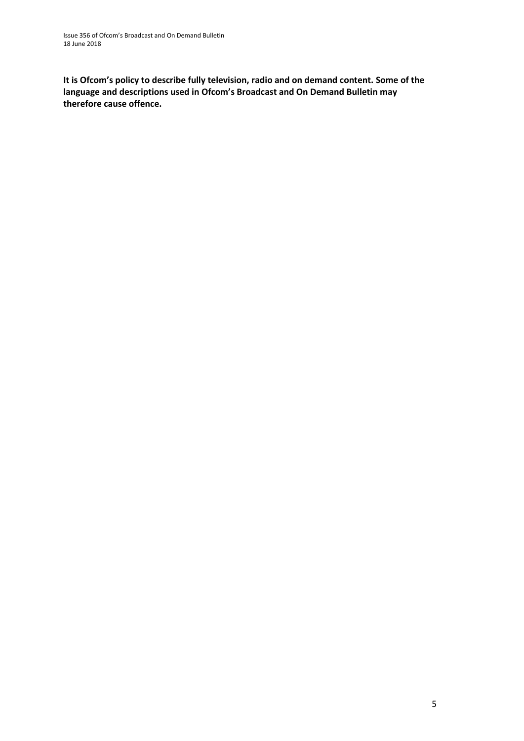**It is Ofcom's policy to describe fully television, radio and on demand content. Some of the language and descriptions used in Ofcom's Broadcast and On Demand Bulletin may therefore cause offence.**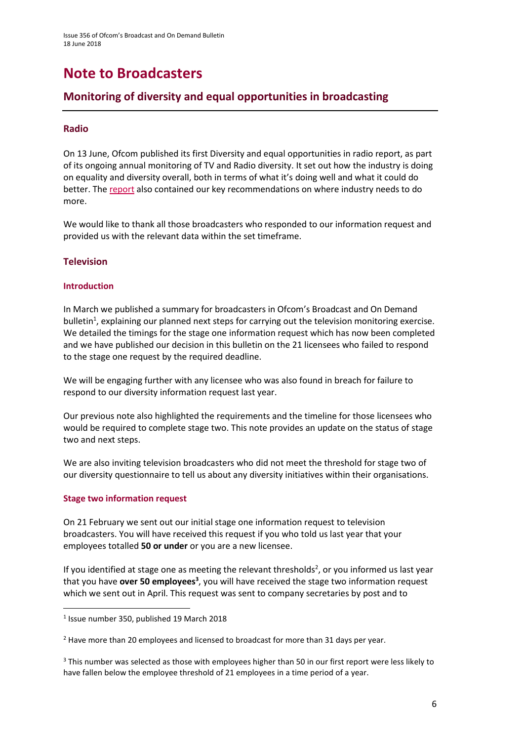# **Note to Broadcasters**

### **Monitoring of diversity and equal opportunities in broadcasting**

### **Radio**

On 13 June, Ofcom published its first Diversity and equal opportunities in radio report, as part of its ongoing annual monitoring of TV and Radio diversity. It set out how the industry is doing on equality and diversity overall, both in terms of what it's doing well and what it could do better. The [report](https://www.ofcom.org.uk/__data/assets/pdf_file/0025/114829/Diversity-in-radio-2018.pdf) also contained our key recommendations on where industry needs to do more.

We would like to thank all those broadcasters who responded to our information request and provided us with the relevant data within the set timeframe.

### **Television**

### **Introduction**

In March we published a summary for broadcasters in Ofcom's Broadcast and On Demand bulletin<sup>1</sup>, explaining our planned next steps for carrying out the television monitoring exercise. We detailed the timings for the stage one information request which has now been completed and we have published our decision in this bulletin on the 21 licensees who failed to respond to the stage one request by the required deadline.

We will be engaging further with any licensee who was also found in breach for failure to respond to our diversity information request last year.

Our previous note also highlighted the requirements and the timeline for those licensees who would be required to complete stage two. This note provides an update on the status of stage two and next steps.

We are also inviting television broadcasters who did not meet the threshold for stage two of our diversity questionnaire to tell us about any diversity initiatives within their organisations.

#### **Stage two information request**

**.** 

On 21 February we sent out our initial stage one information request to television broadcasters. You will have received this request if you who told us last year that your employees totalled **50 or under** or you are a new licensee.

If you identified at stage one as meeting the relevant thresholds<sup>2</sup>, or you informed us last year that you have **over 50 employees<sup>3</sup>,** you will have received the stage two information request which we sent out in April. This request was sent to company secretaries by post and to

<sup>1</sup> Issue number 350, published 19 March 2018

<sup>&</sup>lt;sup>2</sup> Have more than 20 employees and licensed to broadcast for more than 31 days per year.

<sup>&</sup>lt;sup>3</sup> This number was selected as those with employees higher than 50 in our first report were less likely to have fallen below the employee threshold of 21 employees in a time period of a year.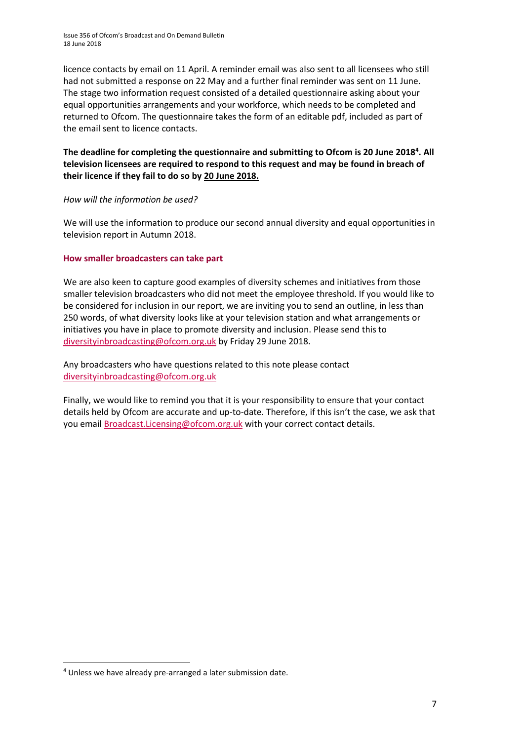Issue 356 of Ofcom's Broadcast and On Demand Bulletin 18 June 2018

licence contacts by email on 11 April. A reminder email was also sent to all licensees who still had not submitted a response on 22 May and a further final reminder was sent on 11 June. The stage two information request consisted of a detailed questionnaire asking about your equal opportunities arrangements and your workforce, which needs to be completed and returned to Ofcom. The questionnaire takes the form of an editable pdf, included as part of the email sent to licence contacts.

### **The deadline for completing the questionnaire and submitting to Ofcom is 20 June 2018<sup>4</sup> . All television licensees are required to respond to this request and may be found in breach of their licence if they fail to do so by 20 June 2018.**

#### *How will the information be used?*

We will use the information to produce our second annual diversity and equal opportunities in television report in Autumn 2018.

#### **How smaller broadcasters can take part**

We are also keen to capture good examples of diversity schemes and initiatives from those smaller television broadcasters who did not meet the employee threshold. If you would like to be considered for inclusion in our report, we are inviting you to send an outline, in less than 250 words, of what diversity looks like at your television station and what arrangements or initiatives you have in place to promote diversity and inclusion. Please send this to [diversityinbroadcasting@ofcom.org.uk](mailto:diversityinbroadcasting@ofcom.org.uk) by Friday 29 June 2018.

Any broadcasters who have questions related to this note please contact [diversityinbroadcasting@ofcom.org.uk](mailto:diversityinbroadcasting@ofcom.org.uk)

Finally, we would like to remind you that it is your responsibility to ensure that your contact details held by Ofcom are accurate and up-to-date. Therefore, if this isn't the case, we ask that you email [Broadcast.Licensing@ofcom.org.uk](mailto:Broadcast.Licensing@ofcom.org.uk) with your correct contact details.

**.** 

<sup>4</sup> Unless we have already pre-arranged a later submission date.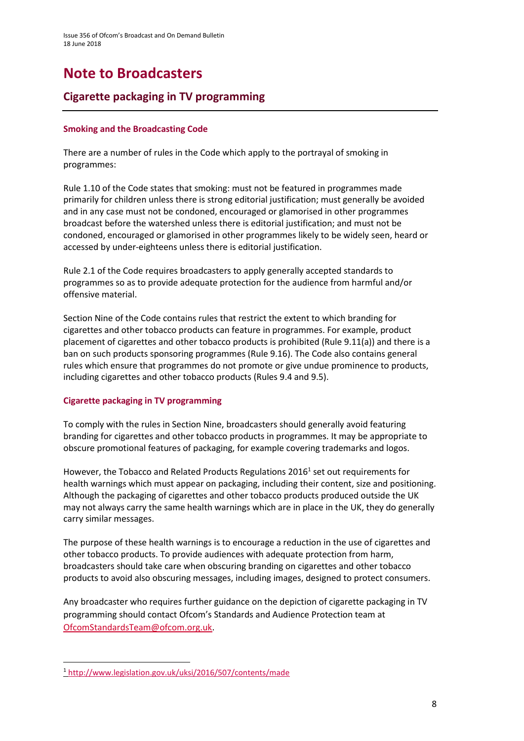# **Note to Broadcasters**

### **Cigarette packaging in TV programming**

### **Smoking and the Broadcasting Code**

There are a number of rules in the Code which apply to the portrayal of smoking in programmes:

Rule 1.10 of the Code states that smoking: must not be featured in programmes made primarily for children unless there is strong editorial justification; must generally be avoided and in any case must not be condoned, encouraged or glamorised in other programmes broadcast before the watershed unless there is editorial justification; and must not be condoned, encouraged or glamorised in other programmes likely to be widely seen, heard or accessed by under-eighteens unless there is editorial justification.

Rule 2.1 of the Code requires broadcasters to apply generally accepted standards to programmes so as to provide adequate protection for the audience from harmful and/or offensive material.

Section Nine of the Code contains rules that restrict the extent to which branding for cigarettes and other tobacco products can feature in programmes. For example, product placement of cigarettes and other tobacco products is prohibited (Rule 9.11(a)) and there is a ban on such products sponsoring programmes (Rule 9.16). The Code also contains general rules which ensure that programmes do not promote or give undue prominence to products, including cigarettes and other tobacco products (Rules 9.4 and 9.5).

### **Cigarette packaging in TV programming**

To comply with the rules in Section Nine, broadcasters should generally avoid featuring branding for cigarettes and other tobacco products in programmes. It may be appropriate to obscure promotional features of packaging, for example covering trademarks and logos.

However, the Tobacco and Related Products Regulations 2016<sup>1</sup> set out requirements for health warnings which must appear on packaging, including their content, size and positioning. Although the packaging of cigarettes and other tobacco products produced outside the UK may not always carry the same health warnings which are in place in the UK, they do generally carry similar messages.

The purpose of these health warnings is to encourage a reduction in the use of cigarettes and other tobacco products. To provide audiences with adequate protection from harm, broadcasters should take care when obscuring branding on cigarettes and other tobacco products to avoid also obscuring messages, including images, designed to protect consumers.

Any broadcaster who requires further guidance on the depiction of cigarette packaging in TV programming should contact Ofcom's Standards and Audience Protection team at [OfcomStandardsTeam@ofcom.org.uk.](mailto:OfcomStandardsTeam@ofcom.org.uk)

**.** 

<sup>1</sup> <http://www.legislation.gov.uk/uksi/2016/507/contents/made>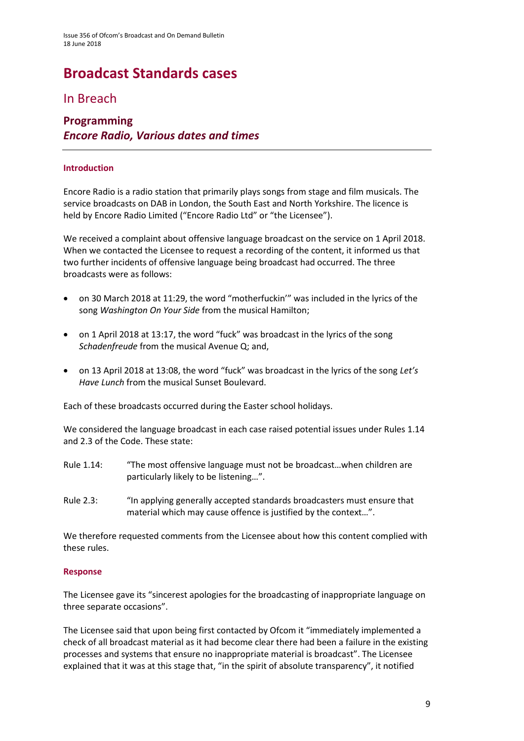# **Broadcast Standards cases**

### In Breach

### **Programming** *Encore Radio, Various dates and times*

### **Introduction**

Encore Radio is a radio station that primarily plays songs from stage and film musicals. The service broadcasts on DAB in London, the South East and North Yorkshire. The licence is held by Encore Radio Limited ("Encore Radio Ltd" or "the Licensee").

We received a complaint about offensive language broadcast on the service on 1 April 2018. When we contacted the Licensee to request a recording of the content, it informed us that two further incidents of offensive language being broadcast had occurred. The three broadcasts were as follows:

- on 30 March 2018 at 11:29, the word "motherfuckin'" was included in the lyrics of the song *Washington On Your Side* from the musical Hamilton;
- on 1 April 2018 at 13:17, the word "fuck" was broadcast in the lyrics of the song *Schadenfreude* from the musical Avenue Q; and,
- on 13 April 2018 at 13:08, the word "fuck" was broadcast in the lyrics of the song *Let's Have Lunch* from the musical Sunset Boulevard.

Each of these broadcasts occurred during the Easter school holidays.

We considered the language broadcast in each case raised potential issues under Rules 1.14 and 2.3 of the Code. These state:

- Rule 1.14: "The most offensive language must not be broadcast…when children are particularly likely to be listening…".
- Rule 2.3: "In applying generally accepted standards broadcasters must ensure that material which may cause offence is justified by the context…".

We therefore requested comments from the Licensee about how this content complied with these rules.

#### **Response**

The Licensee gave its "sincerest apologies for the broadcasting of inappropriate language on three separate occasions".

The Licensee said that upon being first contacted by Ofcom it "immediately implemented a check of all broadcast material as it had become clear there had been a failure in the existing processes and systems that ensure no inappropriate material is broadcast". The Licensee explained that it was at this stage that, "in the spirit of absolute transparency", it notified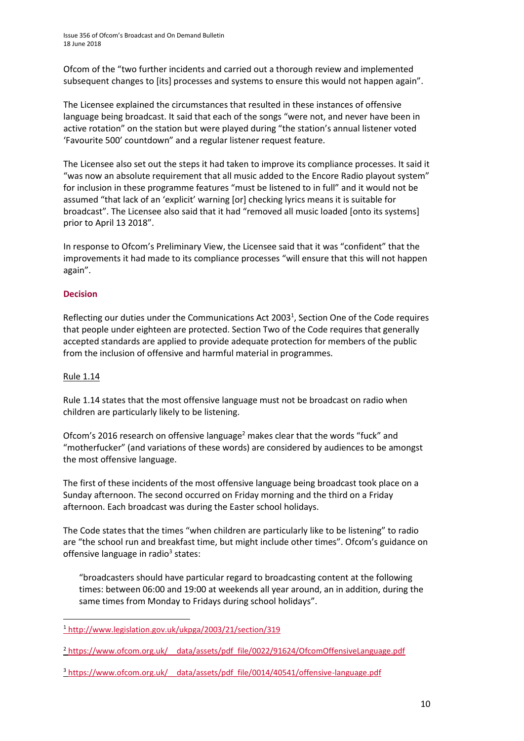Ofcom of the "two further incidents and carried out a thorough review and implemented subsequent changes to [its] processes and systems to ensure this would not happen again".

The Licensee explained the circumstances that resulted in these instances of offensive language being broadcast. It said that each of the songs "were not, and never have been in active rotation" on the station but were played during "the station's annual listener voted 'Favourite 500' countdown" and a regular listener request feature.

The Licensee also set out the steps it had taken to improve its compliance processes. It said it "was now an absolute requirement that all music added to the Encore Radio playout system" for inclusion in these programme features "must be listened to in full" and it would not be assumed "that lack of an 'explicit' warning [or] checking lyrics means it is suitable for broadcast". The Licensee also said that it had "removed all music loaded [onto its systems] prior to April 13 2018".

In response to Ofcom's Preliminary View, the Licensee said that it was "confident" that the improvements it had made to its compliance processes "will ensure that this will not happen again".

### **Decision**

Reflecting our duties under the Communications Act 2003<sup>1</sup>, Section One of the Code requires that people under eighteen are protected. Section Two of the Code requires that generally accepted standards are applied to provide adequate protection for members of the public from the inclusion of offensive and harmful material in programmes.

### Rule 1.14

Rule 1.14 states that the most offensive language must not be broadcast on radio when children are particularly likely to be listening.

Ofcom's 2016 research on offensive language<sup>2</sup> makes clear that the words "fuck" and "motherfucker" (and variations of these words) are considered by audiences to be amongst the most offensive language.

The first of these incidents of the most offensive language being broadcast took place on a Sunday afternoon. The second occurred on Friday morning and the third on a Friday afternoon. Each broadcast was during the Easter school holidays.

The Code states that the times "when children are particularly like to be listening" to radio are "the school run and breakfast time, but might include other times". Ofcom's guidance on offensive language in radio<sup>3</sup> states:

"broadcasters should have particular regard to broadcasting content at the following times: between 06:00 and 19:00 at weekends all year around, an in addition, during the same times from Monday to Fridays during school holidays".

3 https://www.ofcom.org.uk/ data/assets/pdf file/0014/40541/offensive-language.pdf

**<sup>.</sup>** <sup>1</sup> <http://www.legislation.gov.uk/ukpga/2003/21/section/319>

<sup>&</sup>lt;sup>2</sup> https://www.ofcom.org.uk/ data/assets/pdf\_file/0022/91624/OfcomOffensiveLanguage.pdf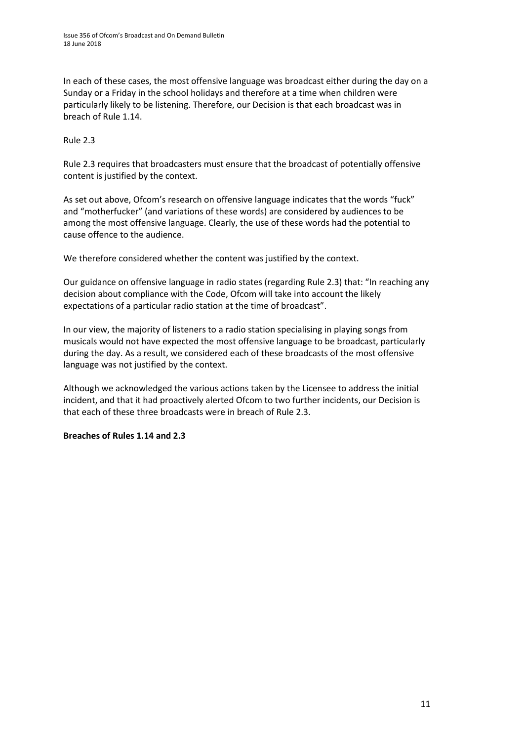In each of these cases, the most offensive language was broadcast either during the day on a Sunday or a Friday in the school holidays and therefore at a time when children were particularly likely to be listening. Therefore, our Decision is that each broadcast was in breach of Rule 1.14.

### Rule 2.3

Rule 2.3 requires that broadcasters must ensure that the broadcast of potentially offensive content is justified by the context.

As set out above, Ofcom's research on offensive language indicates that the words "fuck" and "motherfucker" (and variations of these words) are considered by audiences to be among the most offensive language. Clearly, the use of these words had the potential to cause offence to the audience.

We therefore considered whether the content was justified by the context.

Our guidance on offensive language in radio states (regarding Rule 2.3) that: "In reaching any decision about compliance with the Code, Ofcom will take into account the likely expectations of a particular radio station at the time of broadcast".

In our view, the majority of listeners to a radio station specialising in playing songs from musicals would not have expected the most offensive language to be broadcast, particularly during the day. As a result, we considered each of these broadcasts of the most offensive language was not justified by the context.

Although we acknowledged the various actions taken by the Licensee to address the initial incident, and that it had proactively alerted Ofcom to two further incidents, our Decision is that each of these three broadcasts were in breach of Rule 2.3.

### **Breaches of Rules 1.14 and 2.3**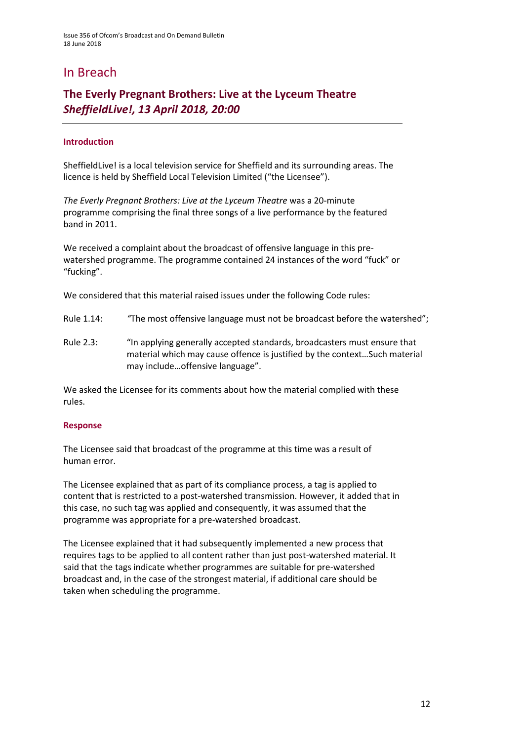### In Breach

### **The Everly Pregnant Brothers: Live at the Lyceum Theatre** *SheffieldLive!, 13 April 2018, 20:00*

### **Introduction**

SheffieldLive! is a local television service for Sheffield and its surrounding areas. The licence is held by Sheffield Local Television Limited ("the Licensee").

*The Everly Pregnant Brothers: Live at the Lyceum Theatre* was a 20-minute programme comprising the final three songs of a live performance by the featured band in 2011.

We received a complaint about the broadcast of offensive language in this prewatershed programme. The programme contained 24 instances of the word "fuck" or "fucking".

We considered that this material raised issues under the following Code rules:

- Rule 1.14: *"*The most offensive language must not be broadcast before the watershed";
- Rule 2.3: "In applying generally accepted standards, broadcasters must ensure that material which may cause offence is justified by the context…Such material may include…offensive language".

We asked the Licensee for its comments about how the material complied with these rules.

#### **Response**

The Licensee said that broadcast of the programme at this time was a result of human error.

The Licensee explained that as part of its compliance process, a tag is applied to content that is restricted to a post-watershed transmission. However, it added that in this case, no such tag was applied and consequently, it was assumed that the programme was appropriate for a pre-watershed broadcast.

The Licensee explained that it had subsequently implemented a new process that requires tags to be applied to all content rather than just post-watershed material. It said that the tags indicate whether programmes are suitable for pre-watershed broadcast and, in the case of the strongest material, if additional care should be taken when scheduling the programme.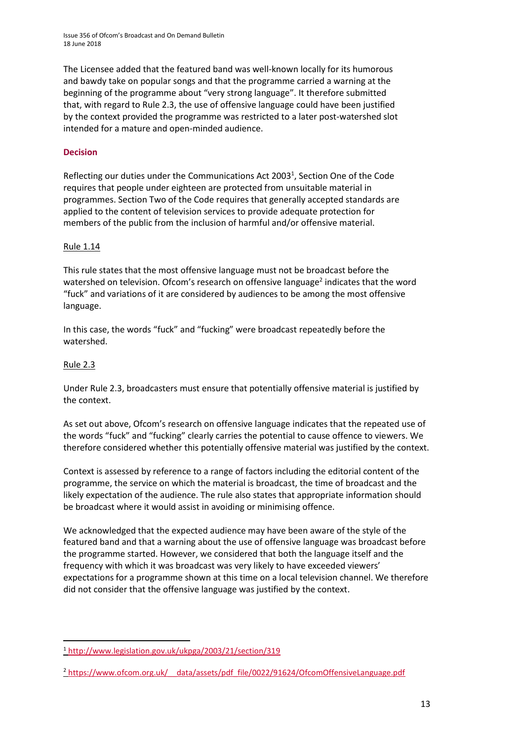Issue 356 of Ofcom's Broadcast and On Demand Bulletin 18 June 2018

The Licensee added that the featured band was well-known locally for its humorous and bawdy take on popular songs and that the programme carried a warning at the beginning of the programme about "very strong language". It therefore submitted that, with regard to Rule 2.3, the use of offensive language could have been justified by the context provided the programme was restricted to a later post-watershed slot intended for a mature and open-minded audience.

### **Decision**

Reflecting our duties under the Communications Act 2003<sup>1</sup>, Section One of the Code requires that people under eighteen are protected from unsuitable material in programmes. Section Two of the Code requires that generally accepted standards are applied to the content of television services to provide adequate protection for members of the public from the inclusion of harmful and/or offensive material.

#### Rule 1.14

This rule states that the most offensive language must not be broadcast before the watershed on television. Ofcom's research on offensive language<sup>2</sup> indicates that the word "fuck" and variations of it are considered by audiences to be among the most offensive language.

In this case, the words "fuck" and "fucking" were broadcast repeatedly before the watershed.

### Rule 2.3

**.** 

Under Rule 2.3, broadcasters must ensure that potentially offensive material is justified by the context.

As set out above, Ofcom's research on offensive language indicates that the repeated use of the words "fuck" and "fucking" clearly carries the potential to cause offence to viewers. We therefore considered whether this potentially offensive material was justified by the context.

Context is assessed by reference to a range of factors including the editorial content of the programme, the service on which the material is broadcast, the time of broadcast and the likely expectation of the audience. The rule also states that appropriate information should be broadcast where it would assist in avoiding or minimising offence.

We acknowledged that the expected audience may have been aware of the style of the featured band and that a warning about the use of offensive language was broadcast before the programme started. However, we considered that both the language itself and the frequency with which it was broadcast was very likely to have exceeded viewers' expectations for a programme shown at this time on a local television channel. We therefore did not consider that the offensive language was justified by the context.

<sup>1</sup> <http://www.legislation.gov.uk/ukpga/2003/21/section/319>

<sup>2</sup> [https://www.ofcom.org.uk/\\_\\_data/assets/pdf\\_file/0022/91624/OfcomOffensiveLanguage.pdf](https://www.ofcom.org.uk/__data/assets/pdf_file/0022/91624/OfcomOffensiveLanguage.pdf)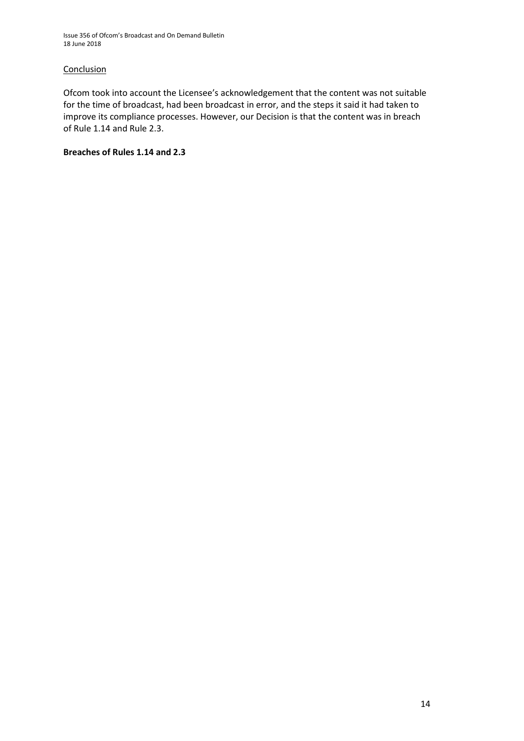Issue 356 of Ofcom's Broadcast and On Demand Bulletin 18 June 2018

### **Conclusion**

Ofcom took into account the Licensee's acknowledgement that the content was not suitable for the time of broadcast, had been broadcast in error, and the steps it said it had taken to improve its compliance processes. However, our Decision is that the content was in breach of Rule 1.14 and Rule 2.3.

### **Breaches of Rules 1.14 and 2.3**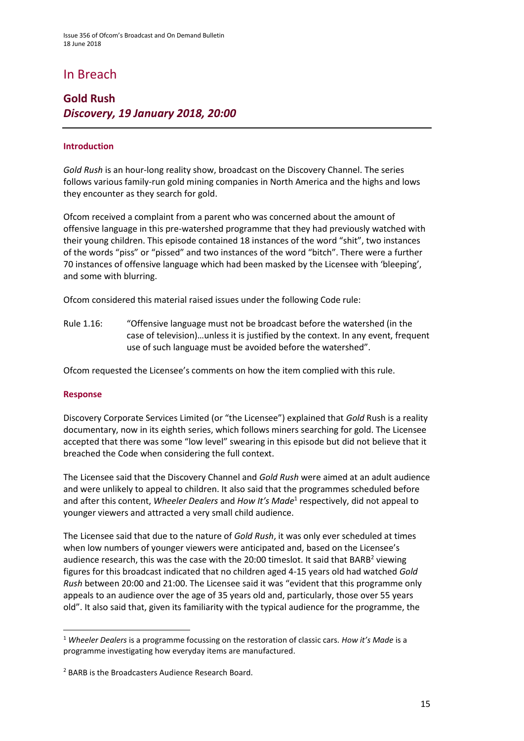### In Breach

### **Gold Rush** *Discovery, 19 January 2018, 20:00*

### **Introduction**

*Gold Rush* is an hour-long reality show, broadcast on the Discovery Channel. The series follows various family-run gold mining companies in North America and the highs and lows they encounter as they search for gold.

Ofcom received a complaint from a parent who was concerned about the amount of offensive language in this pre-watershed programme that they had previously watched with their young children. This episode contained 18 instances of the word "shit", two instances of the words "piss" or "pissed" and two instances of the word "bitch". There were a further 70 instances of offensive language which had been masked by the Licensee with 'bleeping', and some with blurring.

Ofcom considered this material raised issues under the following Code rule:

Rule 1.16: "Offensive language must not be broadcast before the watershed (in the case of television)…unless it is justified by the context. In any event, frequent use of such language must be avoided before the watershed".

Ofcom requested the Licensee's comments on how the item complied with this rule.

#### **Response**

1

Discovery Corporate Services Limited (or "the Licensee") explained that *Gold* Rush is a reality documentary, now in its eighth series, which follows miners searching for gold. The Licensee accepted that there was some "low level" swearing in this episode but did not believe that it breached the Code when considering the full context.

The Licensee said that the Discovery Channel and *Gold Rush* were aimed at an adult audience and were unlikely to appeal to children. It also said that the programmes scheduled before and after this content, Wheeler Dealers and How It's Made<sup>1</sup> respectively, did not appeal to younger viewers and attracted a very small child audience.

The Licensee said that due to the nature of *Gold Rush*, it was only ever scheduled at times when low numbers of younger viewers were anticipated and, based on the Licensee's audience research, this was the case with the 20:00 timeslot. It said that BARB<sup>2</sup> viewing figures for this broadcast indicated that no children aged 4-15 years old had watched *Gold Rush* between 20:00 and 21:00. The Licensee said it was "evident that this programme only appeals to an audience over the age of 35 years old and, particularly, those over 55 years old". It also said that, given its familiarity with the typical audience for the programme, the

<sup>1</sup> *Wheeler Dealers* is a programme focussing on the restoration of classic cars. *How it's Made* is a programme investigating how everyday items are manufactured.

<sup>2</sup> BARB is the Broadcasters Audience Research Board.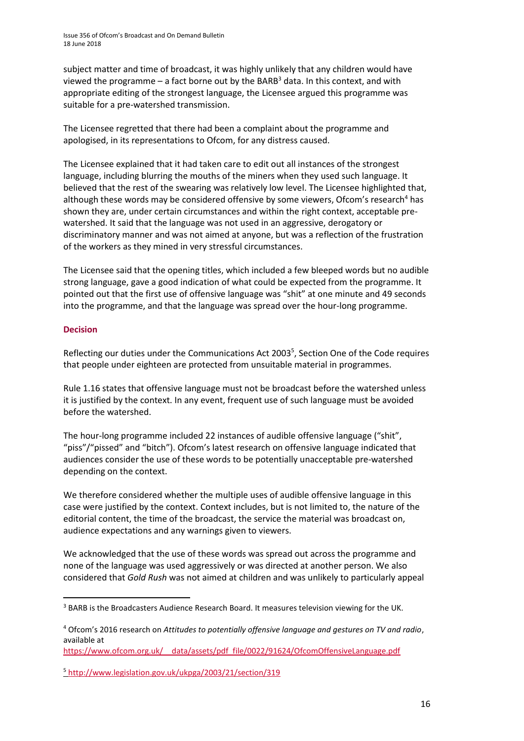subject matter and time of broadcast, it was highly unlikely that any children would have viewed the programme – a fact borne out by the BARB<sup>3</sup> data. In this context, and with appropriate editing of the strongest language, the Licensee argued this programme was suitable for a pre-watershed transmission.

The Licensee regretted that there had been a complaint about the programme and apologised, in its representations to Ofcom, for any distress caused.

The Licensee explained that it had taken care to edit out all instances of the strongest language, including blurring the mouths of the miners when they used such language. It believed that the rest of the swearing was relatively low level. The Licensee highlighted that, although these words may be considered offensive by some viewers, Ofcom's research<sup>4</sup> has shown they are, under certain circumstances and within the right context, acceptable prewatershed. It said that the language was not used in an aggressive, derogatory or discriminatory manner and was not aimed at anyone, but was a reflection of the frustration of the workers as they mined in very stressful circumstances.

The Licensee said that the opening titles, which included a few bleeped words but no audible strong language, gave a good indication of what could be expected from the programme. It pointed out that the first use of offensive language was "shit" at one minute and 49 seconds into the programme, and that the language was spread over the hour-long programme.

### **Decision**

**.** 

Reflecting our duties under the Communications Act 2003<sup>5</sup>, Section One of the Code requires that people under eighteen are protected from unsuitable material in programmes.

Rule 1.16 states that offensive language must not be broadcast before the watershed unless it is justified by the context. In any event, frequent use of such language must be avoided before the watershed.

The hour-long programme included 22 instances of audible offensive language ("shit", "piss"/"pissed" and "bitch"). Ofcom's latest research on offensive language indicated that audiences consider the use of these words to be potentially unacceptable pre-watershed depending on the context.

We therefore considered whether the multiple uses of audible offensive language in this case were justified by the context. Context includes, but is not limited to, the nature of the editorial content, the time of the broadcast, the service the material was broadcast on, audience expectations and any warnings given to viewers.

We acknowledged that the use of these words was spread out across the programme and none of the language was used aggressively or was directed at another person. We also considered that *Gold Rush* was not aimed at children and was unlikely to particularly appeal

[https://www.ofcom.org.uk/\\_\\_data/assets/pdf\\_file/0022/91624/OfcomOffensiveLanguage.pdf](https://www.ofcom.org.uk/__data/assets/pdf_file/0022/91624/OfcomOffensiveLanguage.pdf)

<sup>&</sup>lt;sup>3</sup> BARB is the Broadcasters Audience Research Board. It measures television viewing for the UK.

<sup>4</sup> Ofcom's 2016 research on *Attitudes to potentially offensive language and gestures on TV and radio*, available at

<sup>5</sup> <http://www.legislation.gov.uk/ukpga/2003/21/section/319>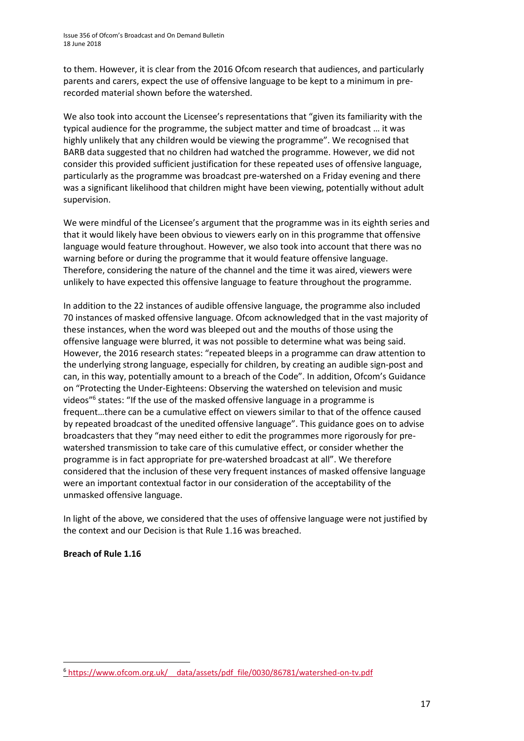to them. However, it is clear from the 2016 Ofcom research that audiences, and particularly parents and carers, expect the use of offensive language to be kept to a minimum in prerecorded material shown before the watershed.

We also took into account the Licensee's representations that "given its familiarity with the typical audience for the programme, the subject matter and time of broadcast … it was highly unlikely that any children would be viewing the programme". We recognised that BARB data suggested that no children had watched the programme. However, we did not consider this provided sufficient justification for these repeated uses of offensive language, particularly as the programme was broadcast pre-watershed on a Friday evening and there was a significant likelihood that children might have been viewing, potentially without adult supervision.

We were mindful of the Licensee's argument that the programme was in its eighth series and that it would likely have been obvious to viewers early on in this programme that offensive language would feature throughout. However, we also took into account that there was no warning before or during the programme that it would feature offensive language. Therefore, considering the nature of the channel and the time it was aired, viewers were unlikely to have expected this offensive language to feature throughout the programme.

In addition to the 22 instances of audible offensive language, the programme also included 70 instances of masked offensive language. Ofcom acknowledged that in the vast majority of these instances, when the word was bleeped out and the mouths of those using the offensive language were blurred, it was not possible to determine what was being said. However, the 2016 research states: "repeated bleeps in a programme can draw attention to the underlying strong language, especially for children, by creating an audible sign-post and can, in this way, potentially amount to a breach of the Code". In addition, Ofcom's Guidance on "Protecting the Under-Eighteens: Observing the watershed on television and music videos"<sup>6</sup> states: "If the use of the masked offensive language in a programme is frequent…there can be a cumulative effect on viewers similar to that of the offence caused by repeated broadcast of the unedited offensive language". This guidance goes on to advise broadcasters that they "may need either to edit the programmes more rigorously for prewatershed transmission to take care of this cumulative effect, or consider whether the programme is in fact appropriate for pre-watershed broadcast at all". We therefore considered that the inclusion of these very frequent instances of masked offensive language were an important contextual factor in our consideration of the acceptability of the unmasked offensive language.

In light of the above, we considered that the uses of offensive language were not justified by the context and our Decision is that Rule 1.16 was breached.

### **Breach of Rule 1.16**

**.** 

<sup>6</sup> [https://www.ofcom.org.uk/\\_\\_data/assets/pdf\\_file/0030/86781/watershed-on-tv.pdf](https://www.ofcom.org.uk/__data/assets/pdf_file/0030/86781/watershed-on-tv.pdf)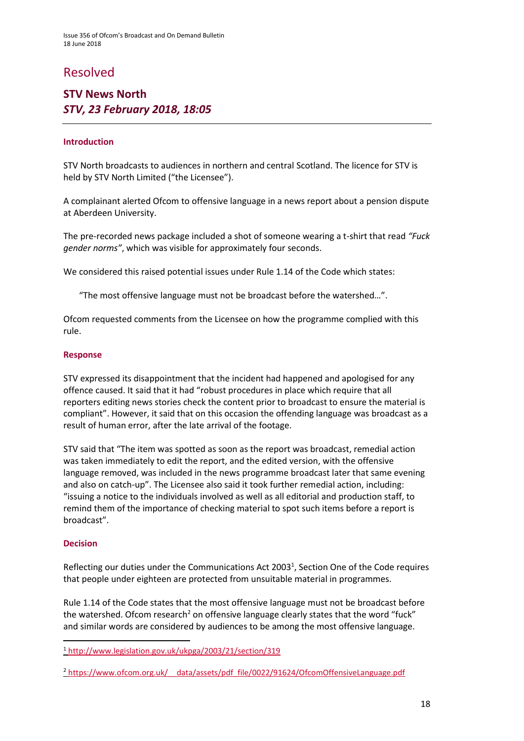### Resolved

### **STV News North**  *STV, 23 February 2018, 18:05*

### **Introduction**

STV North broadcasts to audiences in northern and central Scotland. The licence for STV is held by STV North Limited ("the Licensee").

A complainant alerted Ofcom to offensive language in a news report about a pension dispute at Aberdeen University.

The pre-recorded news package included a shot of someone wearing a t-shirt that read *"Fuck gender norms"*, which was visible for approximately four seconds.

We considered this raised potential issues under Rule 1.14 of the Code which states:

"The most offensive language must not be broadcast before the watershed…".

Ofcom requested comments from the Licensee on how the programme complied with this rule.

#### **Response**

STV expressed its disappointment that the incident had happened and apologised for any offence caused. It said that it had "robust procedures in place which require that all reporters editing news stories check the content prior to broadcast to ensure the material is compliant". However, it said that on this occasion the offending language was broadcast as a result of human error, after the late arrival of the footage.

STV said that "The item was spotted as soon as the report was broadcast, remedial action was taken immediately to edit the report, and the edited version, with the offensive language removed, was included in the news programme broadcast later that same evening and also on catch-up". The Licensee also said it took further remedial action, including: "issuing a notice to the individuals involved as well as all editorial and production staff, to remind them of the importance of checking material to spot such items before a report is broadcast".

#### **Decision**

**.** 

Reflecting our duties under the Communications Act 2003<sup>1</sup>, Section One of the Code requires that people under eighteen are protected from unsuitable material in programmes.

Rule 1.14 of the Code states that the most offensive language must not be broadcast before the watershed. Ofcom research<sup>2</sup> on offensive language clearly states that the word "fuck" and similar words are considered by audiences to be among the most offensive language.

<sup>1</sup> <http://www.legislation.gov.uk/ukpga/2003/21/section/319>

<sup>2</sup> [https://www.ofcom.org.uk/\\_\\_data/assets/pdf\\_file/0022/91624/OfcomOffensiveLanguage.pdf](https://www.ofcom.org.uk/__data/assets/pdf_file/0022/91624/OfcomOffensiveLanguage.pdf)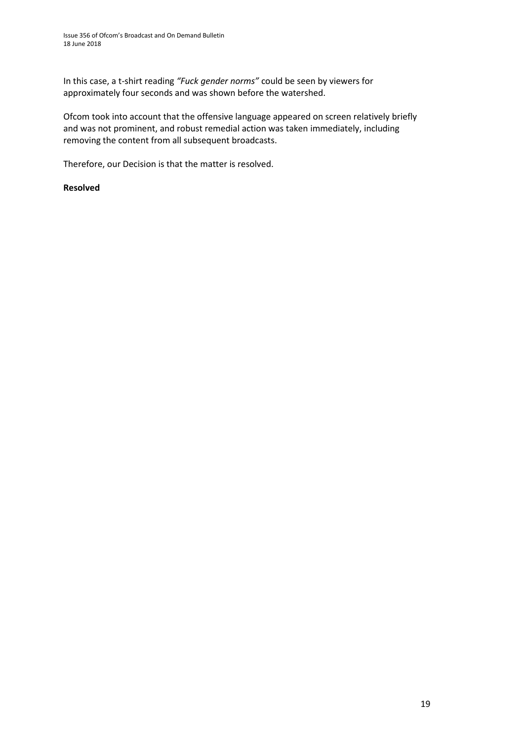In this case, a t-shirt reading *"Fuck gender norms"* could be seen by viewers for approximately four seconds and was shown before the watershed.

Ofcom took into account that the offensive language appeared on screen relatively briefly and was not prominent, and robust remedial action was taken immediately, including removing the content from all subsequent broadcasts.

Therefore, our Decision is that the matter is resolved.

### **Resolved**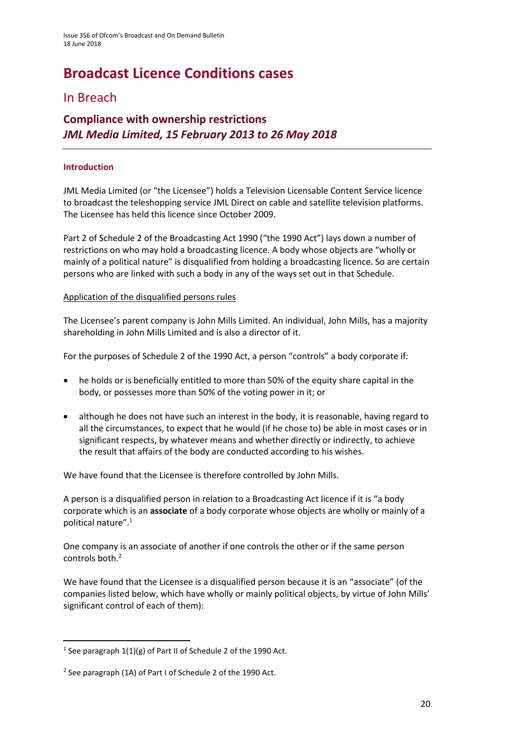# **Broadcast Licence Conditions cases**

### In Breach

### **Compliance with ownership restrictions** *JML Media Limited, 15 February 2013 to 26 May 2018*

### **Introduction**

JML Media Limited (or "the Licensee") holds a Television Licensable Content Service licence to broadcast the teleshopping service JML Direct on cable and satellite television platforms. The Licensee has held this licence since October 2009.

Part 2 of Schedule 2 of the Broadcasting Act 1990 ("the 1990 Act") lays down a number of restrictions on who may hold a broadcasting licence. A body whose objects are "wholly or mainly of a political nature" is disqualified from holding a broadcasting licence. So are certain persons who are linked with such a body in any of the ways set out in that Schedule.

### Application of the disqualified persons rules

The Licensee's parent company is John Mills Limited. An individual, John Mills, has a majority shareholding in John Mills Limited and is also a director of it.

For the purposes of Schedule 2 of the 1990 Act, a person "controls" a body corporate if:

- he holds or is beneficially entitled to more than 50% of the equity share capital in the body, or possesses more than 50% of the voting power in it; or
- although he does not have such an interest in the body, it is reasonable, having regard to all the circumstances, to expect that he would (if he chose to) be able in most cases or in significant respects, by whatever means and whether directly or indirectly, to achieve the result that affairs of the body are conducted according to his wishes.

We have found that the Licensee is therefore controlled by John Mills.

A person is a disqualified person in relation to a Broadcasting Act licence if it is "a body corporate which is an **associate** of a body corporate whose objects are wholly or mainly of a political nature".<sup>1</sup>

One company is an associate of another if one controls the other or if the same person controls both.<sup>2</sup>

We have found that the Licensee is a disqualified person because it is an "associate" (of the companies listed below, which have wholly or mainly political objects, by virtue of John Mills' significant control of each of them):

**.** 

<sup>&</sup>lt;sup>1</sup> See paragraph  $1(1)(g)$  of Part II of Schedule 2 of the 1990 Act.

<sup>&</sup>lt;sup>2</sup> See paragraph (1A) of Part I of Schedule 2 of the 1990 Act.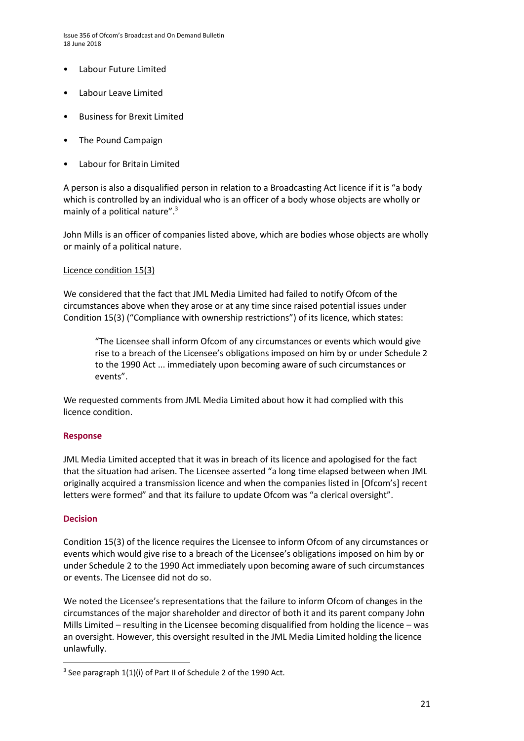Issue 356 of Ofcom's Broadcast and On Demand Bulletin 18 June 2018

- Labour Future Limited
- Labour Leave Limited
- Business for Brexit Limited
- The Pound Campaign
- Labour for Britain Limited

A person is also a disqualified person in relation to a Broadcasting Act licence if it is "a body which is controlled by an individual who is an officer of a body whose objects are wholly or mainly of a political nature".<sup>3</sup>

John Mills is an officer of companies listed above, which are bodies whose objects are wholly or mainly of a political nature.

#### Licence condition 15(3)

We considered that the fact that JML Media Limited had failed to notify Ofcom of the circumstances above when they arose or at any time since raised potential issues under Condition 15(3) ("Compliance with ownership restrictions") of its licence, which states:

"The Licensee shall inform Ofcom of any circumstances or events which would give rise to a breach of the Licensee's obligations imposed on him by or under Schedule 2 to the 1990 Act ... immediately upon becoming aware of such circumstances or events".

We requested comments from JML Media Limited about how it had complied with this licence condition.

#### **Response**

JML Media Limited accepted that it was in breach of its licence and apologised for the fact that the situation had arisen. The Licensee asserted "a long time elapsed between when JML originally acquired a transmission licence and when the companies listed in [Ofcom's] recent letters were formed" and that its failure to update Ofcom was "a clerical oversight".

#### **Decision**

**.** 

Condition 15(3) of the licence requires the Licensee to inform Ofcom of any circumstances or events which would give rise to a breach of the Licensee's obligations imposed on him by or under Schedule 2 to the 1990 Act immediately upon becoming aware of such circumstances or events. The Licensee did not do so.

We noted the Licensee's representations that the failure to inform Ofcom of changes in the circumstances of the major shareholder and director of both it and its parent company John Mills Limited – resulting in the Licensee becoming disqualified from holding the licence – was an oversight. However, this oversight resulted in the JML Media Limited holding the licence unlawfully.

<sup>&</sup>lt;sup>3</sup> See paragraph 1(1)(i) of Part II of Schedule 2 of the 1990 Act.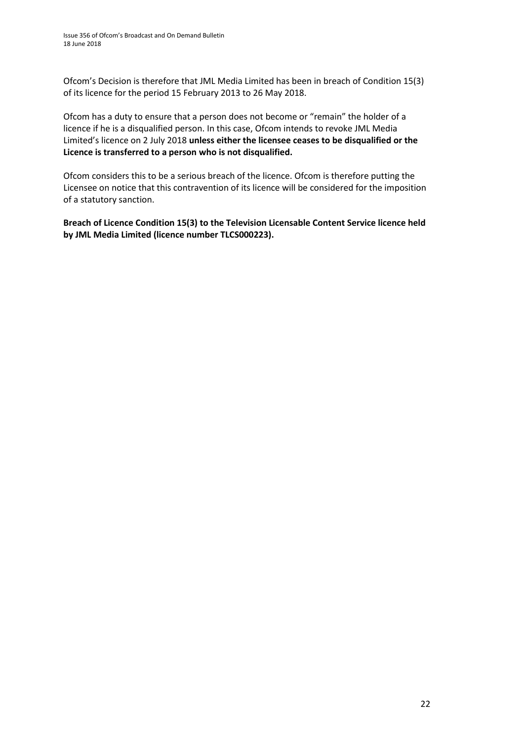Ofcom's Decision is therefore that JML Media Limited has been in breach of Condition 15(3) of its licence for the period 15 February 2013 to 26 May 2018.

Ofcom has a duty to ensure that a person does not become or "remain" the holder of a licence if he is a disqualified person. In this case, Ofcom intends to revoke JML Media Limited's licence on 2 July 2018 **unless either the licensee ceases to be disqualified or the Licence is transferred to a person who is not disqualified.** 

Ofcom considers this to be a serious breach of the licence. Ofcom is therefore putting the Licensee on notice that this contravention of its licence will be considered for the imposition of a statutory sanction.

**Breach of Licence Condition 15(3) to the Television Licensable Content Service licence held by JML Media Limited (licence number TLCS000223).**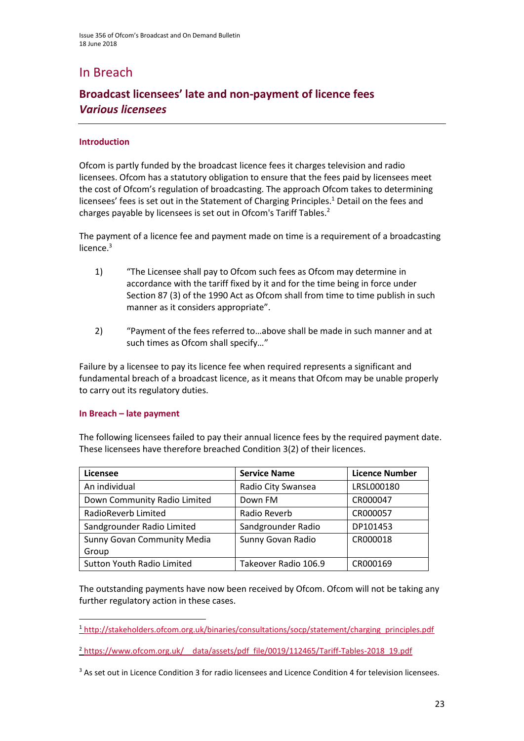### In Breach

### **Broadcast licensees' late and non-payment of licence fees** *Various licensees*

### **Introduction**

Ofcom is partly funded by the broadcast licence fees it charges television and radio licensees. Ofcom has a statutory obligation to ensure that the fees paid by licensees meet the cost of Ofcom's regulation of broadcasting. The approach Ofcom takes to determining licensees' fees is set out in the Statement of Charging Principles.<sup>1</sup> Detail on the fees and charges payable by licensees is set out in Ofcom's Tariff Tables.<sup>2</sup>

The payment of a licence fee and payment made on time is a requirement of a broadcasting licence. $3$ 

- 1) "The Licensee shall pay to Ofcom such fees as Ofcom may determine in accordance with the tariff fixed by it and for the time being in force under Section 87 (3) of the 1990 Act as Ofcom shall from time to time publish in such manner as it considers appropriate".
- 2) "Payment of the fees referred to…above shall be made in such manner and at such times as Ofcom shall specify…"

Failure by a licensee to pay its licence fee when required represents a significant and fundamental breach of a broadcast licence, as it means that Ofcom may be unable properly to carry out its regulatory duties.

#### **In Breach – late payment**

**.** 

The following licensees failed to pay their annual licence fees by the required payment date. These licensees have therefore breached Condition 3(2) of their licences.

| Licensee                           | <b>Service Name</b>  | <b>Licence Number</b> |
|------------------------------------|----------------------|-----------------------|
| An individual                      | Radio City Swansea   | LRSL000180            |
| Down Community Radio Limited       | Down FM              | CR000047              |
| RadioReverb Limited                | Radio Reverb         | CR000057              |
| Sandgrounder Radio Limited         | Sandgrounder Radio   | DP101453              |
| <b>Sunny Govan Community Media</b> | Sunny Govan Radio    | CR000018              |
| Group                              |                      |                       |
| <b>Sutton Youth Radio Limited</b>  | Takeover Radio 106.9 | CR000169              |

The outstanding payments have now been received by Ofcom. Ofcom will not be taking any further regulatory action in these cases.

<sup>2</sup> https://www.ofcom.org.uk/ data/assets/pdf\_file/0019/112465/Tariff-Tables-2018\_19.pdf

<sup>1</sup> [http://stakeholders.ofcom.org.uk/binaries/consultations/socp/statement/charging\\_principles.pdf](http://stakeholders.ofcom.org.uk/binaries/consultations/socp/statement/charging_principles.pdf)

<sup>&</sup>lt;sup>3</sup> As set out in Licence Condition 3 for radio licensees and Licence Condition 4 for television licensees.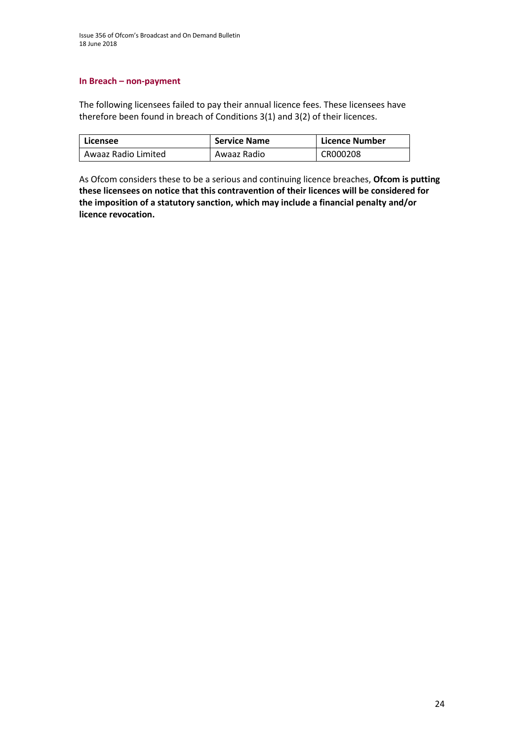#### **In Breach – non-payment**

The following licensees failed to pay their annual licence fees. These licensees have therefore been found in breach of Conditions 3(1) and 3(2) of their licences.

| Licensee            | <b>Service Name</b> | Licence Number |
|---------------------|---------------------|----------------|
| Awaaz Radio Limited | Awaaz Radio         | CR000208       |

As Ofcom considers these to be a serious and continuing licence breaches, **Ofcom is putting these licensees on notice that this contravention of their licences will be considered for the imposition of a statutory sanction, which may include a financial penalty and/or licence revocation.**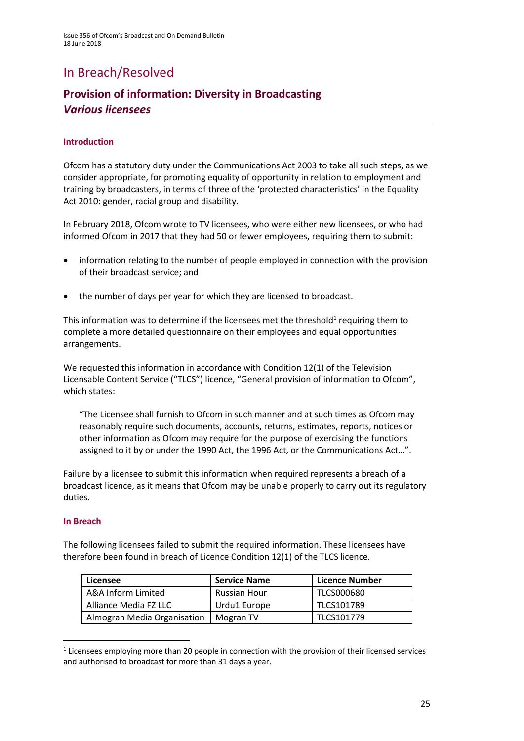## In Breach/Resolved

### **Provision of information: Diversity in Broadcasting**  *Various licensees*

### **Introduction**

Ofcom has a statutory duty under the Communications Act 2003 to take all such steps, as we consider appropriate, for promoting equality of opportunity in relation to employment and training by broadcasters, in terms of three of the 'protected characteristics' in the Equality Act 2010: gender, racial group and disability.

In February 2018, Ofcom wrote to TV licensees, who were either new licensees, or who had informed Ofcom in 2017 that they had 50 or fewer employees, requiring them to submit:

- information relating to the number of people employed in connection with the provision of their broadcast service; and
- the number of days per year for which they are licensed to broadcast.

This information was to determine if the licensees met the threshold<sup>1</sup> requiring them to complete a more detailed questionnaire on their employees and equal opportunities arrangements.

We requested this information in accordance with Condition 12(1) of the Television Licensable Content Service ("TLCS") licence, "General provision of information to Ofcom", which states:

"The Licensee shall furnish to Ofcom in such manner and at such times as Ofcom may reasonably require such documents, accounts, returns, estimates, reports, notices or other information as Ofcom may require for the purpose of exercising the functions assigned to it by or under the 1990 Act, the 1996 Act, or the Communications Act…".

Failure by a licensee to submit this information when required represents a breach of a broadcast licence, as it means that Ofcom may be unable properly to carry out its regulatory duties.

#### **In Breach**

**.** 

The following licensees failed to submit the required information. These licensees have therefore been found in breach of Licence Condition 12(1) of the TLCS licence.

| Licensee                    | <b>Service Name</b>      | Licence Number |
|-----------------------------|--------------------------|----------------|
| A&A Inform Limited          | <b>Russian Hour</b>      | TLCS000680     |
| Alliance Media FZ LLC       | Urdu1 Europe             | TLCS101789     |
| Almogran Media Organisation | $\blacksquare$ Mogran TV | TLCS101779     |

 $<sup>1</sup>$  Licensees employing more than 20 people in connection with the provision of their licensed services</sup> and authorised to broadcast for more than 31 days a year.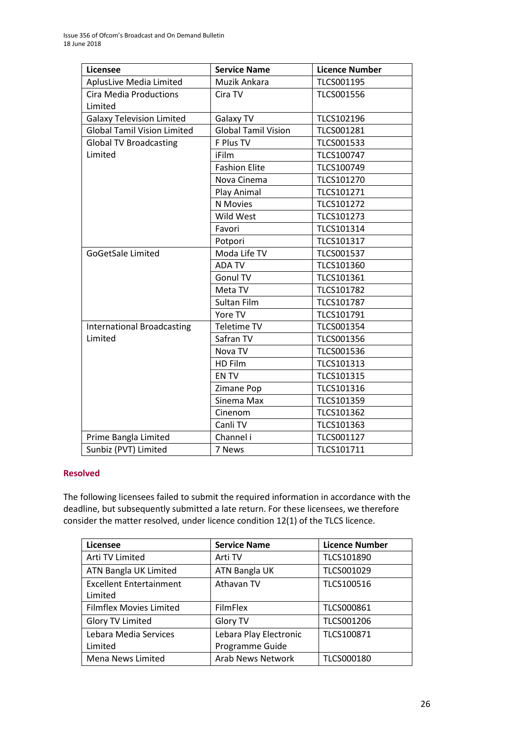| <b>Licensee</b>                          | <b>Service Name</b>        | <b>Licence Number</b> |
|------------------------------------------|----------------------------|-----------------------|
| AplusLive Media Limited                  | Muzik Ankara               | TLCS001195            |
| <b>Cira Media Productions</b><br>Limited | Cira TV                    | <b>TLCS001556</b>     |
| <b>Galaxy Television Limited</b>         | Galaxy TV                  | TLCS102196            |
| <b>Global Tamil Vision Limited</b>       | <b>Global Tamil Vision</b> | TLCS001281            |
| <b>Global TV Broadcasting</b>            | F Plus TV                  | TLCS001533            |
| Limited                                  | iFilm                      | TLCS100747            |
|                                          | <b>Fashion Elite</b>       | TLCS100749            |
|                                          | Nova Cinema                | TLCS101270            |
|                                          | Play Animal                | TLCS101271            |
|                                          | N Movies                   | TLCS101272            |
|                                          | Wild West                  | TLCS101273            |
|                                          | Favori                     | TLCS101314            |
|                                          | Potpori                    | TLCS101317            |
| <b>GoGetSale Limited</b>                 | Moda Life TV               | TLCS001537            |
|                                          | <b>ADA TV</b>              | TLCS101360            |
|                                          | Gonul TV                   | TLCS101361            |
|                                          | Meta TV                    | TLCS101782            |
|                                          | Sultan Film                | TLCS101787            |
|                                          | Yore TV                    | TLCS101791            |
| <b>International Broadcasting</b>        | Teletime TV                | TLCS001354            |
| Limited                                  | Safran TV                  | TLCS001356            |
|                                          | Nova TV                    | TLCS001536            |
|                                          | HD Film                    | TLCS101313            |
|                                          | <b>ENTV</b>                | TLCS101315            |
|                                          | Zimane Pop                 | TLCS101316            |
|                                          | Sinema Max                 | TLCS101359            |
|                                          | Cinenom                    | TLCS101362            |
|                                          | Canli TV                   | TLCS101363            |
| Prime Bangla Limited                     | Channel i                  | TLCS001127            |
| Sunbiz (PVT) Limited                     | 7 News                     | TLCS101711            |

### **Resolved**

The following licensees failed to submit the required information in accordance with the deadline, but subsequently submitted a late return. For these licensees, we therefore consider the matter resolved, under licence condition 12(1) of the TLCS licence.

| Licensee                                  | <b>Service Name</b>                       | <b>Licence Number</b> |
|-------------------------------------------|-------------------------------------------|-----------------------|
| Arti TV Limited                           | Arti TV                                   | TLCS101890            |
| ATN Bangla UK Limited                     | ATN Bangla UK                             | TLCS001029            |
| <b>Excellent Entertainment</b><br>Limited | Athavan TV                                | TLCS100516            |
| Filmflex Movies Limited                   | <b>FilmFlex</b>                           | <b>TLCS000861</b>     |
| Glory TV Limited                          | Glory TV                                  | <b>TLCS001206</b>     |
| Lebara Media Services<br>Limited          | Lebara Play Electronic<br>Programme Guide | TLCS100871            |
| Mena News Limited                         | <b>Arab News Network</b>                  | <b>TLCS000180</b>     |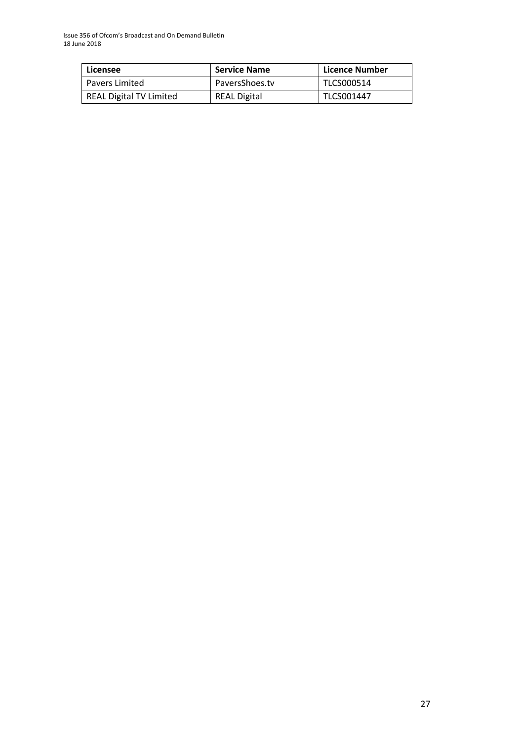| Licensee                | <b>Service Name</b> | Licence Number |
|-------------------------|---------------------|----------------|
| l Pavers Limited        | PaversShoes.tv      | TLCS000514     |
| REAL Digital TV Limited | <b>REAL Digital</b> | TLCS001447     |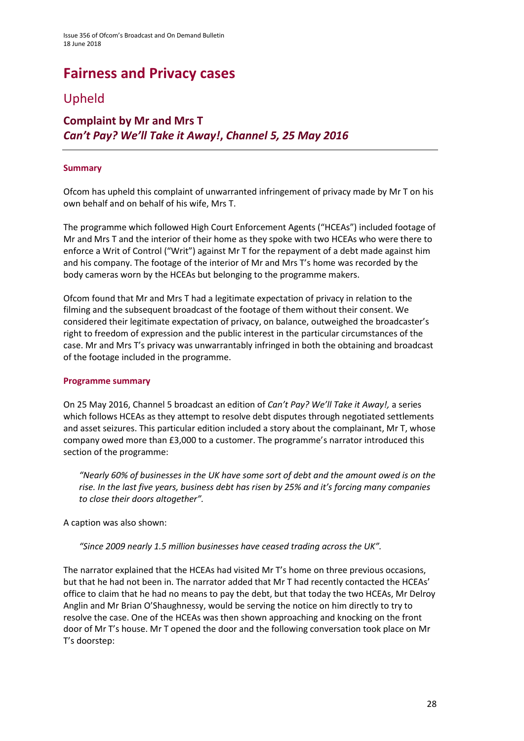# **Fairness and Privacy cases**

### Upheld

### **Complaint by Mr and Mrs T** *Can't Pay? We'll Take it Away!***,** *Channel 5, 25 May 2016*

### **Summary**

Ofcom has upheld this complaint of unwarranted infringement of privacy made by Mr T on his own behalf and on behalf of his wife, Mrs T.

The programme which followed High Court Enforcement Agents ("HCEAs") included footage of Mr and Mrs T and the interior of their home as they spoke with two HCEAs who were there to enforce a Writ of Control ("Writ") against Mr T for the repayment of a debt made against him and his company. The footage of the interior of Mr and Mrs T's home was recorded by the body cameras worn by the HCEAs but belonging to the programme makers.

Ofcom found that Mr and Mrs T had a legitimate expectation of privacy in relation to the filming and the subsequent broadcast of the footage of them without their consent. We considered their legitimate expectation of privacy, on balance, outweighed the broadcaster's right to freedom of expression and the public interest in the particular circumstances of the case. Mr and Mrs T's privacy was unwarrantably infringed in both the obtaining and broadcast of the footage included in the programme.

#### **Programme summary**

On 25 May 2016, Channel 5 broadcast an edition of *Can't Pay? We'll Take it Away!,* a series which follows HCEAs as they attempt to resolve debt disputes through negotiated settlements and asset seizures. This particular edition included a story about the complainant, Mr T, whose company owed more than £3,000 to a customer. The programme's narrator introduced this section of the programme:

*"Nearly 60% of businesses in the UK have some sort of debt and the amount owed is on the rise. In the last five years, business debt has risen by 25% and it's forcing many companies to close their doors altogether".* 

A caption was also shown:

*"Since 2009 nearly 1.5 million businesses have ceased trading across the UK".*

The narrator explained that the HCEAs had visited Mr T's home on three previous occasions, but that he had not been in. The narrator added that Mr T had recently contacted the HCEAs' office to claim that he had no means to pay the debt, but that today the two HCEAs, Mr Delroy Anglin and Mr Brian O'Shaughnessy, would be serving the notice on him directly to try to resolve the case. One of the HCEAs was then shown approaching and knocking on the front door of Mr T's house. Mr T opened the door and the following conversation took place on Mr T's doorstep: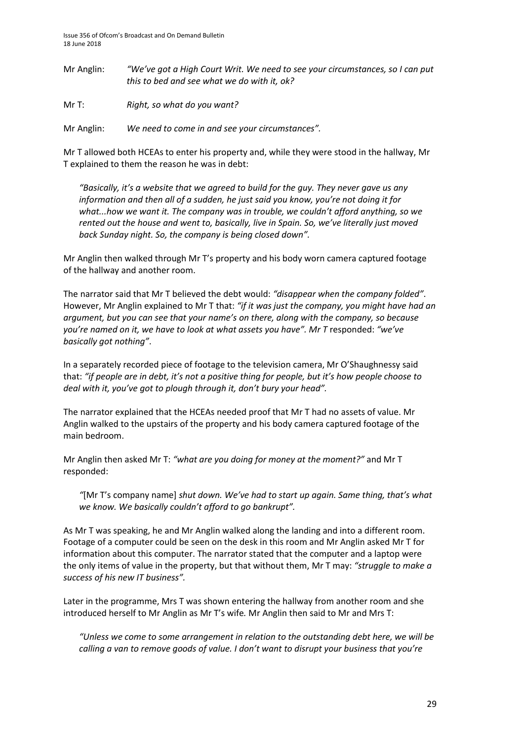Mr Anglin: *"We've got a High Court Writ. We need to see your circumstances, so I can put this to bed and see what we do with it, ok?*

Mr T: *Right, so what do you want?*

Mr Anglin: *We need to come in and see your circumstances".* 

Mr T allowed both HCEAs to enter his property and, while they were stood in the hallway, Mr T explained to them the reason he was in debt:

*"Basically, it's a website that we agreed to build for the guy. They never gave us any information and then all of a sudden, he just said you know, you're not doing it for what...how we want it. The company was in trouble, we couldn't afford anything, so we rented out the house and went to, basically, live in Spain. So, we've literally just moved back Sunday night. So, the company is being closed down".*

Mr Anglin then walked through Mr T's property and his body worn camera captured footage of the hallway and another room.

The narrator said that Mr T believed the debt would: *"disappear when the company folded"*. However, Mr Anglin explained to Mr T that: *"if it was just the company, you might have had an argument, but you can see that your name's on there, along with the company, so because you're named on it, we have to look at what assets you have". Mr T* responded: *"we've basically got nothing"*.

In a separately recorded piece of footage to the television camera, Mr O'Shaughnessy said that: *"if people are in debt, it's not a positive thing for people, but it's how people choose to deal with it, you've got to plough through it, don't bury your head".* 

The narrator explained that the HCEAs needed proof that Mr T had no assets of value. Mr Anglin walked to the upstairs of the property and his body camera captured footage of the main bedroom.

Mr Anglin then asked Mr T: *"what are you doing for money at the moment?"* and Mr T responded:

*"*[Mr T's company name] *shut down. We've had to start up again. Same thing, that's what we know. We basically couldn't afford to go bankrupt".* 

As Mr T was speaking, he and Mr Anglin walked along the landing and into a different room. Footage of a computer could be seen on the desk in this room and Mr Anglin asked Mr T for information about this computer. The narrator stated that the computer and a laptop were the only items of value in the property, but that without them, Mr T may: *"struggle to make a success of his new IT business".* 

Later in the programme, Mrs T was shown entering the hallway from another room and she introduced herself to Mr Anglin as Mr T's wife*.* Mr Anglin then said to Mr and Mrs T:

*"Unless we come to some arrangement in relation to the outstanding debt here, we will be calling a van to remove goods of value. I don't want to disrupt your business that you're*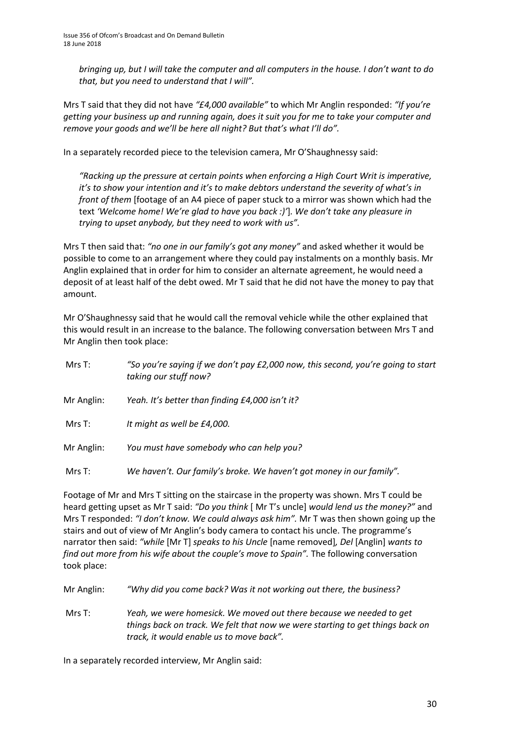*bringing up, but I will take the computer and all computers in the house. I don't want to do that, but you need to understand that I will".* 

Mrs T said that they did not have *"£4,000 available"* to which Mr Anglin responded: *"If you're getting your business up and running again, does it suit you for me to take your computer and remove your goods and we'll be here all night? But that's what I'll do".* 

In a separately recorded piece to the television camera, Mr O'Shaughnessy said:

*"Racking up the pressure at certain points when enforcing a High Court Writ is imperative, it's to show your intention and it's to make debtors understand the severity of what's in front of them* [footage of an A4 piece of paper stuck to a mirror was shown which had the text *'Welcome home! We're glad to have you back :)'*]*. We don't take any pleasure in trying to upset anybody, but they need to work with us".* 

Mrs T then said that: *"no one in our family's got any money"* and asked whether it would be possible to come to an arrangement where they could pay instalments on a monthly basis. Mr Anglin explained that in order for him to consider an alternate agreement, he would need a deposit of at least half of the debt owed. Mr T said that he did not have the money to pay that amount.

Mr O'Shaughnessy said that he would call the removal vehicle while the other explained that this would result in an increase to the balance. The following conversation between Mrs T and Mr Anglin then took place:

| Mrs T:     | "So you're saying if we don't pay £2,000 now, this second, you're going to start<br>taking our stuff now? |
|------------|-----------------------------------------------------------------------------------------------------------|
| Mr Anglin: | Yeah. It's better than finding £4,000 isn't it?                                                           |
| Mrs T:     | It might as well be £4,000.                                                                               |
| Mr Anglin: | You must have somebody who can help you?                                                                  |
| Mrs T:     | We haven't. Our family's broke. We haven't got money in our family".                                      |

Footage of Mr and Mrs T sitting on the staircase in the property was shown. Mrs T could be heard getting upset as Mr T said: *"Do you think* [ Mr T's uncle] *would lend us the money?"* and Mrs T responded: *"I don't know. We could always ask him".* Mr T was then shown going up the stairs and out of view of Mr Anglin's body camera to contact his uncle. The programme's narrator then said: *"while* [Mr T] *speaks to his Uncle* [name removed]*, Del* [Anglin] *wants to find out more from his wife about the couple's move to Spain"*. The following conversation took place:

Mr Anglin: *"Why did you come back? Was it not working out there, the business?*

Mrs T: *Yeah, we were homesick. We moved out there because we needed to get things back on track. We felt that now we were starting to get things back on track, it would enable us to move back".* 

In a separately recorded interview, Mr Anglin said: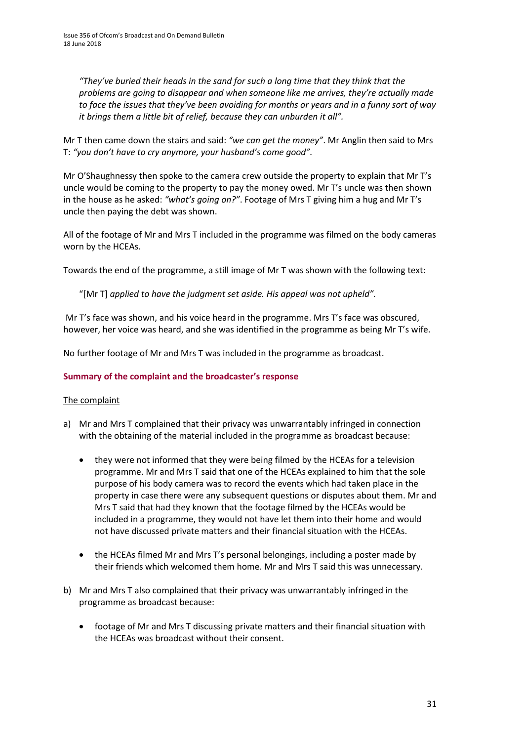*"They've buried their heads in the sand for such a long time that they think that the problems are going to disappear and when someone like me arrives, they're actually made to face the issues that they've been avoiding for months or years and in a funny sort of way it brings them a little bit of relief, because they can unburden it all".* 

Mr T then came down the stairs and said: *"we can get the money"*. Mr Anglin then said to Mrs T: *"you don't have to cry anymore, your husband's come good".* 

Mr O'Shaughnessy then spoke to the camera crew outside the property to explain that Mr T's uncle would be coming to the property to pay the money owed. Mr T's uncle was then shown in the house as he asked: *"what's going on?"*. Footage of Mrs T giving him a hug and Mr T's uncle then paying the debt was shown.

All of the footage of Mr and Mrs T included in the programme was filmed on the body cameras worn by the HCEAs.

Towards the end of the programme, a still image of Mr T was shown with the following text:

"[Mr T] *applied to have the judgment set aside. His appeal was not upheld".* 

Mr T's face was shown, and his voice heard in the programme. Mrs T's face was obscured, however, her voice was heard, and she was identified in the programme as being Mr T's wife.

No further footage of Mr and Mrs T was included in the programme as broadcast.

#### **Summary of the complaint and the broadcaster's response**

#### The complaint

- a) Mr and Mrs T complained that their privacy was unwarrantably infringed in connection with the obtaining of the material included in the programme as broadcast because:
	- they were not informed that they were being filmed by the HCEAs for a television programme. Mr and Mrs T said that one of the HCEAs explained to him that the sole purpose of his body camera was to record the events which had taken place in the property in case there were any subsequent questions or disputes about them. Mr and Mrs T said that had they known that the footage filmed by the HCEAs would be included in a programme, they would not have let them into their home and would not have discussed private matters and their financial situation with the HCEAs.
	- the HCEAs filmed Mr and Mrs T's personal belongings, including a poster made by their friends which welcomed them home. Mr and Mrs T said this was unnecessary.
- b) Mr and Mrs T also complained that their privacy was unwarrantably infringed in the programme as broadcast because:
	- footage of Mr and Mrs T discussing private matters and their financial situation with the HCEAs was broadcast without their consent.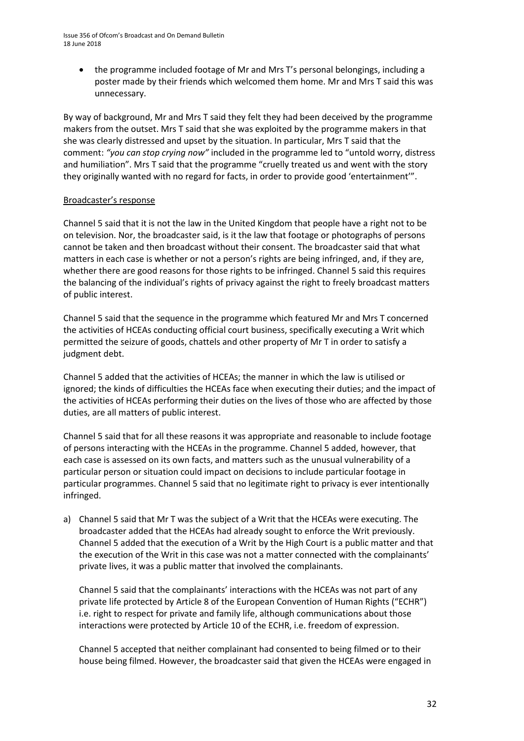• the programme included footage of Mr and Mrs T's personal belongings, including a poster made by their friends which welcomed them home. Mr and Mrs T said this was unnecessary.

By way of background, Mr and Mrs T said they felt they had been deceived by the programme makers from the outset. Mrs T said that she was exploited by the programme makers in that she was clearly distressed and upset by the situation. In particular, Mrs T said that the comment: *"you can stop crying now"* included in the programme led to "untold worry, distress and humiliation". Mrs T said that the programme "cruelly treated us and went with the story they originally wanted with no regard for facts, in order to provide good 'entertainment'".

### Broadcaster's response

Channel 5 said that it is not the law in the United Kingdom that people have a right not to be on television. Nor, the broadcaster said, is it the law that footage or photographs of persons cannot be taken and then broadcast without their consent. The broadcaster said that what matters in each case is whether or not a person's rights are being infringed, and, if they are, whether there are good reasons for those rights to be infringed. Channel 5 said this requires the balancing of the individual's rights of privacy against the right to freely broadcast matters of public interest.

Channel 5 said that the sequence in the programme which featured Mr and Mrs T concerned the activities of HCEAs conducting official court business, specifically executing a Writ which permitted the seizure of goods, chattels and other property of Mr T in order to satisfy a judgment debt.

Channel 5 added that the activities of HCEAs; the manner in which the law is utilised or ignored; the kinds of difficulties the HCEAs face when executing their duties; and the impact of the activities of HCEAs performing their duties on the lives of those who are affected by those duties, are all matters of public interest.

Channel 5 said that for all these reasons it was appropriate and reasonable to include footage of persons interacting with the HCEAs in the programme. Channel 5 added, however, that each case is assessed on its own facts, and matters such as the unusual vulnerability of a particular person or situation could impact on decisions to include particular footage in particular programmes. Channel 5 said that no legitimate right to privacy is ever intentionally infringed.

a) Channel 5 said that Mr T was the subject of a Writ that the HCEAs were executing. The broadcaster added that the HCEAs had already sought to enforce the Writ previously. Channel 5 added that the execution of a Writ by the High Court is a public matter and that the execution of the Writ in this case was not a matter connected with the complainants' private lives, it was a public matter that involved the complainants.

Channel 5 said that the complainants' interactions with the HCEAs was not part of any private life protected by Article 8 of the European Convention of Human Rights ("ECHR") i.e. right to respect for private and family life, although communications about those interactions were protected by Article 10 of the ECHR, i.e. freedom of expression.

Channel 5 accepted that neither complainant had consented to being filmed or to their house being filmed. However, the broadcaster said that given the HCEAs were engaged in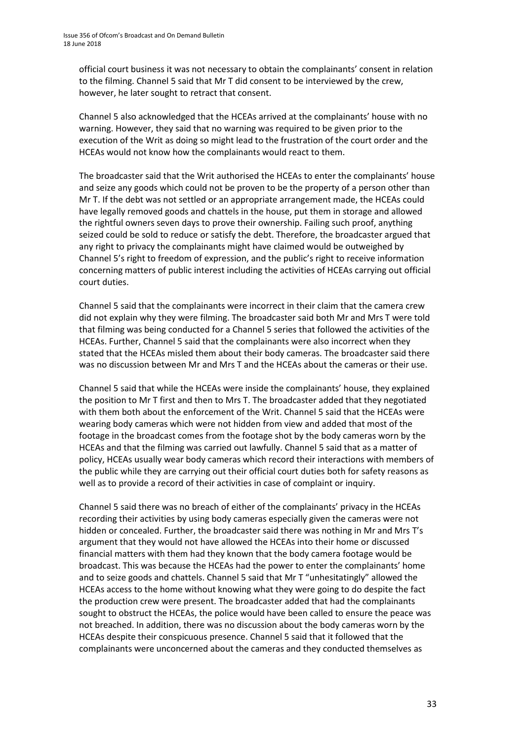official court business it was not necessary to obtain the complainants' consent in relation to the filming. Channel 5 said that Mr T did consent to be interviewed by the crew, however, he later sought to retract that consent.

Channel 5 also acknowledged that the HCEAs arrived at the complainants' house with no warning. However, they said that no warning was required to be given prior to the execution of the Writ as doing so might lead to the frustration of the court order and the HCEAs would not know how the complainants would react to them.

The broadcaster said that the Writ authorised the HCEAs to enter the complainants' house and seize any goods which could not be proven to be the property of a person other than Mr T. If the debt was not settled or an appropriate arrangement made, the HCEAs could have legally removed goods and chattels in the house, put them in storage and allowed the rightful owners seven days to prove their ownership. Failing such proof, anything seized could be sold to reduce or satisfy the debt. Therefore, the broadcaster argued that any right to privacy the complainants might have claimed would be outweighed by Channel 5's right to freedom of expression, and the public's right to receive information concerning matters of public interest including the activities of HCEAs carrying out official court duties.

Channel 5 said that the complainants were incorrect in their claim that the camera crew did not explain why they were filming. The broadcaster said both Mr and Mrs T were told that filming was being conducted for a Channel 5 series that followed the activities of the HCEAs. Further, Channel 5 said that the complainants were also incorrect when they stated that the HCEAs misled them about their body cameras. The broadcaster said there was no discussion between Mr and Mrs T and the HCEAs about the cameras or their use.

Channel 5 said that while the HCEAs were inside the complainants' house, they explained the position to Mr T first and then to Mrs T. The broadcaster added that they negotiated with them both about the enforcement of the Writ. Channel 5 said that the HCEAs were wearing body cameras which were not hidden from view and added that most of the footage in the broadcast comes from the footage shot by the body cameras worn by the HCEAs and that the filming was carried out lawfully. Channel 5 said that as a matter of policy, HCEAs usually wear body cameras which record their interactions with members of the public while they are carrying out their official court duties both for safety reasons as well as to provide a record of their activities in case of complaint or inquiry.

Channel 5 said there was no breach of either of the complainants' privacy in the HCEAs recording their activities by using body cameras especially given the cameras were not hidden or concealed. Further, the broadcaster said there was nothing in Mr and Mrs T's argument that they would not have allowed the HCEAs into their home or discussed financial matters with them had they known that the body camera footage would be broadcast. This was because the HCEAs had the power to enter the complainants' home and to seize goods and chattels. Channel 5 said that Mr T "unhesitatingly" allowed the HCEAs access to the home without knowing what they were going to do despite the fact the production crew were present. The broadcaster added that had the complainants sought to obstruct the HCEAs, the police would have been called to ensure the peace was not breached. In addition, there was no discussion about the body cameras worn by the HCEAs despite their conspicuous presence. Channel 5 said that it followed that the complainants were unconcerned about the cameras and they conducted themselves as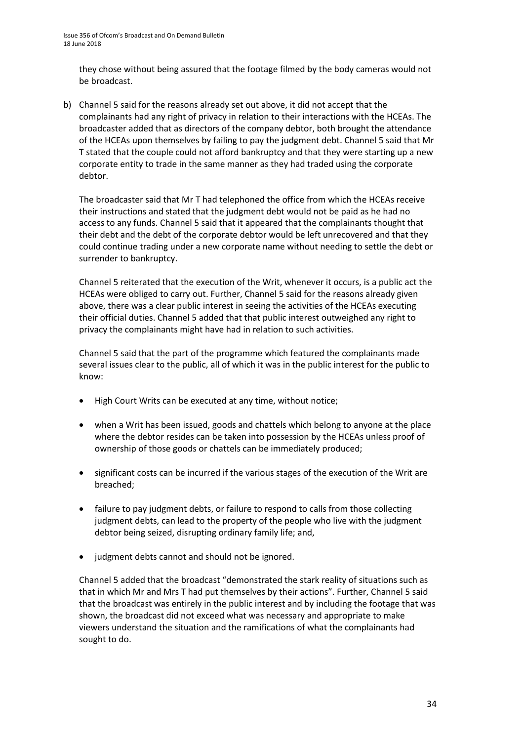they chose without being assured that the footage filmed by the body cameras would not be broadcast.

b) Channel 5 said for the reasons already set out above, it did not accept that the complainants had any right of privacy in relation to their interactions with the HCEAs. The broadcaster added that as directors of the company debtor, both brought the attendance of the HCEAs upon themselves by failing to pay the judgment debt. Channel 5 said that Mr T stated that the couple could not afford bankruptcy and that they were starting up a new corporate entity to trade in the same manner as they had traded using the corporate debtor.

The broadcaster said that Mr T had telephoned the office from which the HCEAs receive their instructions and stated that the judgment debt would not be paid as he had no access to any funds. Channel 5 said that it appeared that the complainants thought that their debt and the debt of the corporate debtor would be left unrecovered and that they could continue trading under a new corporate name without needing to settle the debt or surrender to bankruptcy.

Channel 5 reiterated that the execution of the Writ, whenever it occurs, is a public act the HCEAs were obliged to carry out. Further, Channel 5 said for the reasons already given above, there was a clear public interest in seeing the activities of the HCEAs executing their official duties. Channel 5 added that that public interest outweighed any right to privacy the complainants might have had in relation to such activities.

Channel 5 said that the part of the programme which featured the complainants made several issues clear to the public, all of which it was in the public interest for the public to know:

- High Court Writs can be executed at any time, without notice;
- when a Writ has been issued, goods and chattels which belong to anyone at the place where the debtor resides can be taken into possession by the HCEAs unless proof of ownership of those goods or chattels can be immediately produced;
- significant costs can be incurred if the various stages of the execution of the Writ are breached;
- failure to pay judgment debts, or failure to respond to calls from those collecting judgment debts, can lead to the property of the people who live with the judgment debtor being seized, disrupting ordinary family life; and,
- judgment debts cannot and should not be ignored.

Channel 5 added that the broadcast "demonstrated the stark reality of situations such as that in which Mr and Mrs T had put themselves by their actions". Further, Channel 5 said that the broadcast was entirely in the public interest and by including the footage that was shown, the broadcast did not exceed what was necessary and appropriate to make viewers understand the situation and the ramifications of what the complainants had sought to do.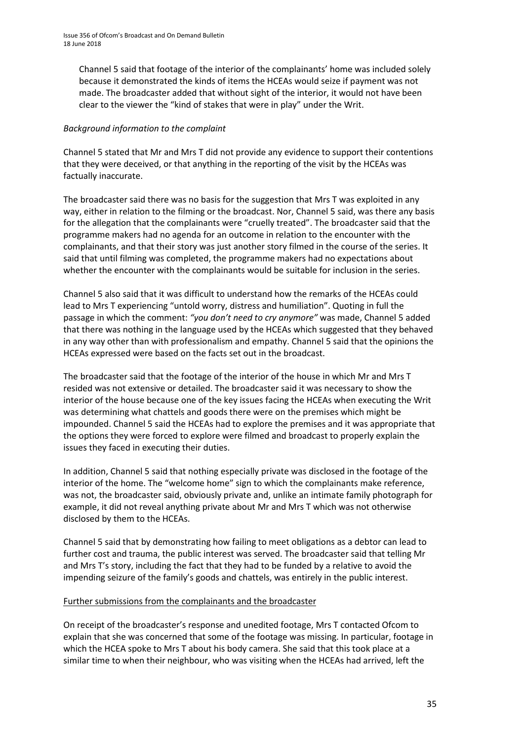Channel 5 said that footage of the interior of the complainants' home was included solely because it demonstrated the kinds of items the HCEAs would seize if payment was not made. The broadcaster added that without sight of the interior, it would not have been clear to the viewer the "kind of stakes that were in play" under the Writ.

### *Background information to the complaint*

Channel 5 stated that Mr and Mrs T did not provide any evidence to support their contentions that they were deceived, or that anything in the reporting of the visit by the HCEAs was factually inaccurate.

The broadcaster said there was no basis for the suggestion that Mrs T was exploited in any way, either in relation to the filming or the broadcast. Nor, Channel 5 said, was there any basis for the allegation that the complainants were "cruelly treated". The broadcaster said that the programme makers had no agenda for an outcome in relation to the encounter with the complainants, and that their story was just another story filmed in the course of the series. It said that until filming was completed, the programme makers had no expectations about whether the encounter with the complainants would be suitable for inclusion in the series.

Channel 5 also said that it was difficult to understand how the remarks of the HCEAs could lead to Mrs T experiencing "untold worry, distress and humiliation". Quoting in full the passage in which the comment: *"you don't need to cry anymore"* was made, Channel 5 added that there was nothing in the language used by the HCEAs which suggested that they behaved in any way other than with professionalism and empathy. Channel 5 said that the opinions the HCEAs expressed were based on the facts set out in the broadcast.

The broadcaster said that the footage of the interior of the house in which Mr and Mrs T resided was not extensive or detailed. The broadcaster said it was necessary to show the interior of the house because one of the key issues facing the HCEAs when executing the Writ was determining what chattels and goods there were on the premises which might be impounded. Channel 5 said the HCEAs had to explore the premises and it was appropriate that the options they were forced to explore were filmed and broadcast to properly explain the issues they faced in executing their duties.

In addition, Channel 5 said that nothing especially private was disclosed in the footage of the interior of the home. The "welcome home" sign to which the complainants make reference, was not, the broadcaster said, obviously private and, unlike an intimate family photograph for example, it did not reveal anything private about Mr and Mrs T which was not otherwise disclosed by them to the HCEAs.

Channel 5 said that by demonstrating how failing to meet obligations as a debtor can lead to further cost and trauma, the public interest was served. The broadcaster said that telling Mr and Mrs T's story, including the fact that they had to be funded by a relative to avoid the impending seizure of the family's goods and chattels, was entirely in the public interest.

### Further submissions from the complainants and the broadcaster

On receipt of the broadcaster's response and unedited footage, Mrs T contacted Ofcom to explain that she was concerned that some of the footage was missing. In particular, footage in which the HCEA spoke to Mrs T about his body camera. She said that this took place at a similar time to when their neighbour, who was visiting when the HCEAs had arrived, left the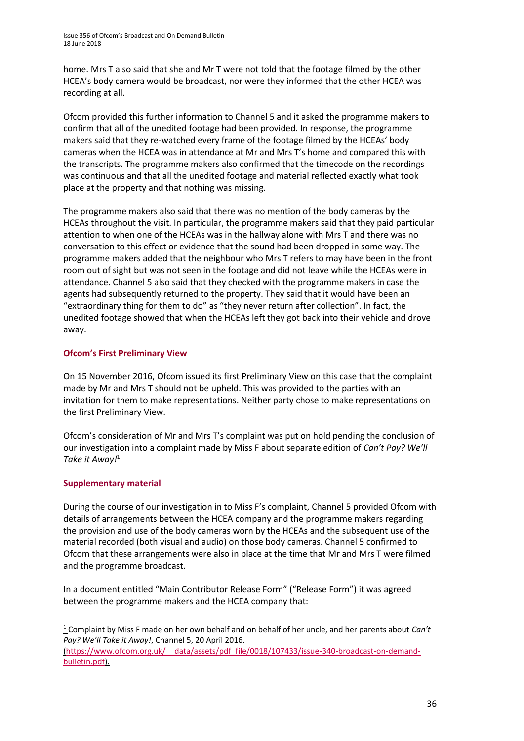home. Mrs T also said that she and Mr T were not told that the footage filmed by the other HCEA's body camera would be broadcast, nor were they informed that the other HCEA was recording at all.

Ofcom provided this further information to Channel 5 and it asked the programme makers to confirm that all of the unedited footage had been provided. In response, the programme makers said that they re-watched every frame of the footage filmed by the HCEAs' body cameras when the HCEA was in attendance at Mr and Mrs T's home and compared this with the transcripts. The programme makers also confirmed that the timecode on the recordings was continuous and that all the unedited footage and material reflected exactly what took place at the property and that nothing was missing.

The programme makers also said that there was no mention of the body cameras by the HCEAs throughout the visit. In particular, the programme makers said that they paid particular attention to when one of the HCEAs was in the hallway alone with Mrs T and there was no conversation to this effect or evidence that the sound had been dropped in some way. The programme makers added that the neighbour who Mrs T refers to may have been in the front room out of sight but was not seen in the footage and did not leave while the HCEAs were in attendance. Channel 5 also said that they checked with the programme makers in case the agents had subsequently returned to the property. They said that it would have been an "extraordinary thing for them to do" as "they never return after collection". In fact, the unedited footage showed that when the HCEAs left they got back into their vehicle and drove away.

### **Ofcom's First Preliminary View**

On 15 November 2016, Ofcom issued its first Preliminary View on this case that the complaint made by Mr and Mrs T should not be upheld. This was provided to the parties with an invitation for them to make representations. Neither party chose to make representations on the first Preliminary View.

Ofcom's consideration of Mr and Mrs T's complaint was put on hold pending the conclusion of our investigation into a complaint made by Miss F about separate edition of *Can't Pay? We'll Take it Away!*<sup>1</sup>

### **Supplementary material**

**.** 

During the course of our investigation in to Miss F's complaint, Channel 5 provided Ofcom with details of arrangements between the HCEA company and the programme makers regarding the provision and use of the body cameras worn by the HCEAs and the subsequent use of the material recorded (both visual and audio) on those body cameras. Channel 5 confirmed to Ofcom that these arrangements were also in place at the time that Mr and Mrs T were filmed and the programme broadcast.

In a document entitled "Main Contributor Release Form" ("Release Form") it was agreed between the programme makers and the HCEA company that:

<sup>1</sup> Complaint by Miss F made on her own behalf and on behalf of her uncle, and her parents about *Can't Pay? We'll Take it Away!*, Channel 5, 20 April 2016.

[<sup>\(</sup>https://www.ofcom.org.uk/\\_\\_data/assets/pdf\\_file/0018/107433/issue-340-broadcast-on-demand](https://www.ofcom.org.uk/__data/assets/pdf_file/0018/107433/issue-340-broadcast-on-demand-bulletin.pdf)[bulletin.pdf\)](https://www.ofcom.org.uk/__data/assets/pdf_file/0018/107433/issue-340-broadcast-on-demand-bulletin.pdf).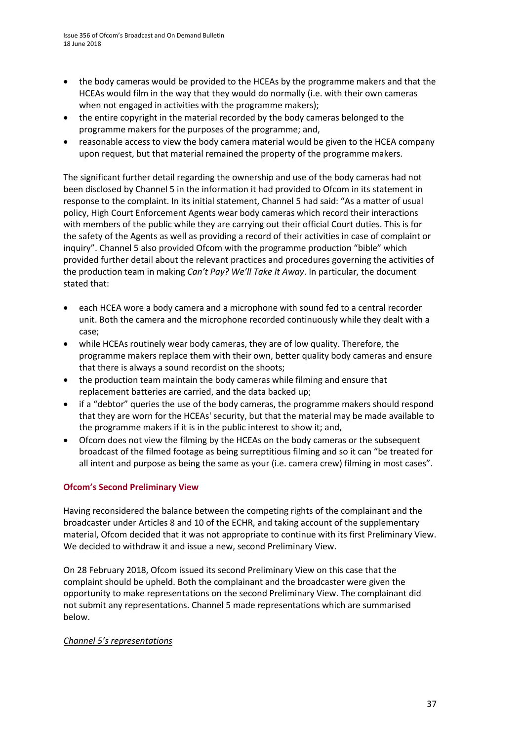- the body cameras would be provided to the HCEAs by the programme makers and that the HCEAs would film in the way that they would do normally (i.e. with their own cameras when not engaged in activities with the programme makers);
- the entire copyright in the material recorded by the body cameras belonged to the programme makers for the purposes of the programme; and,
- reasonable access to view the body camera material would be given to the HCEA company upon request, but that material remained the property of the programme makers.

The significant further detail regarding the ownership and use of the body cameras had not been disclosed by Channel 5 in the information it had provided to Ofcom in its statement in response to the complaint. In its initial statement, Channel 5 had said: "As a matter of usual policy, High Court Enforcement Agents wear body cameras which record their interactions with members of the public while they are carrying out their official Court duties. This is for the safety of the Agents as well as providing a record of their activities in case of complaint or inquiry". Channel 5 also provided Ofcom with the programme production "bible" which provided further detail about the relevant practices and procedures governing the activities of the production team in making *Can't Pay? We'll Take It Away*. In particular, the document stated that:

- each HCEA wore a body camera and a microphone with sound fed to a central recorder unit. Both the camera and the microphone recorded continuously while they dealt with a case;
- while HCEAs routinely wear body cameras, they are of low quality. Therefore, the programme makers replace them with their own, better quality body cameras and ensure that there is always a sound recordist on the shoots;
- the production team maintain the body cameras while filming and ensure that replacement batteries are carried, and the data backed up;
- if a "debtor" queries the use of the body cameras, the programme makers should respond that they are worn for the HCEAs' security, but that the material may be made available to the programme makers if it is in the public interest to show it; and,
- Ofcom does not view the filming by the HCEAs on the body cameras or the subsequent broadcast of the filmed footage as being surreptitious filming and so it can "be treated for all intent and purpose as being the same as your (i.e. camera crew) filming in most cases".

#### **Ofcom's Second Preliminary View**

Having reconsidered the balance between the competing rights of the complainant and the broadcaster under Articles 8 and 10 of the ECHR, and taking account of the supplementary material, Ofcom decided that it was not appropriate to continue with its first Preliminary View. We decided to withdraw it and issue a new, second Preliminary View.

On 28 February 2018, Ofcom issued its second Preliminary View on this case that the complaint should be upheld. Both the complainant and the broadcaster were given the opportunity to make representations on the second Preliminary View. The complainant did not submit any representations. Channel 5 made representations which are summarised below.

#### *Channel 5's representations*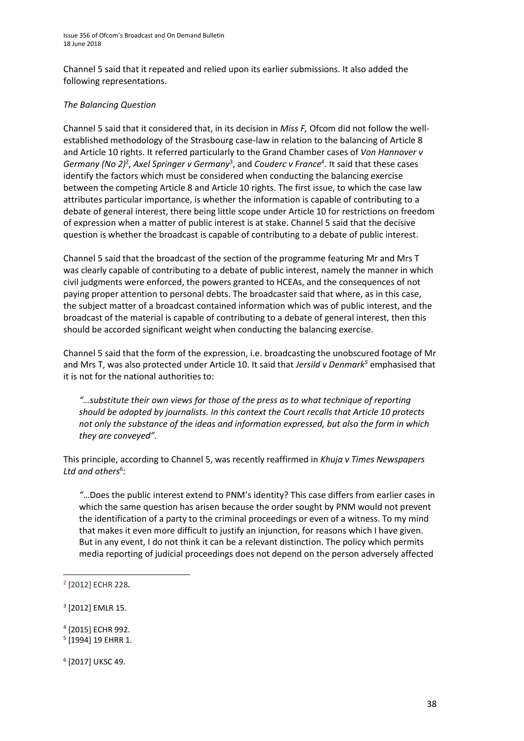Channel 5 said that it repeated and relied upon its earlier submissions. It also added the following representations.

#### *The Balancing Question*

Channel 5 said that it considered that, in its decision in *Miss F,* Ofcom did not follow the wellestablished methodology of the Strasbourg case-law in relation to the balancing of Article 8 and Article 10 rights. It referred particularly to the Grand Chamber cases of *Von Hannover v*  Germany (No 2)<sup>2</sup>, Axel Springer v Germany<sup>3</sup>, and Couderc v France<sup>4</sup>. It said that these cases identify the factors which must be considered when conducting the balancing exercise between the competing Article 8 and Article 10 rights. The first issue, to which the case law attributes particular importance, is whether the information is capable of contributing to a debate of general interest, there being little scope under Article 10 for restrictions on freedom of expression when a matter of public interest is at stake. Channel 5 said that the decisive question is whether the broadcast is capable of contributing to a debate of public interest.

Channel 5 said that the broadcast of the section of the programme featuring Mr and Mrs T was clearly capable of contributing to a debate of public interest, namely the manner in which civil judgments were enforced, the powers granted to HCEAs, and the consequences of not paying proper attention to personal debts. The broadcaster said that where, as in this case, the subject matter of a broadcast contained information which was of public interest, and the broadcast of the material is capable of contributing to a debate of general interest, then this should be accorded significant weight when conducting the balancing exercise.

Channel 5 said that the form of the expression, i.e. broadcasting the unobscured footage of Mr and Mrs T, was also protected under Article 10. It said that *Jersild v Denmark<sup>5</sup>* emphasised that it is not for the national authorities to:

*"…substitute their own views for those of the press as to what technique of reporting should be adopted by journalists. In this context the Court recalls that Article 10 protects not only the substance of the ideas and information expressed, but also the form in which they are conveyed".*

This principle, according to Channel 5, was recently reaffirmed in *Khuja v Times Newspapers*  Ltd and others<sup>6</sup>:

*"*…Does the public interest extend to PNM's identity? This case differs from earlier cases in which the same question has arisen because the order sought by PNM would not prevent the identification of a party to the criminal proceedings or even of a witness. To my mind that makes it even more difficult to justify an injunction, for reasons which I have given. But in any event, I do not think it can be a relevant distinction. The policy which permits media reporting of judicial proceedings does not depend on the person adversely affected

**.** 

4 [2015] ECHR 992.

6 [2017] UKSC 49.

<sup>2</sup> [2012] ECHR 228**.**

<sup>3</sup> [2012] EMLR 15.

<sup>&</sup>lt;sup>5</sup> [1994] 19 EHRR 1.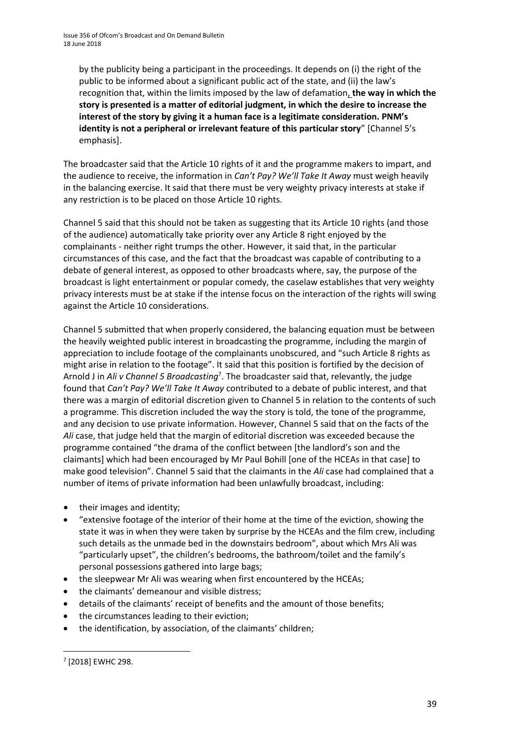by the publicity being a participant in the proceedings. It depends on (i) the right of the public to be informed about a significant public act of the state, and (ii) the law's recognition that, within the limits imposed by the law of defamation, **the way in which the story is presented is a matter of editorial judgment, in which the desire to increase the interest of the story by giving it a human face is a legitimate consideration. PNM's identity is not a peripheral or irrelevant feature of this particular story**" [Channel 5's emphasis].

The broadcaster said that the Article 10 rights of it and the programme makers to impart, and the audience to receive, the information in *Can't Pay? We'll Take It Away* must weigh heavily in the balancing exercise. It said that there must be very weighty privacy interests at stake if any restriction is to be placed on those Article 10 rights.

Channel 5 said that this should not be taken as suggesting that its Article 10 rights (and those of the audience) automatically take priority over any Article 8 right enjoyed by the complainants - neither right trumps the other. However, it said that, in the particular circumstances of this case, and the fact that the broadcast was capable of contributing to a debate of general interest, as opposed to other broadcasts where, say, the purpose of the broadcast is light entertainment or popular comedy, the caselaw establishes that very weighty privacy interests must be at stake if the intense focus on the interaction of the rights will swing against the Article 10 considerations.

Channel 5 submitted that when properly considered, the balancing equation must be between the heavily weighted public interest in broadcasting the programme, including the margin of appreciation to include footage of the complainants unobscured, and "such Article 8 rights as might arise in relation to the footage". It said that this position is fortified by the decision of Arnold J in *Ali v Channel 5 Broadcasting*<sup>7</sup> . The broadcaster said that, relevantly, the judge found that *Can't Pay? We'll Take It Away* contributed to a debate of public interest, and that there was a margin of editorial discretion given to Channel 5 in relation to the contents of such a programme. This discretion included the way the story is told, the tone of the programme, and any decision to use private information. However, Channel 5 said that on the facts of the *Ali* case, that judge held that the margin of editorial discretion was exceeded because the programme contained "the drama of the conflict between [the landlord's son and the claimants] which had been encouraged by Mr Paul Bohill [one of the HCEAs in that case] to make good television". Channel 5 said that the claimants in the *Ali* case had complained that a number of items of private information had been unlawfully broadcast, including:

- their images and identity;
- "extensive footage of the interior of their home at the time of the eviction, showing the state it was in when they were taken by surprise by the HCEAs and the film crew, including such details as the unmade bed in the downstairs bedroom", about which Mrs Ali was "particularly upset", the children's bedrooms, the bathroom/toilet and the family's personal possessions gathered into large bags;
- the sleepwear Mr Ali was wearing when first encountered by the HCEAs;
- the claimants' demeanour and visible distress;
- details of the claimants' receipt of benefits and the amount of those benefits;
- the circumstances leading to their eviction;
- the identification, by association, of the claimants' children;

1

<sup>7</sup> [2018] EWHC 298.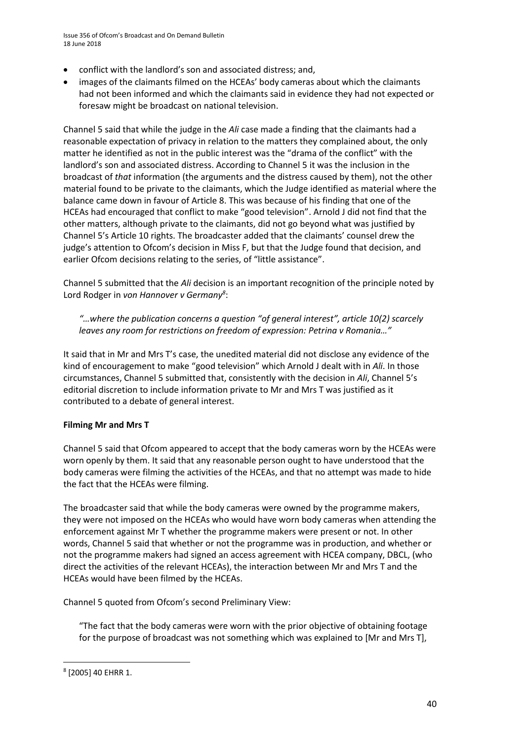Issue 356 of Ofcom's Broadcast and On Demand Bulletin 18 June 2018

- conflict with the landlord's son and associated distress; and,
- images of the claimants filmed on the HCEAs' body cameras about which the claimants had not been informed and which the claimants said in evidence they had not expected or foresaw might be broadcast on national television.

Channel 5 said that while the judge in the *Ali* case made a finding that the claimants had a reasonable expectation of privacy in relation to the matters they complained about, the only matter he identified as not in the public interest was the "drama of the conflict" with the landlord's son and associated distress. According to Channel 5 it was the inclusion in the broadcast of *that* information (the arguments and the distress caused by them), not the other material found to be private to the claimants, which the Judge identified as material where the balance came down in favour of Article 8. This was because of his finding that one of the HCEAs had encouraged that conflict to make "good television". Arnold J did not find that the other matters, although private to the claimants, did not go beyond what was justified by Channel 5's Article 10 rights. The broadcaster added that the claimants' counsel drew the judge's attention to Ofcom's decision in Miss F, but that the Judge found that decision, and earlier Ofcom decisions relating to the series, of "little assistance".

Channel 5 submitted that the *Ali* decision is an important recognition of the principle noted by Lord Rodger in *von Hannover v Germany<sup>8</sup>* :

*"…where the publication concerns a question "of general interest", article 10(2) scarcely leaves any room for restrictions on freedom of expression: Petrina v Romania…"*

It said that in Mr and Mrs T's case, the unedited material did not disclose any evidence of the kind of encouragement to make "good television" which Arnold J dealt with in *Ali*. In those circumstances, Channel 5 submitted that, consistently with the decision in *Ali*, Channel 5's editorial discretion to include information private to Mr and Mrs T was justified as it contributed to a debate of general interest.

#### **Filming Mr and Mrs T**

Channel 5 said that Ofcom appeared to accept that the body cameras worn by the HCEAs were worn openly by them. It said that any reasonable person ought to have understood that the body cameras were filming the activities of the HCEAs, and that no attempt was made to hide the fact that the HCEAs were filming.

The broadcaster said that while the body cameras were owned by the programme makers, they were not imposed on the HCEAs who would have worn body cameras when attending the enforcement against Mr T whether the programme makers were present or not. In other words, Channel 5 said that whether or not the programme was in production, and whether or not the programme makers had signed an access agreement with HCEA company, DBCL, (who direct the activities of the relevant HCEAs), the interaction between Mr and Mrs T and the HCEAs would have been filmed by the HCEAs.

Channel 5 quoted from Ofcom's second Preliminary View:

"The fact that the body cameras were worn with the prior objective of obtaining footage for the purpose of broadcast was not something which was explained to [Mr and Mrs T],

**.** 

<sup>8</sup> [2005] 40 EHRR 1.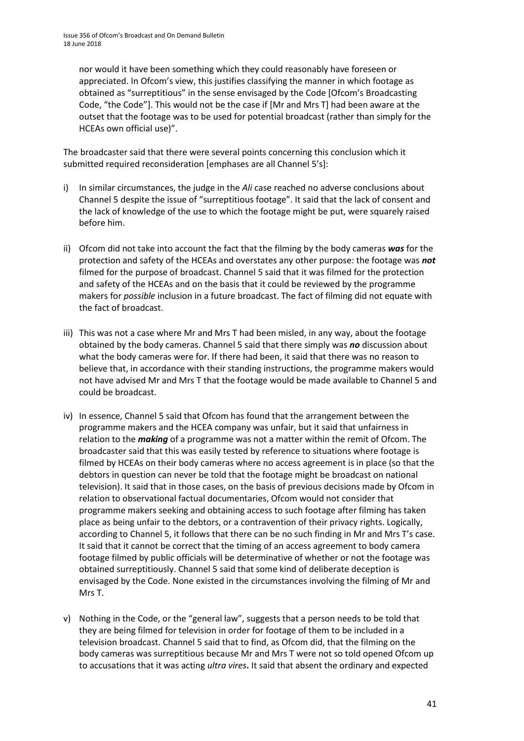nor would it have been something which they could reasonably have foreseen or appreciated. In Ofcom's view, this justifies classifying the manner in which footage as obtained as "surreptitious" in the sense envisaged by the Code [Ofcom's Broadcasting Code, "the Code"]. This would not be the case if [Mr and Mrs T] had been aware at the outset that the footage was to be used for potential broadcast (rather than simply for the HCEAs own official use)".

The broadcaster said that there were several points concerning this conclusion which it submitted required reconsideration [emphases are all Channel 5's]:

- i) In similar circumstances, the judge in the *Ali* case reached no adverse conclusions about Channel 5 despite the issue of "surreptitious footage". It said that the lack of consent and the lack of knowledge of the use to which the footage might be put, were squarely raised before him.
- ii) Ofcom did not take into account the fact that the filming by the body cameras *was* for the protection and safety of the HCEAs and overstates any other purpose: the footage was *not* filmed for the purpose of broadcast. Channel 5 said that it was filmed for the protection and safety of the HCEAs and on the basis that it could be reviewed by the programme makers for *possible* inclusion in a future broadcast. The fact of filming did not equate with the fact of broadcast.
- iii) This was not a case where Mr and Mrs T had been misled, in any way, about the footage obtained by the body cameras. Channel 5 said that there simply was *no* discussion about what the body cameras were for. If there had been, it said that there was no reason to believe that, in accordance with their standing instructions, the programme makers would not have advised Mr and Mrs T that the footage would be made available to Channel 5 and could be broadcast.
- iv) In essence, Channel 5 said that Ofcom has found that the arrangement between the programme makers and the HCEA company was unfair, but it said that unfairness in relation to the *making* of a programme was not a matter within the remit of Ofcom. The broadcaster said that this was easily tested by reference to situations where footage is filmed by HCEAs on their body cameras where no access agreement is in place (so that the debtors in question can never be told that the footage might be broadcast on national television). It said that in those cases, on the basis of previous decisions made by Ofcom in relation to observational factual documentaries, Ofcom would not consider that programme makers seeking and obtaining access to such footage after filming has taken place as being unfair to the debtors, or a contravention of their privacy rights. Logically, according to Channel 5, it follows that there can be no such finding in Mr and Mrs T's case. It said that it cannot be correct that the timing of an access agreement to body camera footage filmed by public officials will be determinative of whether or not the footage was obtained surreptitiously. Channel 5 said that some kind of deliberate deception is envisaged by the Code. None existed in the circumstances involving the filming of Mr and Mrs T.
- v) Nothing in the Code, or the "general law", suggests that a person needs to be told that they are being filmed for television in order for footage of them to be included in a television broadcast. Channel 5 said that to find, as Ofcom did, that the filming on the body cameras was surreptitious because Mr and Mrs T were not so told opened Ofcom up to accusations that it was acting *ultra vires***.** It said that absent the ordinary and expected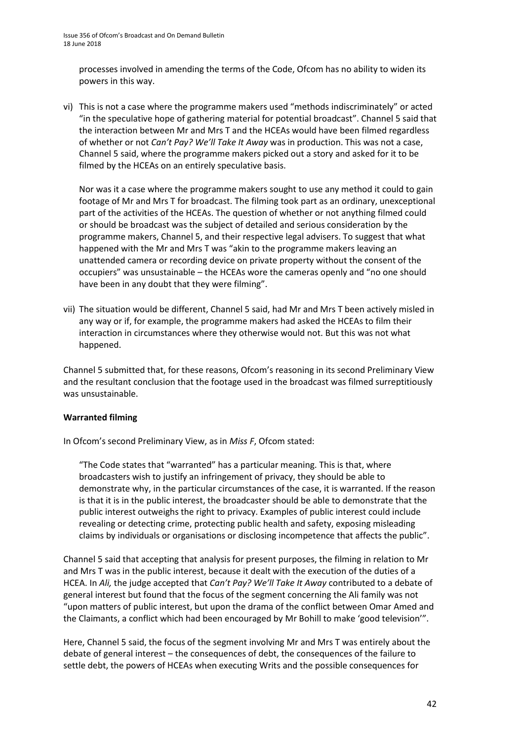processes involved in amending the terms of the Code, Ofcom has no ability to widen its powers in this way.

vi) This is not a case where the programme makers used "methods indiscriminately" or acted "in the speculative hope of gathering material for potential broadcast". Channel 5 said that the interaction between Mr and Mrs T and the HCEAs would have been filmed regardless of whether or not *Can't Pay? We'll Take It Away* was in production. This was not a case, Channel 5 said, where the programme makers picked out a story and asked for it to be filmed by the HCEAs on an entirely speculative basis.

Nor was it a case where the programme makers sought to use any method it could to gain footage of Mr and Mrs T for broadcast. The filming took part as an ordinary, unexceptional part of the activities of the HCEAs. The question of whether or not anything filmed could or should be broadcast was the subject of detailed and serious consideration by the programme makers, Channel 5, and their respective legal advisers. To suggest that what happened with the Mr and Mrs T was "akin to the programme makers leaving an unattended camera or recording device on private property without the consent of the occupiers" was unsustainable – the HCEAs wore the cameras openly and "no one should have been in any doubt that they were filming".

vii) The situation would be different, Channel 5 said, had Mr and Mrs T been actively misled in any way or if, for example, the programme makers had asked the HCEAs to film their interaction in circumstances where they otherwise would not. But this was not what happened.

Channel 5 submitted that, for these reasons, Ofcom's reasoning in its second Preliminary View and the resultant conclusion that the footage used in the broadcast was filmed surreptitiously was unsustainable.

#### **Warranted filming**

In Ofcom's second Preliminary View, as in *Miss F*, Ofcom stated:

"The Code states that "warranted" has a particular meaning. This is that, where broadcasters wish to justify an infringement of privacy, they should be able to demonstrate why, in the particular circumstances of the case, it is warranted. If the reason is that it is in the public interest, the broadcaster should be able to demonstrate that the public interest outweighs the right to privacy. Examples of public interest could include revealing or detecting crime, protecting public health and safety, exposing misleading claims by individuals or organisations or disclosing incompetence that affects the public".

Channel 5 said that accepting that analysis for present purposes, the filming in relation to Mr and Mrs T was in the public interest, because it dealt with the execution of the duties of a HCEA. In *Ali,* the judge accepted that *Can't Pay? We'll Take It Away* contributed to a debate of general interest but found that the focus of the segment concerning the Ali family was not "upon matters of public interest, but upon the drama of the conflict between Omar Amed and the Claimants, a conflict which had been encouraged by Mr Bohill to make 'good television'".

Here, Channel 5 said, the focus of the segment involving Mr and Mrs T was entirely about the debate of general interest – the consequences of debt, the consequences of the failure to settle debt, the powers of HCEAs when executing Writs and the possible consequences for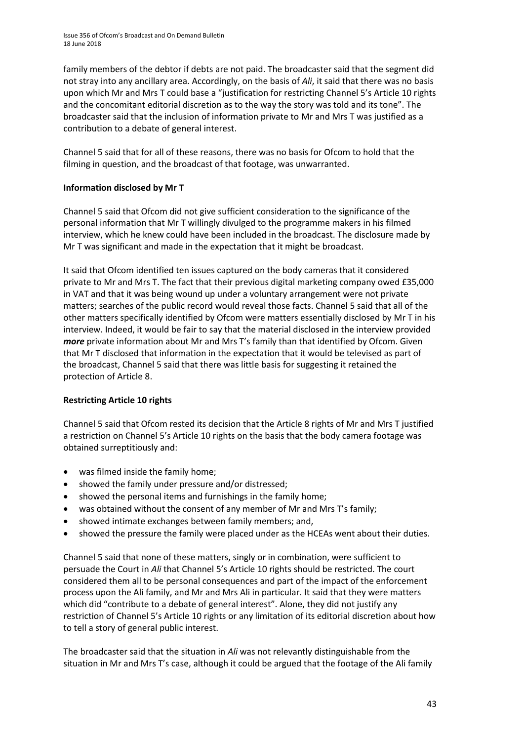family members of the debtor if debts are not paid. The broadcaster said that the segment did not stray into any ancillary area. Accordingly, on the basis of *Ali*, it said that there was no basis upon which Mr and Mrs T could base a "justification for restricting Channel 5's Article 10 rights and the concomitant editorial discretion as to the way the story was told and its tone". The broadcaster said that the inclusion of information private to Mr and Mrs T was justified as a contribution to a debate of general interest.

Channel 5 said that for all of these reasons, there was no basis for Ofcom to hold that the filming in question, and the broadcast of that footage, was unwarranted.

#### **Information disclosed by Mr T**

Channel 5 said that Ofcom did not give sufficient consideration to the significance of the personal information that Mr T willingly divulged to the programme makers in his filmed interview, which he knew could have been included in the broadcast. The disclosure made by Mr T was significant and made in the expectation that it might be broadcast.

It said that Ofcom identified ten issues captured on the body cameras that it considered private to Mr and Mrs T. The fact that their previous digital marketing company owed £35,000 in VAT and that it was being wound up under a voluntary arrangement were not private matters; searches of the public record would reveal those facts. Channel 5 said that all of the other matters specifically identified by Ofcom were matters essentially disclosed by Mr T in his interview. Indeed, it would be fair to say that the material disclosed in the interview provided *more* private information about Mr and Mrs T's family than that identified by Ofcom. Given that Mr T disclosed that information in the expectation that it would be televised as part of the broadcast, Channel 5 said that there was little basis for suggesting it retained the protection of Article 8.

#### **Restricting Article 10 rights**

Channel 5 said that Ofcom rested its decision that the Article 8 rights of Mr and Mrs T justified a restriction on Channel 5's Article 10 rights on the basis that the body camera footage was obtained surreptitiously and:

- was filmed inside the family home;
- showed the family under pressure and/or distressed;
- showed the personal items and furnishings in the family home;
- was obtained without the consent of any member of Mr and Mrs T's family;
- showed intimate exchanges between family members; and,
- showed the pressure the family were placed under as the HCEAs went about their duties.

Channel 5 said that none of these matters, singly or in combination, were sufficient to persuade the Court in *Ali* that Channel 5's Article 10 rights should be restricted. The court considered them all to be personal consequences and part of the impact of the enforcement process upon the Ali family, and Mr and Mrs Ali in particular. It said that they were matters which did "contribute to a debate of general interest". Alone, they did not justify any restriction of Channel 5's Article 10 rights or any limitation of its editorial discretion about how to tell a story of general public interest.

The broadcaster said that the situation in *Ali* was not relevantly distinguishable from the situation in Mr and Mrs T's case, although it could be argued that the footage of the Ali family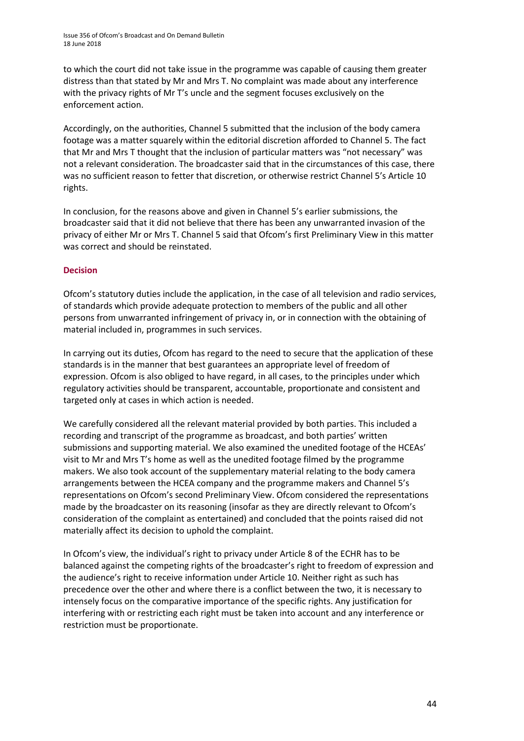to which the court did not take issue in the programme was capable of causing them greater distress than that stated by Mr and Mrs T. No complaint was made about any interference with the privacy rights of Mr T's uncle and the segment focuses exclusively on the enforcement action.

Accordingly, on the authorities, Channel 5 submitted that the inclusion of the body camera footage was a matter squarely within the editorial discretion afforded to Channel 5. The fact that Mr and Mrs T thought that the inclusion of particular matters was "not necessary" was not a relevant consideration. The broadcaster said that in the circumstances of this case, there was no sufficient reason to fetter that discretion, or otherwise restrict Channel 5's Article 10 rights.

In conclusion, for the reasons above and given in Channel 5's earlier submissions, the broadcaster said that it did not believe that there has been any unwarranted invasion of the privacy of either Mr or Mrs T. Channel 5 said that Ofcom's first Preliminary View in this matter was correct and should be reinstated.

#### **Decision**

Ofcom's statutory duties include the application, in the case of all television and radio services, of standards which provide adequate protection to members of the public and all other persons from unwarranted infringement of privacy in, or in connection with the obtaining of material included in, programmes in such services.

In carrying out its duties, Ofcom has regard to the need to secure that the application of these standards is in the manner that best guarantees an appropriate level of freedom of expression. Ofcom is also obliged to have regard, in all cases, to the principles under which regulatory activities should be transparent, accountable, proportionate and consistent and targeted only at cases in which action is needed.

We carefully considered all the relevant material provided by both parties. This included a recording and transcript of the programme as broadcast, and both parties' written submissions and supporting material. We also examined the unedited footage of the HCEAs' visit to Mr and Mrs T's home as well as the unedited footage filmed by the programme makers. We also took account of the supplementary material relating to the body camera arrangements between the HCEA company and the programme makers and Channel 5's representations on Ofcom's second Preliminary View. Ofcom considered the representations made by the broadcaster on its reasoning (insofar as they are directly relevant to Ofcom's consideration of the complaint as entertained) and concluded that the points raised did not materially affect its decision to uphold the complaint.

In Ofcom's view, the individual's right to privacy under Article 8 of the ECHR has to be balanced against the competing rights of the broadcaster's right to freedom of expression and the audience's right to receive information under Article 10. Neither right as such has precedence over the other and where there is a conflict between the two, it is necessary to intensely focus on the comparative importance of the specific rights. Any justification for interfering with or restricting each right must be taken into account and any interference or restriction must be proportionate.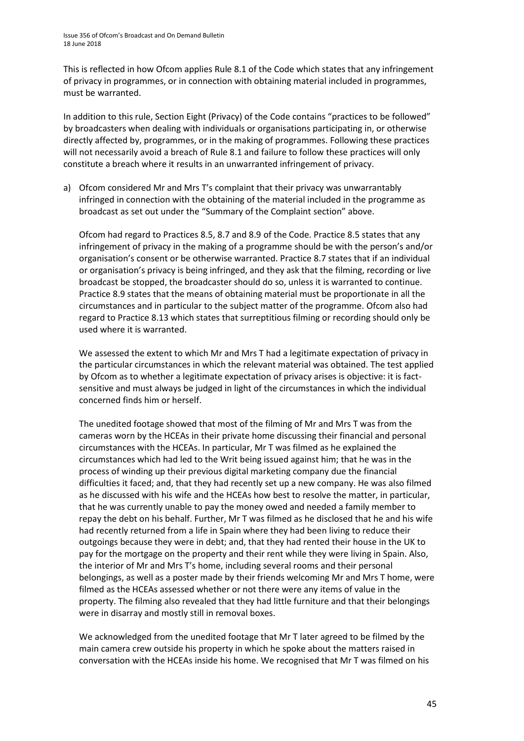This is reflected in how Ofcom applies Rule 8.1 of the Code which states that any infringement of privacy in programmes, or in connection with obtaining material included in programmes, must be warranted.

In addition to this rule, Section Eight (Privacy) of the Code contains "practices to be followed" by broadcasters when dealing with individuals or organisations participating in, or otherwise directly affected by, programmes, or in the making of programmes. Following these practices will not necessarily avoid a breach of Rule 8.1 and failure to follow these practices will only constitute a breach where it results in an unwarranted infringement of privacy.

a) Ofcom considered Mr and Mrs T's complaint that their privacy was unwarrantably infringed in connection with the obtaining of the material included in the programme as broadcast as set out under the "Summary of the Complaint section" above.

Ofcom had regard to Practices 8.5, 8.7 and 8.9 of the Code. Practice 8.5 states that any infringement of privacy in the making of a programme should be with the person's and/or organisation's consent or be otherwise warranted. Practice 8.7 states that if an individual or organisation's privacy is being infringed, and they ask that the filming, recording or live broadcast be stopped, the broadcaster should do so, unless it is warranted to continue. Practice 8.9 states that the means of obtaining material must be proportionate in all the circumstances and in particular to the subject matter of the programme. Ofcom also had regard to Practice 8.13 which states that surreptitious filming or recording should only be used where it is warranted.

We assessed the extent to which Mr and Mrs T had a legitimate expectation of privacy in the particular circumstances in which the relevant material was obtained. The test applied by Ofcom as to whether a legitimate expectation of privacy arises is objective: it is factsensitive and must always be judged in light of the circumstances in which the individual concerned finds him or herself.

The unedited footage showed that most of the filming of Mr and Mrs T was from the cameras worn by the HCEAs in their private home discussing their financial and personal circumstances with the HCEAs. In particular, Mr T was filmed as he explained the circumstances which had led to the Writ being issued against him; that he was in the process of winding up their previous digital marketing company due the financial difficulties it faced; and, that they had recently set up a new company. He was also filmed as he discussed with his wife and the HCEAs how best to resolve the matter, in particular, that he was currently unable to pay the money owed and needed a family member to repay the debt on his behalf. Further, Mr T was filmed as he disclosed that he and his wife had recently returned from a life in Spain where they had been living to reduce their outgoings because they were in debt; and, that they had rented their house in the UK to pay for the mortgage on the property and their rent while they were living in Spain. Also, the interior of Mr and Mrs T's home, including several rooms and their personal belongings, as well as a poster made by their friends welcoming Mr and Mrs T home, were filmed as the HCEAs assessed whether or not there were any items of value in the property. The filming also revealed that they had little furniture and that their belongings were in disarray and mostly still in removal boxes.

We acknowledged from the unedited footage that Mr T later agreed to be filmed by the main camera crew outside his property in which he spoke about the matters raised in conversation with the HCEAs inside his home. We recognised that Mr T was filmed on his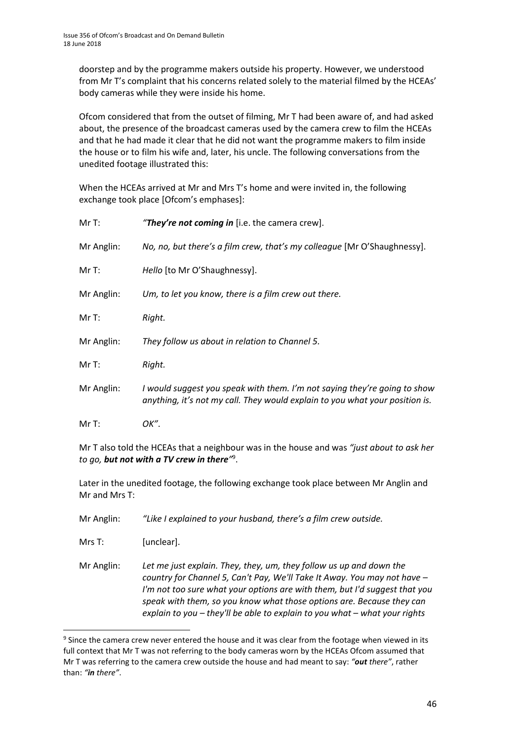doorstep and by the programme makers outside his property. However, we understood from Mr T's complaint that his concerns related solely to the material filmed by the HCEAs' body cameras while they were inside his home.

Ofcom considered that from the outset of filming, Mr T had been aware of, and had asked about, the presence of the broadcast cameras used by the camera crew to film the HCEAs and that he had made it clear that he did not want the programme makers to film inside the house or to film his wife and, later, his uncle. The following conversations from the unedited footage illustrated this:

When the HCEAs arrived at Mr and Mrs T's home and were invited in, the following exchange took place [Ofcom's emphases]:

| MrT:       | "They're not coming in [i.e. the camera crew].                                                                                                            |
|------------|-----------------------------------------------------------------------------------------------------------------------------------------------------------|
| Mr Anglin: | No, no, but there's a film crew, that's my colleague [Mr O'Shaughnessy].                                                                                  |
| MrT:       | Hello [to Mr O'Shaughnessy].                                                                                                                              |
| Mr Anglin: | Um, to let you know, there is a film crew out there.                                                                                                      |
| MrT:       | Right.                                                                                                                                                    |
| Mr Anglin: | They follow us about in relation to Channel 5.                                                                                                            |
| MrT:       | Right.                                                                                                                                                    |
| Mr Anglin: | I would suggest you speak with them. I'm not saying they're going to show<br>anything, it's not my call. They would explain to you what your position is. |
| Mr T:      | OK".                                                                                                                                                      |

Mr T also told the HCEAs that a neighbour was in the house and was *"just about to ask her to go, but not with a TV crew in there"* 9 .

Later in the unedited footage, the following exchange took place between Mr Anglin and Mr and Mrs T:

Mr Anglin: *"Like I explained to your husband, there's a film crew outside.*

Mrs T: [unclear].

1

Mr Anglin: *Let me just explain. They, they, um, they follow us up and down the country for Channel 5, Can't Pay, We'll Take It Away. You may not have – I'm not too sure what your options are with them, but I'd suggest that you speak with them, so you know what those options are. Because they can explain to you – they'll be able to explain to you what – what your rights* 

 $9$  Since the camera crew never entered the house and it was clear from the footage when viewed in its full context that Mr T was not referring to the body cameras worn by the HCEAs Ofcom assumed that Mr T was referring to the camera crew outside the house and had meant to say: *"out there"*, rather than: *"in there"*.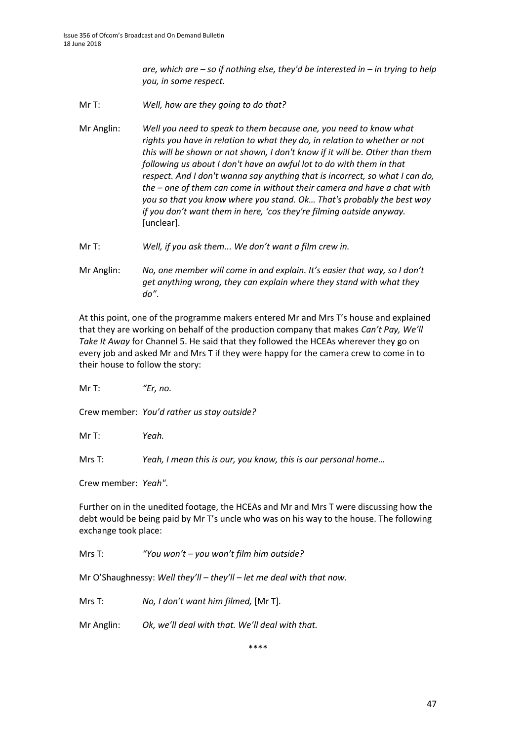*are, which are – so if nothing else, they'd be interested in – in trying to help you, in some respect.*

- Mr T: *Well, how are they going to do that?*
- Mr Anglin: *Well you need to speak to them because one, you need to know what rights you have in relation to what they do, in relation to whether or not this will be shown or not shown, I don't know if it will be. Other than them following us about I don't have an awful lot to do with them in that respect. And I don't wanna say anything that is incorrect, so what I can do, the – one of them can come in without their camera and have a chat with you so that you know where you stand. Ok… That's probably the best way if you don't want them in here, 'cos they're filming outside anyway.* [unclear].
- Mr T: *Well, if you ask them... We don't want a film crew in.*
- Mr Anglin: *No, one member will come in and explain. It's easier that way, so I don't get anything wrong, they can explain where they stand with what they do"*.

At this point, one of the programme makers entered Mr and Mrs T's house and explained that they are working on behalf of the production company that makes *Can't Pay, We'll Take It Away* for Channel 5. He said that they followed the HCEAs wherever they go on every job and asked Mr and Mrs T if they were happy for the camera crew to come in to their house to follow the story:

Mr T: *"Er, no.*

Crew member: *You'd rather us stay outside?*

Mr T: *Yeah.*

Mrs T: *Yeah, I mean this is our, you know, this is our personal home…*

Crew member: *Yeah"*.

Further on in the unedited footage, the HCEAs and Mr and Mrs T were discussing how the debt would be being paid by Mr T's uncle who was on his way to the house. The following exchange took place:

Mrs T: *"You won't – you won't film him outside?*

Mr O'Shaughnessy: *Well they'll – they'll – let me deal with that now.*

Mrs T: *No, I don't want him filmed,* [Mr T].

Mr Anglin: *Ok, we'll deal with that. We'll deal with that.*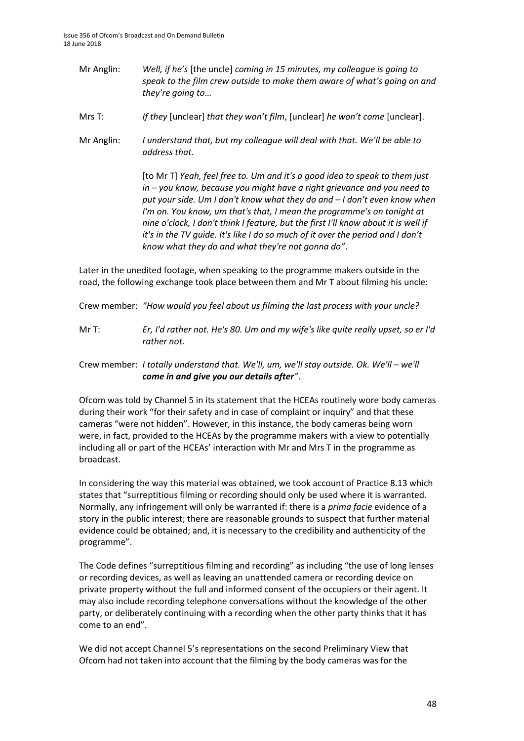- Mr Anglin: *Well, if he's* [the uncle] *coming in 15 minutes, my colleague is going to speak to the film crew outside to make them aware of what's going on and they're going to*…
- Mrs T: *If they* [unclear] *that they won't film*, [unclear] *he won't come* [unclear].
- Mr Anglin: *I understand that, but my colleague will deal with that. We'll be able to address that*.

[to Mr T] *Yeah, feel free to. Um and it's a good idea to speak to them just in – you know, because you might have a right grievance and you need to put your side. Um I don't know what they do and – I don't even know when I'm on. You know, um that's that, I mean the programme's on tonight at nine o'clock, I don't think I feature, but the first I'll know about it is well if it's in the TV guide. It's like I do so much of it over the period and I don't know what they do and what they're not gonna do"*.

Later in the unedited footage, when speaking to the programme makers outside in the road, the following exchange took place between them and Mr T about filming his uncle:

Crew member: *"How would you feel about us filming the last process with your uncle?*

Mr T: *Er, I'd rather not. He's 80. Um and my wife's like quite really upset, so er I'd rather not.*

#### Crew member: *I totally understand that. We'll, um, we'll stay outside. Ok. We'll – we'll come in and give you our details after"*.

Ofcom was told by Channel 5 in its statement that the HCEAs routinely wore body cameras during their work "for their safety and in case of complaint or inquiry" and that these cameras "were not hidden". However, in this instance, the body cameras being worn were, in fact, provided to the HCEAs by the programme makers with a view to potentially including all or part of the HCEAs' interaction with Mr and Mrs T in the programme as broadcast.

In considering the way this material was obtained, we took account of Practice 8.13 which states that "surreptitious filming or recording should only be used where it is warranted. Normally, any infringement will only be warranted if: there is a *prima facie* evidence of a story in the public interest; there are reasonable grounds to suspect that further material evidence could be obtained; and, it is necessary to the credibility and authenticity of the programme".

The Code defines "surreptitious filming and recording" as including "the use of long lenses or recording devices, as well as leaving an unattended camera or recording device on private property without the full and informed consent of the occupiers or their agent. It may also include recording telephone conversations without the knowledge of the other party, or deliberately continuing with a recording when the other party thinks that it has come to an end".

We did not accept Channel 5's representations on the second Preliminary View that Ofcom had not taken into account that the filming by the body cameras was for the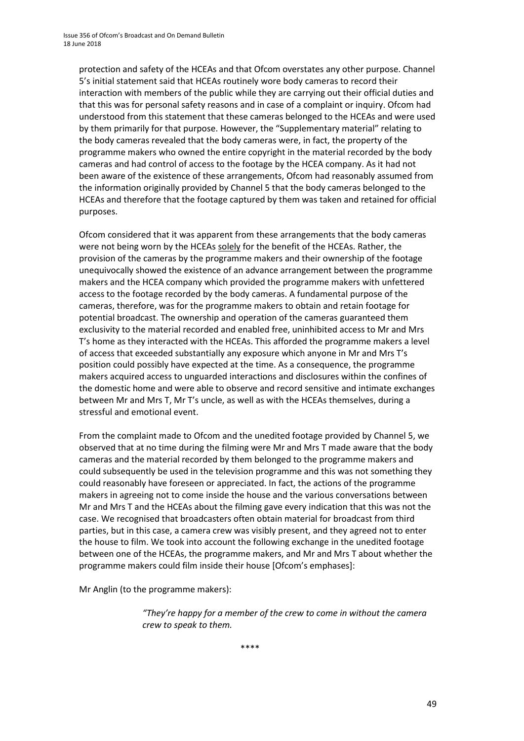protection and safety of the HCEAs and that Ofcom overstates any other purpose. Channel 5's initial statement said that HCEAs routinely wore body cameras to record their interaction with members of the public while they are carrying out their official duties and that this was for personal safety reasons and in case of a complaint or inquiry. Ofcom had understood from this statement that these cameras belonged to the HCEAs and were used by them primarily for that purpose. However, the "Supplementary material" relating to the body cameras revealed that the body cameras were, in fact, the property of the programme makers who owned the entire copyright in the material recorded by the body cameras and had control of access to the footage by the HCEA company. As it had not been aware of the existence of these arrangements, Ofcom had reasonably assumed from the information originally provided by Channel 5 that the body cameras belonged to the HCEAs and therefore that the footage captured by them was taken and retained for official purposes.

Ofcom considered that it was apparent from these arrangements that the body cameras were not being worn by the HCEAs solely for the benefit of the HCEAs. Rather, the provision of the cameras by the programme makers and their ownership of the footage unequivocally showed the existence of an advance arrangement between the programme makers and the HCEA company which provided the programme makers with unfettered access to the footage recorded by the body cameras. A fundamental purpose of the cameras, therefore, was for the programme makers to obtain and retain footage for potential broadcast. The ownership and operation of the cameras guaranteed them exclusivity to the material recorded and enabled free, uninhibited access to Mr and Mrs T's home as they interacted with the HCEAs. This afforded the programme makers a level of access that exceeded substantially any exposure which anyone in Mr and Mrs T's position could possibly have expected at the time. As a consequence, the programme makers acquired access to unguarded interactions and disclosures within the confines of the domestic home and were able to observe and record sensitive and intimate exchanges between Mr and Mrs T, Mr T's uncle, as well as with the HCEAs themselves, during a stressful and emotional event.

From the complaint made to Ofcom and the unedited footage provided by Channel 5, we observed that at no time during the filming were Mr and Mrs T made aware that the body cameras and the material recorded by them belonged to the programme makers and could subsequently be used in the television programme and this was not something they could reasonably have foreseen or appreciated. In fact, the actions of the programme makers in agreeing not to come inside the house and the various conversations between Mr and Mrs T and the HCEAs about the filming gave every indication that this was not the case. We recognised that broadcasters often obtain material for broadcast from third parties, but in this case, a camera crew was visibly present, and they agreed not to enter the house to film. We took into account the following exchange in the unedited footage between one of the HCEAs, the programme makers, and Mr and Mrs T about whether the programme makers could film inside their house [Ofcom's emphases]:

Mr Anglin (to the programme makers):

*"They're happy for a member of the crew to come in without the camera crew to speak to them.*

\*\*\*\*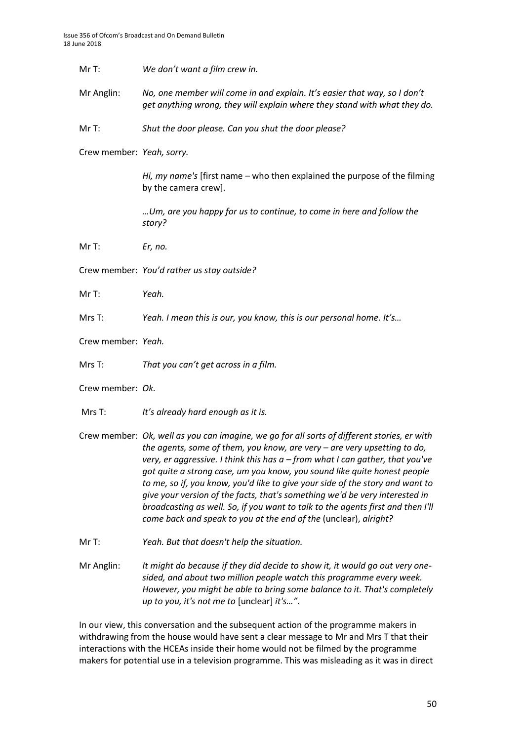| We don't want a film crew in.<br>MrT: |
|---------------------------------------|
|---------------------------------------|

Mr Anglin: *No, one member will come in and explain. It's easier that way, so I don't get anything wrong, they will explain where they stand with what they do.*

Mr T: *Shut the door please. Can you shut the door please?*

Crew member: *Yeah, sorry.*

*Hi, my name's* [first name – who then explained the purpose of the filming by the camera crew].

*…Um, are you happy for us to continue, to come in here and follow the story?*

Mr T: *Er, no.*

Crew member: *You'd rather us stay outside?*

Mr T: *Yeah.*

Mrs T: *Yeah. I mean this is our, you know, this is our personal home. It's…*

Crew member: *Yeah.*

Mrs T: *That you can't get across in a film.*

Crew member: *Ok.*

Mrs T: *It's already hard enough as it is.*

Crew member: *Ok, well as you can imagine, we go for all sorts of different stories, er with the agents, some of them, you know, are very – are very upsetting to do, very, er aggressive. I think this has a – from what I can gather, that you've got quite a strong case, um you know, you sound like quite honest people to me, so if, you know, you'd like to give your side of the story and want to give your version of the facts, that's something we'd be very interested in broadcasting as well. So, if you want to talk to the agents first and then I'll come back and speak to you at the end of the* (unclear), *alright?*

Mr T: *Yeah. But that doesn't help the situation.*

Mr Anglin: *It might do because if they did decide to show it, it would go out very onesided, and about two million people watch this programme every week. However, you might be able to bring some balance to it. That's completely up to you, it's not me to* [unclear] *it's…"*.

In our view, this conversation and the subsequent action of the programme makers in withdrawing from the house would have sent a clear message to Mr and Mrs T that their interactions with the HCEAs inside their home would not be filmed by the programme makers for potential use in a television programme. This was misleading as it was in direct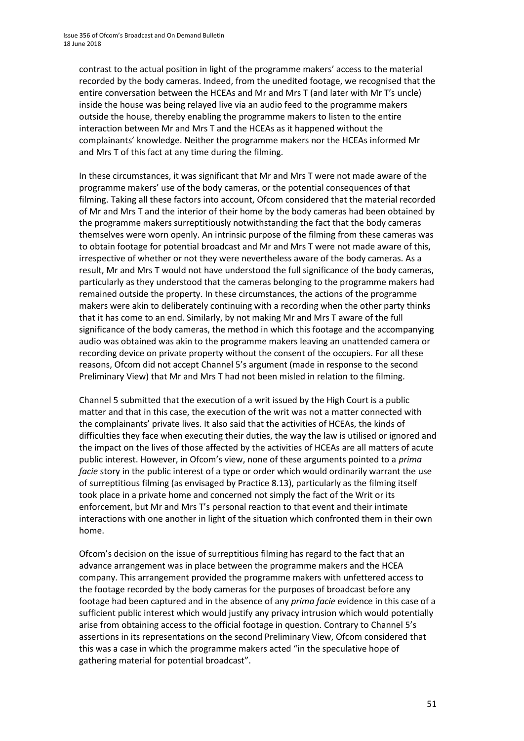contrast to the actual position in light of the programme makers' access to the material recorded by the body cameras. Indeed, from the unedited footage, we recognised that the entire conversation between the HCEAs and Mr and Mrs T (and later with Mr T's uncle) inside the house was being relayed live via an audio feed to the programme makers outside the house, thereby enabling the programme makers to listen to the entire interaction between Mr and Mrs T and the HCEAs as it happened without the complainants' knowledge. Neither the programme makers nor the HCEAs informed Mr and Mrs T of this fact at any time during the filming.

In these circumstances, it was significant that Mr and Mrs T were not made aware of the programme makers' use of the body cameras, or the potential consequences of that filming. Taking all these factors into account, Ofcom considered that the material recorded of Mr and Mrs T and the interior of their home by the body cameras had been obtained by the programme makers surreptitiously notwithstanding the fact that the body cameras themselves were worn openly. An intrinsic purpose of the filming from these cameras was to obtain footage for potential broadcast and Mr and Mrs T were not made aware of this, irrespective of whether or not they were nevertheless aware of the body cameras. As a result, Mr and Mrs T would not have understood the full significance of the body cameras, particularly as they understood that the cameras belonging to the programme makers had remained outside the property. In these circumstances, the actions of the programme makers were akin to deliberately continuing with a recording when the other party thinks that it has come to an end. Similarly, by not making Mr and Mrs T aware of the full significance of the body cameras, the method in which this footage and the accompanying audio was obtained was akin to the programme makers leaving an unattended camera or recording device on private property without the consent of the occupiers. For all these reasons, Ofcom did not accept Channel 5's argument (made in response to the second Preliminary View) that Mr and Mrs T had not been misled in relation to the filming.

Channel 5 submitted that the execution of a writ issued by the High Court is a public matter and that in this case, the execution of the writ was not a matter connected with the complainants' private lives. It also said that the activities of HCEAs, the kinds of difficulties they face when executing their duties, the way the law is utilised or ignored and the impact on the lives of those affected by the activities of HCEAs are all matters of acute public interest. However, in Ofcom's view, none of these arguments pointed to a *prima facie* story in the public interest of a type or order which would ordinarily warrant the use of surreptitious filming (as envisaged by Practice 8.13), particularly as the filming itself took place in a private home and concerned not simply the fact of the Writ or its enforcement, but Mr and Mrs T's personal reaction to that event and their intimate interactions with one another in light of the situation which confronted them in their own home.

Ofcom's decision on the issue of surreptitious filming has regard to the fact that an advance arrangement was in place between the programme makers and the HCEA company. This arrangement provided the programme makers with unfettered access to the footage recorded by the body cameras for the purposes of broadcast before any footage had been captured and in the absence of any *prima facie* evidence in this case of a sufficient public interest which would justify any privacy intrusion which would potentially arise from obtaining access to the official footage in question. Contrary to Channel 5's assertions in its representations on the second Preliminary View, Ofcom considered that this was a case in which the programme makers acted "in the speculative hope of gathering material for potential broadcast".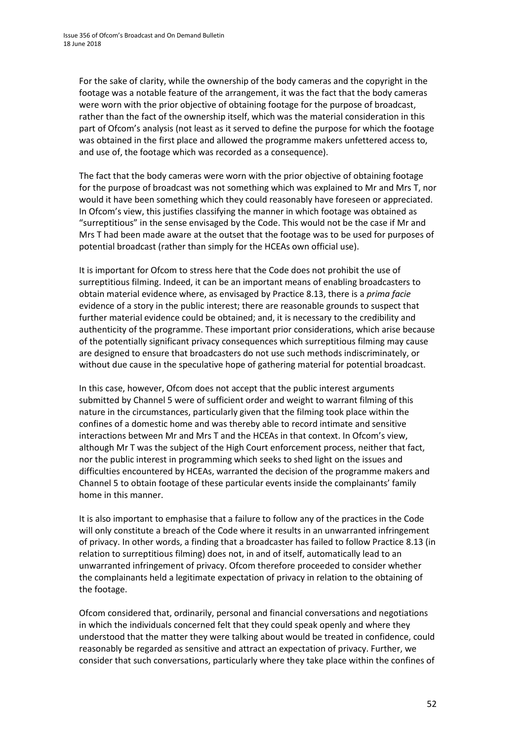For the sake of clarity, while the ownership of the body cameras and the copyright in the footage was a notable feature of the arrangement, it was the fact that the body cameras were worn with the prior objective of obtaining footage for the purpose of broadcast, rather than the fact of the ownership itself, which was the material consideration in this part of Ofcom's analysis (not least as it served to define the purpose for which the footage was obtained in the first place and allowed the programme makers unfettered access to, and use of, the footage which was recorded as a consequence).

The fact that the body cameras were worn with the prior objective of obtaining footage for the purpose of broadcast was not something which was explained to Mr and Mrs T, nor would it have been something which they could reasonably have foreseen or appreciated. In Ofcom's view, this justifies classifying the manner in which footage was obtained as "surreptitious" in the sense envisaged by the Code. This would not be the case if Mr and Mrs T had been made aware at the outset that the footage was to be used for purposes of potential broadcast (rather than simply for the HCEAs own official use).

It is important for Ofcom to stress here that the Code does not prohibit the use of surreptitious filming. Indeed, it can be an important means of enabling broadcasters to obtain material evidence where, as envisaged by Practice 8.13, there is a *prima facie* evidence of a story in the public interest; there are reasonable grounds to suspect that further material evidence could be obtained; and, it is necessary to the credibility and authenticity of the programme. These important prior considerations, which arise because of the potentially significant privacy consequences which surreptitious filming may cause are designed to ensure that broadcasters do not use such methods indiscriminately, or without due cause in the speculative hope of gathering material for potential broadcast.

In this case, however, Ofcom does not accept that the public interest arguments submitted by Channel 5 were of sufficient order and weight to warrant filming of this nature in the circumstances, particularly given that the filming took place within the confines of a domestic home and was thereby able to record intimate and sensitive interactions between Mr and Mrs T and the HCEAs in that context. In Ofcom's view, although Mr T was the subject of the High Court enforcement process, neither that fact, nor the public interest in programming which seeks to shed light on the issues and difficulties encountered by HCEAs, warranted the decision of the programme makers and Channel 5 to obtain footage of these particular events inside the complainants' family home in this manner.

It is also important to emphasise that a failure to follow any of the practices in the Code will only constitute a breach of the Code where it results in an unwarranted infringement of privacy. In other words, a finding that a broadcaster has failed to follow Practice 8.13 (in relation to surreptitious filming) does not, in and of itself, automatically lead to an unwarranted infringement of privacy. Ofcom therefore proceeded to consider whether the complainants held a legitimate expectation of privacy in relation to the obtaining of the footage.

Ofcom considered that, ordinarily, personal and financial conversations and negotiations in which the individuals concerned felt that they could speak openly and where they understood that the matter they were talking about would be treated in confidence, could reasonably be regarded as sensitive and attract an expectation of privacy. Further, we consider that such conversations, particularly where they take place within the confines of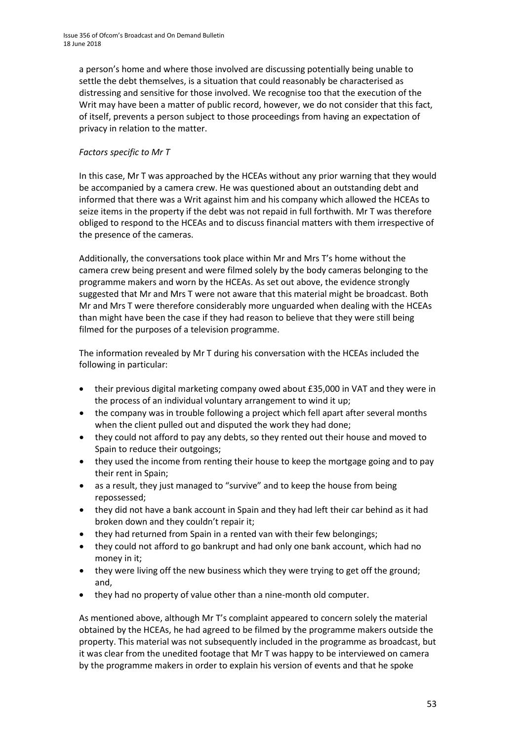a person's home and where those involved are discussing potentially being unable to settle the debt themselves, is a situation that could reasonably be characterised as distressing and sensitive for those involved. We recognise too that the execution of the Writ may have been a matter of public record, however, we do not consider that this fact, of itself, prevents a person subject to those proceedings from having an expectation of privacy in relation to the matter.

#### *Factors specific to Mr T*

In this case, Mr T was approached by the HCEAs without any prior warning that they would be accompanied by a camera crew. He was questioned about an outstanding debt and informed that there was a Writ against him and his company which allowed the HCEAs to seize items in the property if the debt was not repaid in full forthwith. Mr T was therefore obliged to respond to the HCEAs and to discuss financial matters with them irrespective of the presence of the cameras.

Additionally, the conversations took place within Mr and Mrs T's home without the camera crew being present and were filmed solely by the body cameras belonging to the programme makers and worn by the HCEAs. As set out above, the evidence strongly suggested that Mr and Mrs T were not aware that this material might be broadcast. Both Mr and Mrs T were therefore considerably more unguarded when dealing with the HCEAs than might have been the case if they had reason to believe that they were still being filmed for the purposes of a television programme.

The information revealed by Mr T during his conversation with the HCEAs included the following in particular:

- their previous digital marketing company owed about £35,000 in VAT and they were in the process of an individual voluntary arrangement to wind it up;
- the company was in trouble following a project which fell apart after several months when the client pulled out and disputed the work they had done;
- they could not afford to pay any debts, so they rented out their house and moved to Spain to reduce their outgoings;
- they used the income from renting their house to keep the mortgage going and to pay their rent in Spain;
- as a result, they just managed to "survive" and to keep the house from being repossessed;
- they did not have a bank account in Spain and they had left their car behind as it had broken down and they couldn't repair it;
- they had returned from Spain in a rented van with their few belongings;
- they could not afford to go bankrupt and had only one bank account, which had no money in it;
- they were living off the new business which they were trying to get off the ground; and,
- they had no property of value other than a nine-month old computer.

As mentioned above, although Mr T's complaint appeared to concern solely the material obtained by the HCEAs, he had agreed to be filmed by the programme makers outside the property. This material was not subsequently included in the programme as broadcast, but it was clear from the unedited footage that Mr T was happy to be interviewed on camera by the programme makers in order to explain his version of events and that he spoke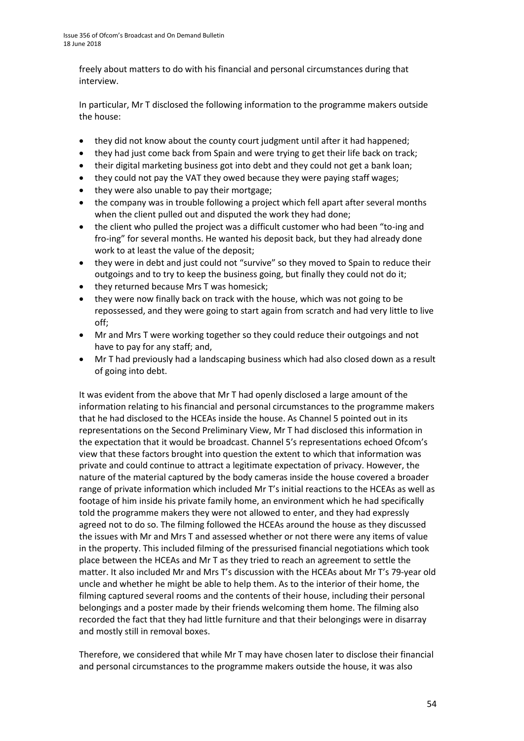freely about matters to do with his financial and personal circumstances during that interview.

In particular, Mr T disclosed the following information to the programme makers outside the house:

- they did not know about the county court judgment until after it had happened;
- they had just come back from Spain and were trying to get their life back on track;
- their digital marketing business got into debt and they could not get a bank loan;
- they could not pay the VAT they owed because they were paying staff wages;
- they were also unable to pay their mortgage;
- the company was in trouble following a project which fell apart after several months when the client pulled out and disputed the work they had done;
- the client who pulled the project was a difficult customer who had been "to-ing and fro-ing" for several months. He wanted his deposit back, but they had already done work to at least the value of the deposit;
- they were in debt and just could not "survive" so they moved to Spain to reduce their outgoings and to try to keep the business going, but finally they could not do it;
- they returned because Mrs T was homesick;
- they were now finally back on track with the house, which was not going to be repossessed, and they were going to start again from scratch and had very little to live off;
- Mr and Mrs T were working together so they could reduce their outgoings and not have to pay for any staff; and,
- Mr T had previously had a landscaping business which had also closed down as a result of going into debt.

It was evident from the above that Mr T had openly disclosed a large amount of the information relating to his financial and personal circumstances to the programme makers that he had disclosed to the HCEAs inside the house. As Channel 5 pointed out in its representations on the Second Preliminary View, Mr T had disclosed this information in the expectation that it would be broadcast. Channel 5's representations echoed Ofcom's view that these factors brought into question the extent to which that information was private and could continue to attract a legitimate expectation of privacy. However, the nature of the material captured by the body cameras inside the house covered a broader range of private information which included Mr T's initial reactions to the HCEAs as well as footage of him inside his private family home, an environment which he had specifically told the programme makers they were not allowed to enter, and they had expressly agreed not to do so. The filming followed the HCEAs around the house as they discussed the issues with Mr and Mrs T and assessed whether or not there were any items of value in the property. This included filming of the pressurised financial negotiations which took place between the HCEAs and Mr T as they tried to reach an agreement to settle the matter. It also included Mr and Mrs T's discussion with the HCEAs about Mr T's 79-year old uncle and whether he might be able to help them. As to the interior of their home, the filming captured several rooms and the contents of their house, including their personal belongings and a poster made by their friends welcoming them home. The filming also recorded the fact that they had little furniture and that their belongings were in disarray and mostly still in removal boxes.

Therefore, we considered that while Mr T may have chosen later to disclose their financial and personal circumstances to the programme makers outside the house, it was also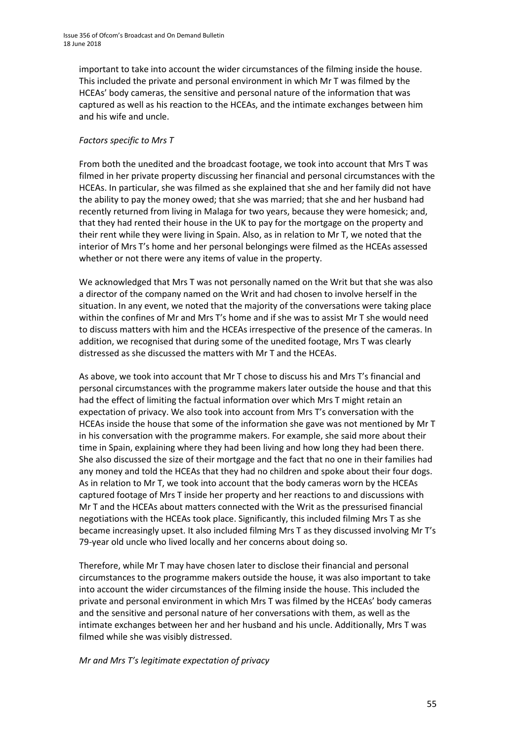important to take into account the wider circumstances of the filming inside the house. This included the private and personal environment in which Mr T was filmed by the HCEAs' body cameras, the sensitive and personal nature of the information that was captured as well as his reaction to the HCEAs, and the intimate exchanges between him and his wife and uncle.

#### *Factors specific to Mrs T*

From both the unedited and the broadcast footage, we took into account that Mrs T was filmed in her private property discussing her financial and personal circumstances with the HCEAs. In particular, she was filmed as she explained that she and her family did not have the ability to pay the money owed; that she was married; that she and her husband had recently returned from living in Malaga for two years, because they were homesick; and, that they had rented their house in the UK to pay for the mortgage on the property and their rent while they were living in Spain. Also, as in relation to Mr T, we noted that the interior of Mrs T's home and her personal belongings were filmed as the HCEAs assessed whether or not there were any items of value in the property.

We acknowledged that Mrs T was not personally named on the Writ but that she was also a director of the company named on the Writ and had chosen to involve herself in the situation. In any event, we noted that the majority of the conversations were taking place within the confines of Mr and Mrs T's home and if she was to assist Mr T she would need to discuss matters with him and the HCEAs irrespective of the presence of the cameras. In addition, we recognised that during some of the unedited footage, Mrs T was clearly distressed as she discussed the matters with Mr T and the HCEAs.

As above, we took into account that Mr T chose to discuss his and Mrs T's financial and personal circumstances with the programme makers later outside the house and that this had the effect of limiting the factual information over which Mrs T might retain an expectation of privacy. We also took into account from Mrs T's conversation with the HCEAs inside the house that some of the information she gave was not mentioned by Mr T in his conversation with the programme makers. For example, she said more about their time in Spain, explaining where they had been living and how long they had been there. She also discussed the size of their mortgage and the fact that no one in their families had any money and told the HCEAs that they had no children and spoke about their four dogs. As in relation to Mr T, we took into account that the body cameras worn by the HCEAs captured footage of Mrs T inside her property and her reactions to and discussions with Mr T and the HCEAs about matters connected with the Writ as the pressurised financial negotiations with the HCEAs took place. Significantly, this included filming Mrs T as she became increasingly upset. It also included filming Mrs T as they discussed involving Mr T's 79-year old uncle who lived locally and her concerns about doing so.

Therefore, while Mr T may have chosen later to disclose their financial and personal circumstances to the programme makers outside the house, it was also important to take into account the wider circumstances of the filming inside the house. This included the private and personal environment in which Mrs T was filmed by the HCEAs' body cameras and the sensitive and personal nature of her conversations with them, as well as the intimate exchanges between her and her husband and his uncle. Additionally, Mrs T was filmed while she was visibly distressed.

*Mr and Mrs T's legitimate expectation of privacy*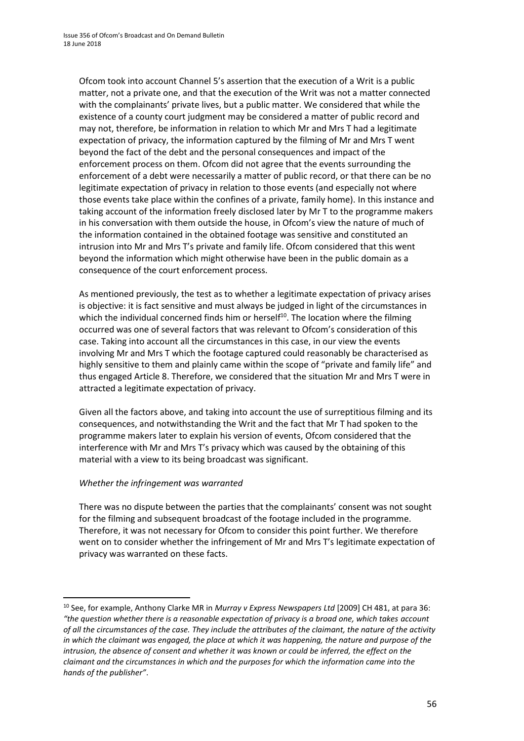Ofcom took into account Channel 5's assertion that the execution of a Writ is a public matter, not a private one, and that the execution of the Writ was not a matter connected with the complainants' private lives, but a public matter. We considered that while the existence of a county court judgment may be considered a matter of public record and may not, therefore, be information in relation to which Mr and Mrs T had a legitimate expectation of privacy, the information captured by the filming of Mr and Mrs T went beyond the fact of the debt and the personal consequences and impact of the enforcement process on them. Ofcom did not agree that the events surrounding the enforcement of a debt were necessarily a matter of public record, or that there can be no legitimate expectation of privacy in relation to those events (and especially not where those events take place within the confines of a private, family home). In this instance and taking account of the information freely disclosed later by Mr T to the programme makers in his conversation with them outside the house, in Ofcom's view the nature of much of the information contained in the obtained footage was sensitive and constituted an intrusion into Mr and Mrs T's private and family life. Ofcom considered that this went beyond the information which might otherwise have been in the public domain as a consequence of the court enforcement process.

As mentioned previously, the test as to whether a legitimate expectation of privacy arises is objective: it is fact sensitive and must always be judged in light of the circumstances in which the individual concerned finds him or herself<sup>10</sup>. The location where the filming occurred was one of several factors that was relevant to Ofcom's consideration of this case. Taking into account all the circumstances in this case, in our view the events involving Mr and Mrs T which the footage captured could reasonably be characterised as highly sensitive to them and plainly came within the scope of "private and family life" and thus engaged Article 8. Therefore, we considered that the situation Mr and Mrs T were in attracted a legitimate expectation of privacy.

Given all the factors above, and taking into account the use of surreptitious filming and its consequences, and notwithstanding the Writ and the fact that Mr T had spoken to the programme makers later to explain his version of events, Ofcom considered that the interference with Mr and Mrs T's privacy which was caused by the obtaining of this material with a view to its being broadcast was significant.

#### *Whether the infringement was warranted*

**.** 

There was no dispute between the parties that the complainants' consent was not sought for the filming and subsequent broadcast of the footage included in the programme. Therefore, it was not necessary for Ofcom to consider this point further. We therefore went on to consider whether the infringement of Mr and Mrs T's legitimate expectation of privacy was warranted on these facts.

<sup>10</sup> See, for example, Anthony Clarke MR in *Murray v Express Newspapers Ltd* [2009] CH 481, at para 36: *"the question whether there is a reasonable expectation of privacy is a broad one, which takes account of all the circumstances of the case. They include the attributes of the claimant, the nature of the activity in which the claimant was engaged, the place at which it was happening, the nature and purpose of the intrusion, the absence of consent and whether it was known or could be inferred, the effect on the claimant and the circumstances in which and the purposes for which the information came into the hands of the publisher"*.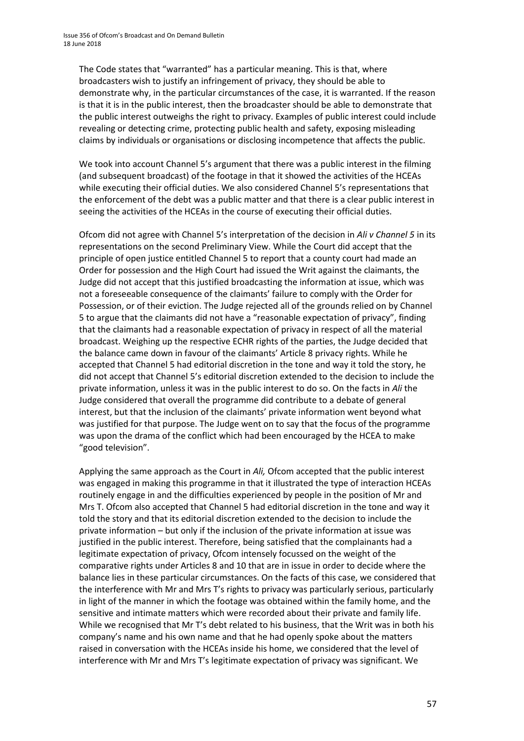The Code states that "warranted" has a particular meaning. This is that, where broadcasters wish to justify an infringement of privacy, they should be able to demonstrate why, in the particular circumstances of the case, it is warranted. If the reason is that it is in the public interest, then the broadcaster should be able to demonstrate that the public interest outweighs the right to privacy. Examples of public interest could include revealing or detecting crime, protecting public health and safety, exposing misleading claims by individuals or organisations or disclosing incompetence that affects the public.

We took into account Channel 5's argument that there was a public interest in the filming (and subsequent broadcast) of the footage in that it showed the activities of the HCEAs while executing their official duties. We also considered Channel 5's representations that the enforcement of the debt was a public matter and that there is a clear public interest in seeing the activities of the HCEAs in the course of executing their official duties.

Ofcom did not agree with Channel 5's interpretation of the decision in *Ali v Channel 5* in its representations on the second Preliminary View. While the Court did accept that the principle of open justice entitled Channel 5 to report that a county court had made an Order for possession and the High Court had issued the Writ against the claimants, the Judge did not accept that this justified broadcasting the information at issue, which was not a foreseeable consequence of the claimants' failure to comply with the Order for Possession, or of their eviction. The Judge rejected all of the grounds relied on by Channel 5 to argue that the claimants did not have a "reasonable expectation of privacy", finding that the claimants had a reasonable expectation of privacy in respect of all the material broadcast. Weighing up the respective ECHR rights of the parties, the Judge decided that the balance came down in favour of the claimants' Article 8 privacy rights. While he accepted that Channel 5 had editorial discretion in the tone and way it told the story, he did not accept that Channel 5's editorial discretion extended to the decision to include the private information, unless it was in the public interest to do so. On the facts in *Ali* the Judge considered that overall the programme did contribute to a debate of general interest, but that the inclusion of the claimants' private information went beyond what was justified for that purpose. The Judge went on to say that the focus of the programme was upon the drama of the conflict which had been encouraged by the HCEA to make "good television".

Applying the same approach as the Court in *Ali,* Ofcom accepted that the public interest was engaged in making this programme in that it illustrated the type of interaction HCEAs routinely engage in and the difficulties experienced by people in the position of Mr and Mrs T. Ofcom also accepted that Channel 5 had editorial discretion in the tone and way it told the story and that its editorial discretion extended to the decision to include the private information – but only if the inclusion of the private information at issue was justified in the public interest. Therefore, being satisfied that the complainants had a legitimate expectation of privacy, Ofcom intensely focussed on the weight of the comparative rights under Articles 8 and 10 that are in issue in order to decide where the balance lies in these particular circumstances. On the facts of this case, we considered that the interference with Mr and Mrs T's rights to privacy was particularly serious, particularly in light of the manner in which the footage was obtained within the family home, and the sensitive and intimate matters which were recorded about their private and family life. While we recognised that Mr T's debt related to his business, that the Writ was in both his company's name and his own name and that he had openly spoke about the matters raised in conversation with the HCEAs inside his home, we considered that the level of interference with Mr and Mrs T's legitimate expectation of privacy was significant. We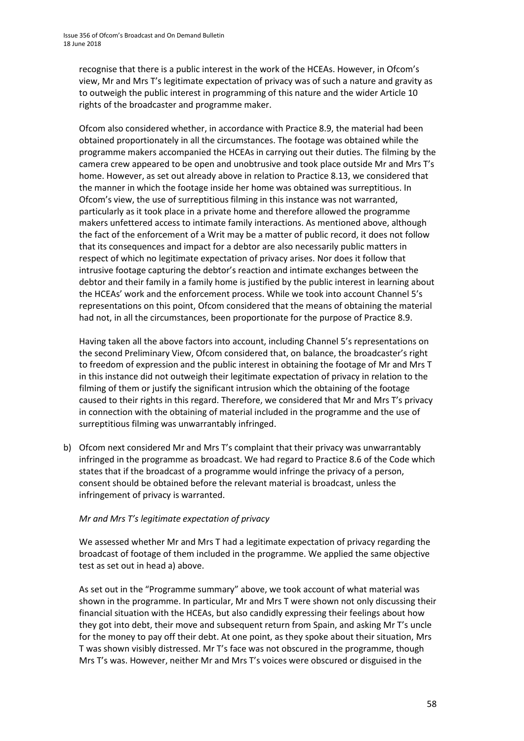recognise that there is a public interest in the work of the HCEAs. However, in Ofcom's view, Mr and Mrs T's legitimate expectation of privacy was of such a nature and gravity as to outweigh the public interest in programming of this nature and the wider Article 10 rights of the broadcaster and programme maker.

Ofcom also considered whether, in accordance with Practice 8.9, the material had been obtained proportionately in all the circumstances. The footage was obtained while the programme makers accompanied the HCEAs in carrying out their duties. The filming by the camera crew appeared to be open and unobtrusive and took place outside Mr and Mrs T's home. However, as set out already above in relation to Practice 8.13, we considered that the manner in which the footage inside her home was obtained was surreptitious. In Ofcom's view, the use of surreptitious filming in this instance was not warranted, particularly as it took place in a private home and therefore allowed the programme makers unfettered access to intimate family interactions. As mentioned above, although the fact of the enforcement of a Writ may be a matter of public record, it does not follow that its consequences and impact for a debtor are also necessarily public matters in respect of which no legitimate expectation of privacy arises. Nor does it follow that intrusive footage capturing the debtor's reaction and intimate exchanges between the debtor and their family in a family home is justified by the public interest in learning about the HCEAs' work and the enforcement process. While we took into account Channel 5's representations on this point, Ofcom considered that the means of obtaining the material had not, in all the circumstances, been proportionate for the purpose of Practice 8.9.

Having taken all the above factors into account, including Channel 5's representations on the second Preliminary View, Ofcom considered that, on balance, the broadcaster's right to freedom of expression and the public interest in obtaining the footage of Mr and Mrs T in this instance did not outweigh their legitimate expectation of privacy in relation to the filming of them or justify the significant intrusion which the obtaining of the footage caused to their rights in this regard. Therefore, we considered that Mr and Mrs T's privacy in connection with the obtaining of material included in the programme and the use of surreptitious filming was unwarrantably infringed.

b) Ofcom next considered Mr and Mrs T's complaint that their privacy was unwarrantably infringed in the programme as broadcast. We had regard to Practice 8.6 of the Code which states that if the broadcast of a programme would infringe the privacy of a person, consent should be obtained before the relevant material is broadcast, unless the infringement of privacy is warranted.

#### *Mr and Mrs T's legitimate expectation of privacy*

We assessed whether Mr and Mrs T had a legitimate expectation of privacy regarding the broadcast of footage of them included in the programme. We applied the same objective test as set out in head a) above.

As set out in the "Programme summary" above, we took account of what material was shown in the programme. In particular, Mr and Mrs T were shown not only discussing their financial situation with the HCEAs, but also candidly expressing their feelings about how they got into debt, their move and subsequent return from Spain, and asking Mr T's uncle for the money to pay off their debt. At one point, as they spoke about their situation, Mrs T was shown visibly distressed. Mr T's face was not obscured in the programme, though Mrs T's was. However, neither Mr and Mrs T's voices were obscured or disguised in the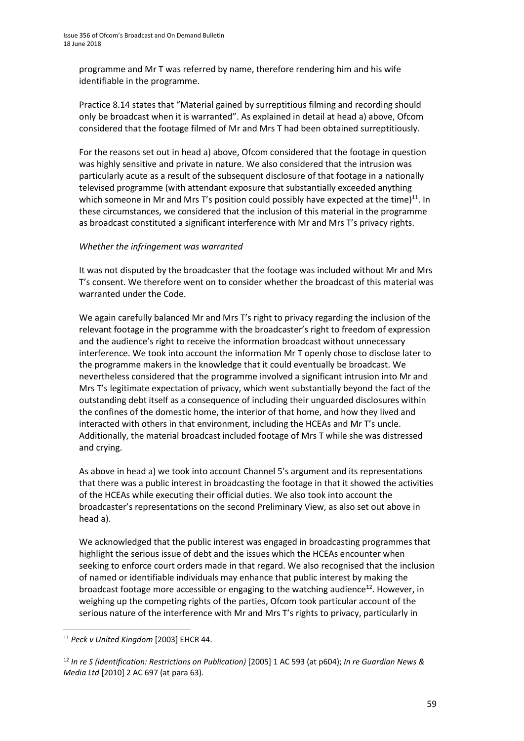programme and Mr T was referred by name, therefore rendering him and his wife identifiable in the programme.

Practice 8.14 states that "Material gained by surreptitious filming and recording should only be broadcast when it is warranted". As explained in detail at head a) above, Ofcom considered that the footage filmed of Mr and Mrs T had been obtained surreptitiously.

For the reasons set out in head a) above, Ofcom considered that the footage in question was highly sensitive and private in nature. We also considered that the intrusion was particularly acute as a result of the subsequent disclosure of that footage in a nationally televised programme (with attendant exposure that substantially exceeded anything which someone in Mr and Mrs T's position could possibly have expected at the time) $^{11}$ . In these circumstances, we considered that the inclusion of this material in the programme as broadcast constituted a significant interference with Mr and Mrs T's privacy rights.

#### *Whether the infringement was warranted*

It was not disputed by the broadcaster that the footage was included without Mr and Mrs T's consent. We therefore went on to consider whether the broadcast of this material was warranted under the Code.

We again carefully balanced Mr and Mrs T's right to privacy regarding the inclusion of the relevant footage in the programme with the broadcaster's right to freedom of expression and the audience's right to receive the information broadcast without unnecessary interference. We took into account the information Mr T openly chose to disclose later to the programme makers in the knowledge that it could eventually be broadcast. We nevertheless considered that the programme involved a significant intrusion into Mr and Mrs T's legitimate expectation of privacy, which went substantially beyond the fact of the outstanding debt itself as a consequence of including their unguarded disclosures within the confines of the domestic home, the interior of that home, and how they lived and interacted with others in that environment, including the HCEAs and Mr T's uncle. Additionally, the material broadcast included footage of Mrs T while she was distressed and crying.

As above in head a) we took into account Channel 5's argument and its representations that there was a public interest in broadcasting the footage in that it showed the activities of the HCEAs while executing their official duties. We also took into account the broadcaster's representations on the second Preliminary View, as also set out above in head a).

We acknowledged that the public interest was engaged in broadcasting programmes that highlight the serious issue of debt and the issues which the HCEAs encounter when seeking to enforce court orders made in that regard. We also recognised that the inclusion of named or identifiable individuals may enhance that public interest by making the broadcast footage more accessible or engaging to the watching audience<sup>12</sup>. However, in weighing up the competing rights of the parties, Ofcom took particular account of the serious nature of the interference with Mr and Mrs T's rights to privacy, particularly in

**.** 

<sup>11</sup> *Peck v United Kingdom* [2003] EHCR 44.

<sup>12</sup> *In re S (identification: Restrictions on Publication)* [2005] 1 AC 593 (at p604); *In re Guardian News & Media Ltd* [2010] 2 AC 697 (at para 63).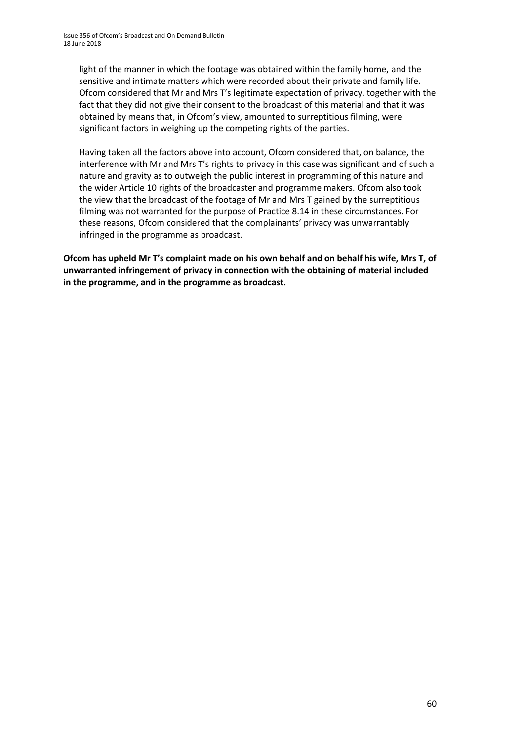light of the manner in which the footage was obtained within the family home, and the sensitive and intimate matters which were recorded about their private and family life. Ofcom considered that Mr and Mrs T's legitimate expectation of privacy, together with the fact that they did not give their consent to the broadcast of this material and that it was obtained by means that, in Ofcom's view, amounted to surreptitious filming, were significant factors in weighing up the competing rights of the parties.

Having taken all the factors above into account, Ofcom considered that, on balance, the interference with Mr and Mrs T's rights to privacy in this case was significant and of such a nature and gravity as to outweigh the public interest in programming of this nature and the wider Article 10 rights of the broadcaster and programme makers. Ofcom also took the view that the broadcast of the footage of Mr and Mrs T gained by the surreptitious filming was not warranted for the purpose of Practice 8.14 in these circumstances. For these reasons, Ofcom considered that the complainants' privacy was unwarrantably infringed in the programme as broadcast.

**Ofcom has upheld Mr T's complaint made on his own behalf and on behalf his wife, Mrs T, of unwarranted infringement of privacy in connection with the obtaining of material included in the programme, and in the programme as broadcast.**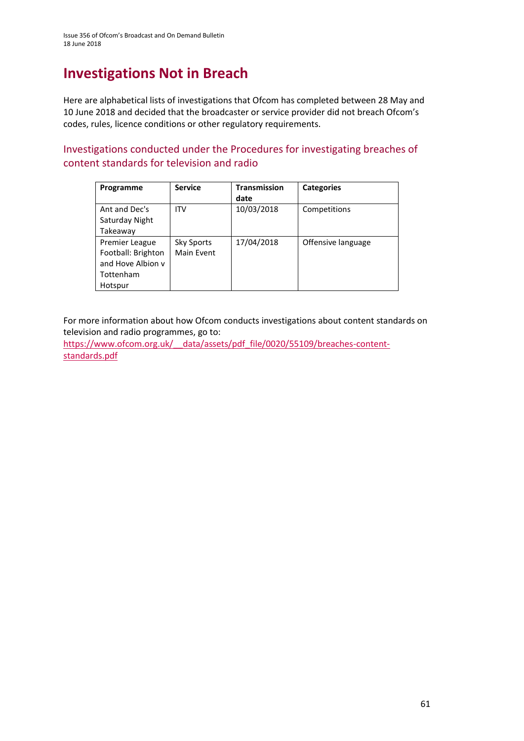## **Investigations Not in Breach**

Here are alphabetical lists of investigations that Ofcom has completed between 28 May and 10 June 2018 and decided that the broadcaster or service provider did not breach Ofcom's codes, rules, licence conditions or other regulatory requirements.

Investigations conducted under the Procedures for investigating breaches of content standards for television and radio

| Programme          | <b>Service</b> | <b>Transmission</b> | <b>Categories</b>  |
|--------------------|----------------|---------------------|--------------------|
|                    |                | date                |                    |
| Ant and Dec's      | <b>ITV</b>     | 10/03/2018          | Competitions       |
| Saturday Night     |                |                     |                    |
| Takeaway           |                |                     |                    |
| Premier League     | Sky Sports     | 17/04/2018          | Offensive language |
| Football: Brighton | Main Event     |                     |                    |
| and Hove Albion y  |                |                     |                    |
| Tottenham          |                |                     |                    |
| Hotspur            |                |                     |                    |

For more information about how Ofcom conducts investigations about content standards on television and radio programmes, go to:

https://www.ofcom.org.uk/ data/assets/pdf\_file/0020/55109/breaches-content[standards.pdf](https://www.ofcom.org.uk/__data/assets/pdf_file/0020/55109/breaches-content-standards.pdf)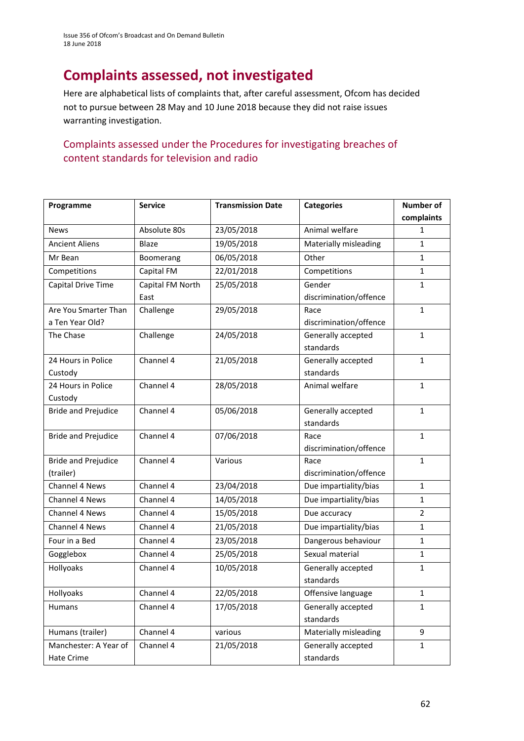Issue 356 of Ofcom's Broadcast and On Demand Bulletin 18 June 2018

# **Complaints assessed, not investigated**

Here are alphabetical lists of complaints that, after careful assessment, Ofcom has decided not to pursue between 28 May and 10 June 2018 because they did not raise issues warranting investigation.

### Complaints assessed under the Procedures for investigating breaches of content standards for television and radio

| Programme                  | <b>Service</b>   | <b>Transmission Date</b> | <b>Categories</b>                     | Number of      |
|----------------------------|------------------|--------------------------|---------------------------------------|----------------|
|                            |                  |                          |                                       | complaints     |
| <b>News</b>                | Absolute 80s     | 23/05/2018               | Animal welfare                        | 1              |
| <b>Ancient Aliens</b>      | Blaze            | 19/05/2018               | Materially misleading                 | $\mathbf{1}$   |
| Mr Bean                    | Boomerang        | 06/05/2018               | Other                                 | $\mathbf{1}$   |
| Competitions               | Capital FM       | 22/01/2018               | Competitions                          | $\mathbf{1}$   |
| Capital Drive Time         | Capital FM North | 25/05/2018               | Gender                                | $\mathbf{1}$   |
|                            | East             |                          | discrimination/offence                |                |
| Are You Smarter Than       | Challenge        | 29/05/2018               | Race                                  | $\mathbf{1}$   |
| a Ten Year Old?            |                  |                          | discrimination/offence                |                |
| The Chase                  | Challenge        | 24/05/2018               | Generally accepted                    | $\mathbf{1}$   |
|                            |                  |                          | standards                             |                |
| 24 Hours in Police         | Channel 4        | 21/05/2018               | Generally accepted                    | $\mathbf{1}$   |
| Custody                    |                  |                          | standards                             |                |
| 24 Hours in Police         | Channel 4        | 28/05/2018               | Animal welfare                        | $\mathbf{1}$   |
| Custody                    |                  |                          |                                       |                |
| <b>Bride and Prejudice</b> | Channel 4        | 05/06/2018               | Generally accepted                    | $\mathbf{1}$   |
|                            |                  |                          | standards                             |                |
| <b>Bride and Prejudice</b> | Channel 4        | 07/06/2018               | Race                                  | $\mathbf{1}$   |
|                            |                  |                          | discrimination/offence                |                |
| <b>Bride and Prejudice</b> | Channel 4        | Various                  | Race                                  | $\mathbf{1}$   |
| (trailer)                  |                  |                          | discrimination/offence                |                |
| Channel 4 News             | Channel 4        | 23/04/2018               | Due impartiality/bias<br>$\mathbf{1}$ |                |
| Channel 4 News             | Channel 4        | 14/05/2018               | Due impartiality/bias<br>$\mathbf{1}$ |                |
| Channel 4 News             | Channel 4        | 15/05/2018               | Due accuracy                          | $\overline{2}$ |
| Channel 4 News             | Channel 4        | 21/05/2018               | Due impartiality/bias                 | $\mathbf{1}$   |
| Four in a Bed              | Channel 4        | 23/05/2018               | Dangerous behaviour                   | $\mathbf{1}$   |
| Gogglebox                  | Channel 4        | 25/05/2018               | Sexual material                       | $\mathbf{1}$   |
| Hollyoaks                  | Channel 4        | 10/05/2018               | Generally accepted                    | $\mathbf{1}$   |
|                            |                  |                          | standards                             |                |
| Hollyoaks                  | Channel 4        | 22/05/2018               | Offensive language                    | $\mathbf 1$    |
| Humans                     | Channel 4        | 17/05/2018               | Generally accepted                    | $\mathbf{1}$   |
|                            |                  |                          | standards                             |                |
| Humans (trailer)           | Channel 4        | various                  | Materially misleading                 | 9              |
| Manchester: A Year of      | Channel 4        | 21/05/2018               | Generally accepted                    | $\mathbf{1}$   |
| Hate Crime                 |                  |                          | standards                             |                |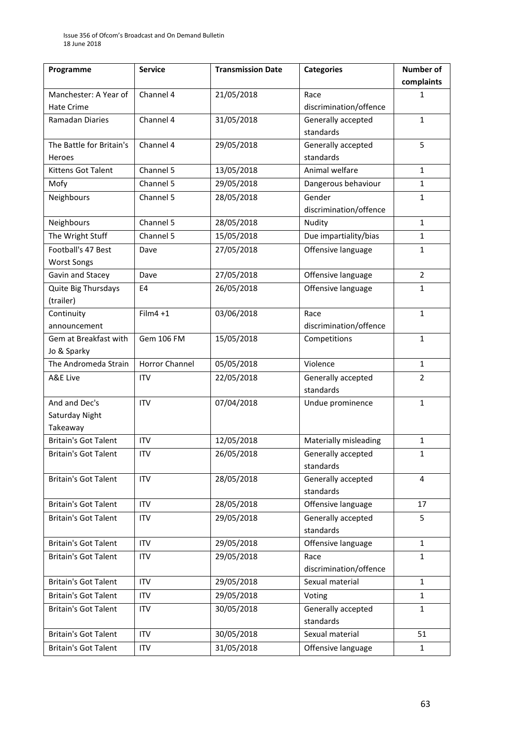| Programme                   | <b>Service</b>        | <b>Transmission Date</b> | <b>Categories</b>      | Number of      |
|-----------------------------|-----------------------|--------------------------|------------------------|----------------|
|                             |                       |                          |                        | complaints     |
| Manchester: A Year of       | Channel 4             | 21/05/2018               | Race                   | 1              |
| <b>Hate Crime</b>           |                       |                          | discrimination/offence |                |
| Ramadan Diaries             | Channel 4             | 31/05/2018               | Generally accepted     | $\mathbf{1}$   |
|                             |                       |                          | standards              |                |
| The Battle for Britain's    | Channel 4             | 29/05/2018               | Generally accepted     | 5              |
| Heroes                      |                       |                          | standards              |                |
| <b>Kittens Got Talent</b>   | Channel 5             | 13/05/2018               | Animal welfare         | $\mathbf{1}$   |
| Mofy                        | Channel 5             | 29/05/2018               | Dangerous behaviour    | $\mathbf{1}$   |
| Neighbours                  | Channel 5             | 28/05/2018               | Gender                 | 1              |
|                             |                       |                          | discrimination/offence |                |
| Neighbours                  | Channel 5             | 28/05/2018               | Nudity                 | $\mathbf{1}$   |
| The Wright Stuff            | Channel 5             | 15/05/2018               | Due impartiality/bias  | $\mathbf{1}$   |
| Football's 47 Best          | Dave                  | 27/05/2018               | Offensive language     | 1              |
| <b>Worst Songs</b>          |                       |                          |                        |                |
| Gavin and Stacey            | Dave                  | 27/05/2018               | Offensive language     | $\overline{2}$ |
| Quite Big Thursdays         | E <sub>4</sub>        | 26/05/2018               | Offensive language     | $\mathbf{1}$   |
| (trailer)                   |                       |                          |                        |                |
| Continuity                  | $Film4 + 1$           | 03/06/2018               | Race                   | $\mathbf{1}$   |
| announcement                |                       |                          | discrimination/offence |                |
| Gem at Breakfast with       | Gem 106 FM            | 15/05/2018               | Competitions           | $\mathbf{1}$   |
| Jo & Sparky                 |                       |                          |                        |                |
| The Andromeda Strain        | <b>Horror Channel</b> | 05/05/2018               | Violence               | 1              |
| A&E Live                    | <b>ITV</b>            | 22/05/2018               | Generally accepted     | $\overline{2}$ |
|                             |                       |                          | standards              |                |
| And and Dec's               | <b>ITV</b>            | 07/04/2018               | Undue prominence       | $\mathbf{1}$   |
| Saturday Night              |                       |                          |                        |                |
| Takeaway                    |                       |                          |                        |                |
| <b>Britain's Got Talent</b> | <b>ITV</b>            | 12/05/2018               | Materially misleading  | 1              |
| <b>Britain's Got Talent</b> | ITV                   | 26/05/2018               | Generally accepted     | 1              |
|                             |                       |                          | standards              |                |
| <b>Britain's Got Talent</b> | <b>ITV</b>            | 28/05/2018               | Generally accepted     | $\overline{4}$ |
|                             |                       |                          | standards              |                |
| <b>Britain's Got Talent</b> | <b>ITV</b>            | 28/05/2018               | Offensive language     | 17             |
| <b>Britain's Got Talent</b> | ITV                   | 29/05/2018               | Generally accepted     | 5              |
|                             |                       |                          | standards              |                |
| <b>Britain's Got Talent</b> | <b>ITV</b>            | 29/05/2018               | Offensive language     | $\mathbf{1}$   |
| <b>Britain's Got Talent</b> | <b>ITV</b>            | 29/05/2018               | Race                   | 1              |
|                             |                       |                          | discrimination/offence |                |
| <b>Britain's Got Talent</b> | <b>ITV</b>            | 29/05/2018               | Sexual material        | $\mathbf{1}$   |
| <b>Britain's Got Talent</b> | <b>ITV</b>            | 29/05/2018               | Voting                 | $\mathbf{1}$   |
| <b>Britain's Got Talent</b> | <b>ITV</b>            | 30/05/2018               | Generally accepted     | $\mathbf{1}$   |
|                             |                       |                          | standards              |                |
| <b>Britain's Got Talent</b> | <b>ITV</b>            | 30/05/2018               | Sexual material        | 51             |
| <b>Britain's Got Talent</b> | ITV                   | 31/05/2018               | Offensive language     | $\mathbf{1}$   |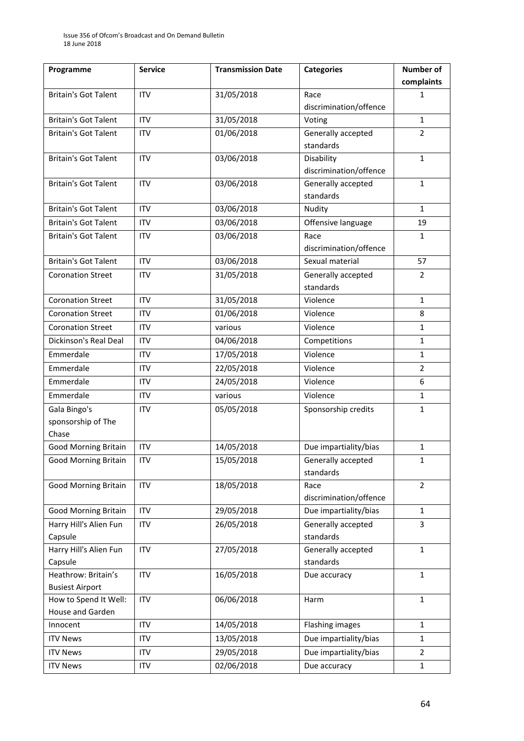| Programme                         | <b>Service</b> | <b>Transmission Date</b> | <b>Categories</b>               | <b>Number of</b> |
|-----------------------------------|----------------|--------------------------|---------------------------------|------------------|
|                                   |                |                          |                                 | complaints       |
| <b>Britain's Got Talent</b>       | <b>ITV</b>     | 31/05/2018               | Race                            | 1                |
|                                   |                |                          | discrimination/offence          |                  |
| <b>Britain's Got Talent</b>       | <b>ITV</b>     | 31/05/2018               | Voting                          | $\mathbf{1}$     |
| <b>Britain's Got Talent</b>       | <b>ITV</b>     | 01/06/2018               | Generally accepted              | $\overline{2}$   |
|                                   |                |                          | standards                       |                  |
| <b>Britain's Got Talent</b>       | <b>ITV</b>     | 03/06/2018               | Disability                      | $\mathbf{1}$     |
|                                   |                |                          | discrimination/offence          |                  |
| <b>Britain's Got Talent</b>       | <b>ITV</b>     | 03/06/2018               | Generally accepted              | $\mathbf{1}$     |
|                                   |                |                          | standards                       |                  |
| <b>Britain's Got Talent</b>       | <b>ITV</b>     | 03/06/2018               | Nudity                          | $\mathbf{1}$     |
| <b>Britain's Got Talent</b>       | <b>ITV</b>     | 03/06/2018               | Offensive language              | 19               |
| <b>Britain's Got Talent</b>       | <b>ITV</b>     | 03/06/2018               | Race                            | $\mathbf{1}$     |
|                                   |                |                          | discrimination/offence          |                  |
| <b>Britain's Got Talent</b>       | <b>ITV</b>     | 03/06/2018               | Sexual material                 | 57               |
| <b>Coronation Street</b>          | <b>ITV</b>     | 31/05/2018               | Generally accepted              | $\overline{2}$   |
|                                   |                |                          | standards                       |                  |
| <b>Coronation Street</b>          | <b>ITV</b>     | 31/05/2018               | Violence                        | $\mathbf{1}$     |
| <b>Coronation Street</b>          | <b>ITV</b>     | 01/06/2018               | Violence                        | 8                |
| <b>Coronation Street</b>          | <b>ITV</b>     | various                  | Violence                        | 1                |
| Dickinson's Real Deal             | <b>ITV</b>     | 04/06/2018               | Competitions                    | $\mathbf{1}$     |
| Emmerdale                         | <b>ITV</b>     | 17/05/2018               | Violence                        | $\mathbf{1}$     |
| Emmerdale                         | <b>ITV</b>     | 22/05/2018               | Violence                        | $\overline{2}$   |
| Emmerdale                         | <b>ITV</b>     | 24/05/2018               | Violence                        | 6                |
| Emmerdale                         | <b>ITV</b>     | various                  | Violence                        | $\mathbf{1}$     |
| Gala Bingo's                      | <b>ITV</b>     | 05/05/2018               | Sponsorship credits             | $\mathbf{1}$     |
| sponsorship of The                |                |                          |                                 |                  |
| Chase                             |                |                          |                                 |                  |
| <b>Good Morning Britain</b>       | <b>ITV</b>     | 14/05/2018               | Due impartiality/bias           | $\mathbf{1}$     |
| <b>Good Morning Britain</b>       | <b>ITV</b>     | 15/05/2018               | Generally accepted              | 1                |
|                                   |                |                          | standards                       |                  |
| <b>Good Morning Britain</b>       | <b>ITV</b>     | 18/05/2018               | Race                            | $\overline{2}$   |
| <b>Good Morning Britain</b>       | <b>ITV</b>     | 29/05/2018               | discrimination/offence          | $\mathbf{1}$     |
|                                   |                |                          | Due impartiality/bias           |                  |
| Harry Hill's Alien Fun<br>Capsule | ITV            | 26/05/2018               | Generally accepted<br>standards | 3                |
| Harry Hill's Alien Fun            | <b>ITV</b>     | 27/05/2018               | Generally accepted              | $\mathbf{1}$     |
| Capsule                           |                |                          | standards                       |                  |
| Heathrow: Britain's               | <b>ITV</b>     | 16/05/2018               | Due accuracy                    | $\mathbf{1}$     |
| <b>Busiest Airport</b>            |                |                          |                                 |                  |
| How to Spend It Well:             | <b>ITV</b>     | 06/06/2018               | Harm                            | $\mathbf{1}$     |
| House and Garden                  |                |                          |                                 |                  |
| Innocent                          | <b>ITV</b>     | 14/05/2018               | <b>Flashing images</b>          | $\mathbf{1}$     |
| <b>ITV News</b>                   | <b>ITV</b>     | 13/05/2018               | Due impartiality/bias           | $\mathbf{1}$     |
| <b>ITV News</b>                   | <b>ITV</b>     | 29/05/2018               | Due impartiality/bias           | $\overline{2}$   |
| <b>ITV News</b>                   | ITV            | 02/06/2018               | Due accuracy                    | $\mathbf 1$      |
|                                   |                |                          |                                 |                  |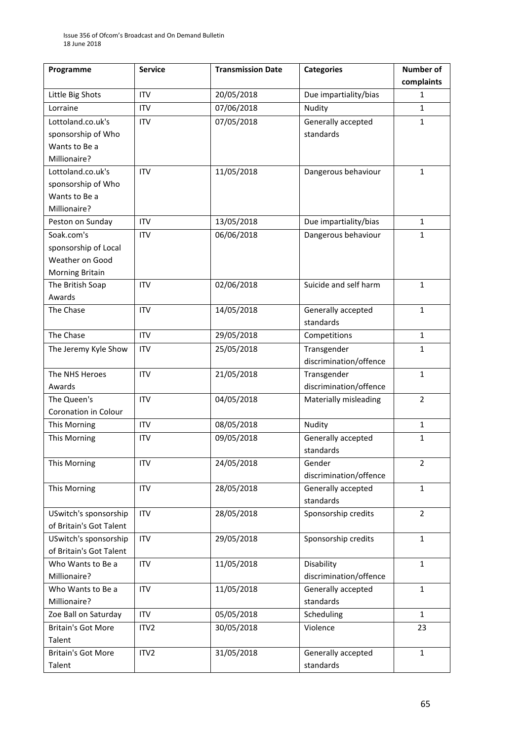| Programme                 | <b>Service</b>   | <b>Transmission Date</b> | <b>Categories</b>                  | <b>Number of</b> |
|---------------------------|------------------|--------------------------|------------------------------------|------------------|
|                           |                  |                          |                                    | complaints       |
| Little Big Shots          | <b>ITV</b>       | 20/05/2018               | Due impartiality/bias              | 1                |
| Lorraine                  | <b>ITV</b>       | 07/06/2018               | Nudity                             | $\mathbf{1}$     |
| Lottoland.co.uk's         | <b>ITV</b>       | 07/05/2018               | Generally accepted                 | $\mathbf{1}$     |
| sponsorship of Who        |                  |                          | standards                          |                  |
| Wants to Be a             |                  |                          |                                    |                  |
| Millionaire?              |                  |                          |                                    |                  |
| Lottoland.co.uk's         | <b>ITV</b>       | 11/05/2018               | Dangerous behaviour                | $\mathbf{1}$     |
| sponsorship of Who        |                  |                          |                                    |                  |
| Wants to Be a             |                  |                          |                                    |                  |
| Millionaire?              |                  |                          |                                    |                  |
| Peston on Sunday          | <b>ITV</b>       | 13/05/2018               | Due impartiality/bias              | $\mathbf{1}$     |
| Soak.com's                | <b>ITV</b>       | 06/06/2018               | Dangerous behaviour                | $\mathbf{1}$     |
| sponsorship of Local      |                  |                          |                                    |                  |
| Weather on Good           |                  |                          |                                    |                  |
| Morning Britain           |                  |                          |                                    |                  |
| The British Soap          | <b>ITV</b>       | 02/06/2018               | Suicide and self harm              | $\mathbf{1}$     |
| Awards                    |                  |                          |                                    |                  |
| The Chase                 | <b>ITV</b>       | 14/05/2018               | Generally accepted                 | $\mathbf{1}$     |
|                           |                  |                          | standards                          |                  |
| The Chase                 | <b>ITV</b>       | 29/05/2018               | Competitions                       | $\mathbf{1}$     |
| The Jeremy Kyle Show      | <b>ITV</b>       | 25/05/2018               | Transgender                        | $\mathbf{1}$     |
|                           |                  |                          | discrimination/offence             |                  |
| The NHS Heroes            | <b>ITV</b>       | 21/05/2018               | Transgender                        | $\mathbf{1}$     |
| Awards                    |                  |                          | discrimination/offence             |                  |
| The Queen's               | <b>ITV</b>       | 04/05/2018               | Materially misleading              | $\overline{2}$   |
| Coronation in Colour      |                  |                          |                                    |                  |
| This Morning              | <b>ITV</b>       | 08/05/2018               | Nudity<br>$\mathbf{1}$             |                  |
| This Morning              | <b>ITV</b>       | 09/05/2018               | Generally accepted<br>$\mathbf{1}$ |                  |
|                           |                  |                          | standards                          |                  |
| This Morning              | <b>ITV</b>       | 24/05/2018               | Gender                             | 2                |
|                           |                  |                          | discrimination/offence             |                  |
| This Morning              | <b>ITV</b>       | 28/05/2018               | Generally accepted                 | $\mathbf{1}$     |
|                           |                  |                          | standards                          |                  |
| USwitch's sponsorship     | <b>ITV</b>       | 28/05/2018               | Sponsorship credits                | $\overline{2}$   |
| of Britain's Got Talent   |                  |                          |                                    |                  |
| USwitch's sponsorship     | <b>ITV</b>       | 29/05/2018               | Sponsorship credits                | $\mathbf{1}$     |
| of Britain's Got Talent   |                  |                          |                                    |                  |
| Who Wants to Be a         | <b>ITV</b>       | 11/05/2018               | Disability                         | $\mathbf{1}$     |
| Millionaire?              |                  |                          | discrimination/offence             |                  |
| Who Wants to Be a         | <b>ITV</b>       | 11/05/2018               | Generally accepted                 | $\mathbf{1}$     |
| Millionaire?              |                  |                          | standards                          |                  |
| Zoe Ball on Saturday      | ITV              | 05/05/2018               | Scheduling                         | $\mathbf{1}$     |
| <b>Britain's Got More</b> | ITV <sub>2</sub> | 30/05/2018               | Violence                           | 23               |
| Talent                    |                  |                          |                                    |                  |
| <b>Britain's Got More</b> | ITV2             | 31/05/2018               | Generally accepted                 | $\mathbf{1}$     |
| Talent                    |                  |                          | standards                          |                  |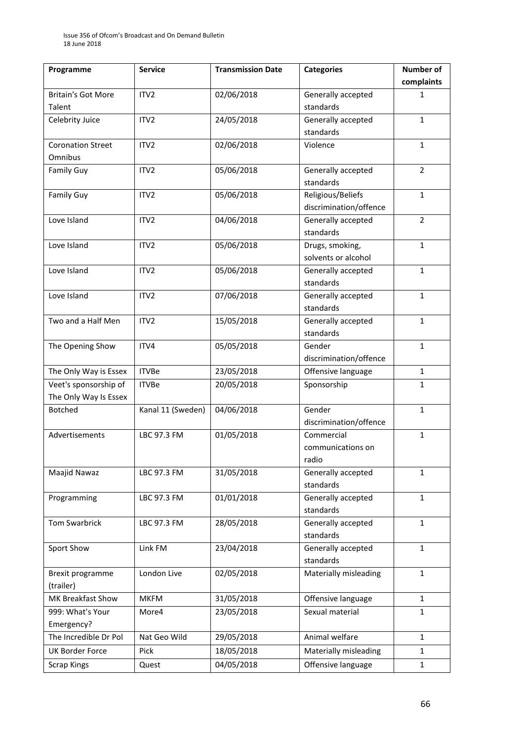| Programme                 | <b>Service</b>    | <b>Transmission Date</b> | <b>Categories</b>      | <b>Number of</b> |
|---------------------------|-------------------|--------------------------|------------------------|------------------|
|                           |                   |                          |                        | complaints       |
| <b>Britain's Got More</b> | ITV <sub>2</sub>  | 02/06/2018               | Generally accepted     | 1                |
| Talent                    |                   |                          | standards              |                  |
| Celebrity Juice           | ITV <sub>2</sub>  | 24/05/2018               | Generally accepted     | $\mathbf{1}$     |
|                           |                   |                          | standards              |                  |
| <b>Coronation Street</b>  | ITV <sub>2</sub>  | 02/06/2018               | Violence               | $\mathbf{1}$     |
| Omnibus                   |                   |                          |                        |                  |
| <b>Family Guy</b>         | ITV <sub>2</sub>  | 05/06/2018               | Generally accepted     | $\overline{2}$   |
|                           |                   |                          | standards              |                  |
| <b>Family Guy</b>         | ITV2              | 05/06/2018               | Religious/Beliefs      | $\mathbf{1}$     |
|                           |                   |                          | discrimination/offence |                  |
| Love Island               | ITV <sub>2</sub>  | 04/06/2018               | Generally accepted     | $\overline{2}$   |
|                           |                   |                          | standards              |                  |
| Love Island               | ITV <sub>2</sub>  | 05/06/2018               | Drugs, smoking,        | $\mathbf{1}$     |
|                           |                   |                          | solvents or alcohol    |                  |
| Love Island               | ITV <sub>2</sub>  | 05/06/2018               | Generally accepted     | $\mathbf{1}$     |
|                           |                   |                          | standards              |                  |
| Love Island               | ITV <sub>2</sub>  | 07/06/2018               | Generally accepted     | $\mathbf{1}$     |
|                           |                   |                          | standards              |                  |
| Two and a Half Men        | ITV <sub>2</sub>  | 15/05/2018               | Generally accepted     | $\mathbf{1}$     |
|                           |                   |                          | standards              |                  |
| The Opening Show          | ITV4              | 05/05/2018               | Gender                 | $\mathbf{1}$     |
|                           |                   |                          | discrimination/offence |                  |
| The Only Way is Essex     | <b>ITVBe</b>      | 23/05/2018               | Offensive language     | $\mathbf{1}$     |
| Veet's sponsorship of     | <b>ITVBe</b>      | 20/05/2018               | Sponsorship            | $\mathbf{1}$     |
| The Only Way Is Essex     |                   |                          |                        |                  |
| <b>Botched</b>            | Kanal 11 (Sweden) | 04/06/2018               | Gender                 | $\mathbf{1}$     |
|                           |                   |                          | discrimination/offence |                  |
| Advertisements            | LBC 97.3 FM       | 01/05/2018               | Commercial             | $\mathbf{1}$     |
|                           |                   |                          | communications on      |                  |
|                           |                   |                          | radio                  |                  |
| Maajid Nawaz              | LBC 97.3 FM       | 31/05/2018               | Generally accepted     | $\mathbf{1}$     |
|                           |                   |                          | standards              |                  |
| Programming               | LBC 97.3 FM       | 01/01/2018               | Generally accepted     | $\mathbf{1}$     |
|                           |                   |                          | standards              |                  |
| <b>Tom Swarbrick</b>      | LBC 97.3 FM       | 28/05/2018               | Generally accepted     | $\mathbf{1}$     |
|                           |                   |                          | standards              |                  |
| Sport Show                | Link FM           | 23/04/2018               | Generally accepted     | $\mathbf{1}$     |
|                           |                   |                          | standards              |                  |
| Brexit programme          | London Live       | 02/05/2018               | Materially misleading  | $\mathbf{1}$     |
| (trailer)                 |                   |                          |                        |                  |
| MK Breakfast Show         | <b>MKFM</b>       | 31/05/2018               | Offensive language     | $\mathbf{1}$     |
| 999: What's Your          | More4             | 23/05/2018               | Sexual material        | $\mathbf{1}$     |
| Emergency?                |                   |                          |                        |                  |
| The Incredible Dr Pol     | Nat Geo Wild      | 29/05/2018               | Animal welfare         | $\mathbf{1}$     |
| <b>UK Border Force</b>    | Pick              | 18/05/2018               | Materially misleading  | 1                |
| <b>Scrap Kings</b>        | Quest             | 04/05/2018               | Offensive language     | $\mathbf{1}$     |
|                           |                   |                          |                        |                  |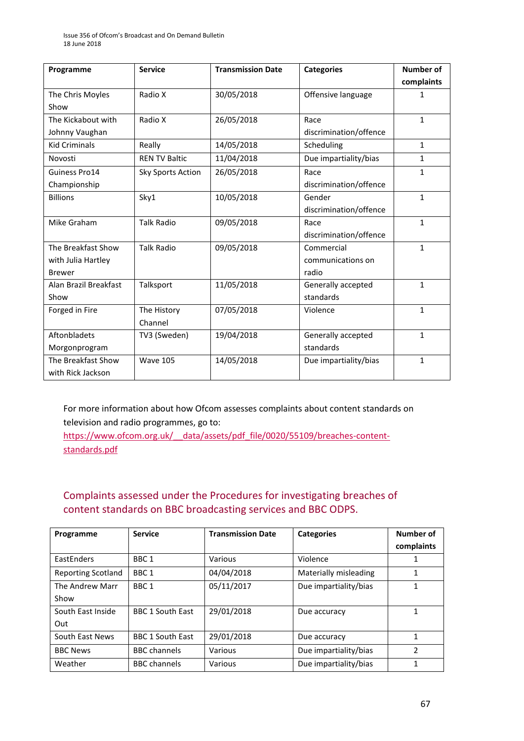| Programme             | <b>Service</b>       | <b>Transmission Date</b> | <b>Categories</b>      | <b>Number of</b> |
|-----------------------|----------------------|--------------------------|------------------------|------------------|
|                       |                      |                          |                        | complaints       |
| The Chris Moyles      | Radio X              | 30/05/2018               | Offensive language     | 1                |
| Show                  |                      |                          |                        |                  |
| The Kickabout with    | Radio X              | 26/05/2018               | Race                   | $\mathbf{1}$     |
| Johnny Vaughan        |                      |                          | discrimination/offence |                  |
| <b>Kid Criminals</b>  | Really               | 14/05/2018               | Scheduling             | $\mathbf{1}$     |
| Novosti               | <b>REN TV Baltic</b> | 11/04/2018               | Due impartiality/bias  | $\mathbf{1}$     |
| Guiness Pro14         | Sky Sports Action    | 26/05/2018               | Race                   | $\mathbf{1}$     |
| Championship          |                      |                          | discrimination/offence |                  |
| <b>Billions</b>       | Sky1                 | 10/05/2018               | Gender                 | $\mathbf{1}$     |
|                       |                      |                          | discrimination/offence |                  |
| Mike Graham           | <b>Talk Radio</b>    | 09/05/2018               | Race                   | $\mathbf{1}$     |
|                       |                      |                          | discrimination/offence |                  |
| The Breakfast Show    | <b>Talk Radio</b>    | 09/05/2018               | Commercial             | $\mathbf{1}$     |
| with Julia Hartley    |                      |                          | communications on      |                  |
| <b>Brewer</b>         |                      |                          | radio                  |                  |
| Alan Brazil Breakfast | Talksport            | 11/05/2018               | Generally accepted     | $\mathbf{1}$     |
| Show                  |                      |                          | standards              |                  |
| Forged in Fire        | The History          | 07/05/2018               | Violence               | $\mathbf{1}$     |
|                       | Channel              |                          |                        |                  |
| Aftonbladets          | TV3 (Sweden)         | 19/04/2018               | Generally accepted     | $\mathbf{1}$     |
| Morgonprogram         |                      |                          | standards              |                  |
| The Breakfast Show    | <b>Wave 105</b>      | 14/05/2018               | Due impartiality/bias  | $\mathbf{1}$     |
| with Rick Jackson     |                      |                          |                        |                  |

For more information about how Ofcom assesses complaints about content standards on television and radio programmes, go to:

https://www.ofcom.org.uk/ data/assets/pdf file/0020/55109/breaches-content[standards.pdf](https://www.ofcom.org.uk/__data/assets/pdf_file/0020/55109/breaches-content-standards.pdf)

## Complaints assessed under the Procedures for investigating breaches of content standards on BBC broadcasting services and BBC ODPS.

| Programme          | <b>Service</b>          | <b>Transmission Date</b> | <b>Categories</b>     | Number of     |
|--------------------|-------------------------|--------------------------|-----------------------|---------------|
|                    |                         |                          |                       | complaints    |
| EastEnders         | BBC <sub>1</sub>        | Various                  | Violence              |               |
| Reporting Scotland | BBC <sub>1</sub>        | 04/04/2018               | Materially misleading |               |
| The Andrew Marr    | BBC <sub>1</sub>        | 05/11/2017               | Due impartiality/bias |               |
| Show               |                         |                          |                       |               |
| South East Inside  | <b>BBC 1 South East</b> | 29/01/2018               | Due accuracy          |               |
| Out                |                         |                          |                       |               |
| South East News    | <b>BBC 1 South East</b> | 29/01/2018               | Due accuracy          | 1             |
| <b>BBC News</b>    | <b>BBC</b> channels     | Various                  | Due impartiality/bias | $\mathfrak z$ |
| Weather            | <b>BBC</b> channels     | Various                  | Due impartiality/bias | 1             |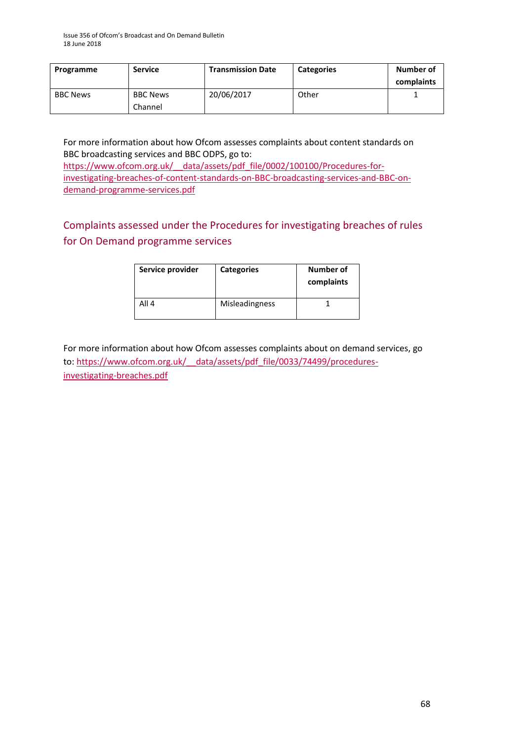| Programme       | <b>Service</b>             | <b>Transmission Date</b> | <b>Categories</b> | Number of<br>complaints |
|-----------------|----------------------------|--------------------------|-------------------|-------------------------|
| <b>BBC News</b> | <b>BBC News</b><br>Channel | 20/06/2017               | Other             |                         |

For more information about how Ofcom assesses complaints about content standards on BBC broadcasting services and BBC ODPS, go to: [https://www.ofcom.org.uk/\\_\\_data/assets/pdf\\_file/0002/100100/Procedures-for](https://www.ofcom.org.uk/__data/assets/pdf_file/0002/100100/Procedures-for-investigating-breaches-of-content-standards-on-BBC-broadcasting-services-and-BBC-on-demand-programme-services.pdf)[investigating-breaches-of-content-standards-on-BBC-broadcasting-services-and-BBC-on](https://www.ofcom.org.uk/__data/assets/pdf_file/0002/100100/Procedures-for-investigating-breaches-of-content-standards-on-BBC-broadcasting-services-and-BBC-on-demand-programme-services.pdf)[demand-programme-services.pdf](https://www.ofcom.org.uk/__data/assets/pdf_file/0002/100100/Procedures-for-investigating-breaches-of-content-standards-on-BBC-broadcasting-services-and-BBC-on-demand-programme-services.pdf)

## Complaints assessed under the Procedures for investigating breaches of rules for On Demand programme services

| Service provider | <b>Categories</b>     | Number of<br>complaints |
|------------------|-----------------------|-------------------------|
| All 4            | <b>Misleadingness</b> |                         |

For more information about how Ofcom assesses complaints about on demand services, go to: [https://www.ofcom.org.uk/\\_\\_data/assets/pdf\\_file/0033/74499/procedures](https://www.ofcom.org.uk/__data/assets/pdf_file/0033/74499/procedures-investigating-breaches.pdf)[investigating-breaches.pdf](https://www.ofcom.org.uk/__data/assets/pdf_file/0033/74499/procedures-investigating-breaches.pdf)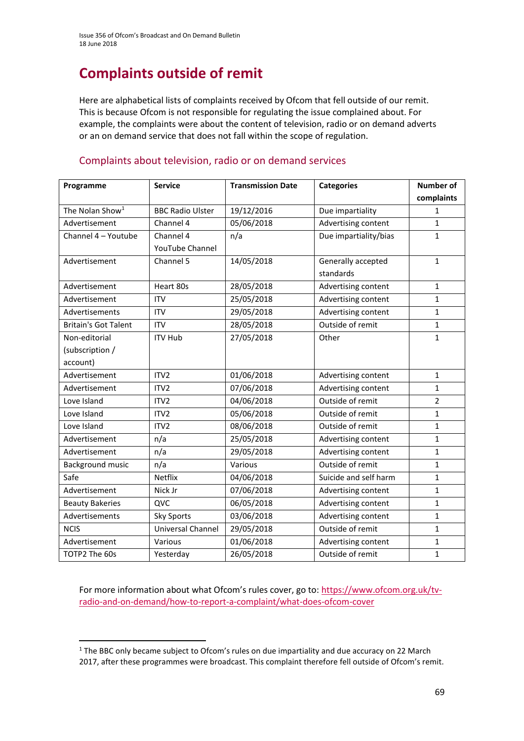# **Complaints outside of remit**

Here are alphabetical lists of complaints received by Ofcom that fell outside of our remit. This is because Ofcom is not responsible for regulating the issue complained about. For example, the complaints were about the content of television, radio or on demand adverts or an on demand service that does not fall within the scope of regulation.

| Programme                   | <b>Service</b>          | <b>Transmission Date</b> | <b>Categories</b>     | <b>Number of</b> |
|-----------------------------|-------------------------|--------------------------|-----------------------|------------------|
|                             |                         |                          |                       | complaints       |
| The Nolan Show <sup>1</sup> | <b>BBC Radio Ulster</b> | 19/12/2016               | Due impartiality      | 1                |
| Advertisement               | Channel 4               | 05/06/2018               | Advertising content   | 1                |
| Channel 4 - Youtube         | Channel 4               | n/a                      | Due impartiality/bias | $\mathbf{1}$     |
|                             | YouTube Channel         |                          |                       |                  |
| Advertisement               | Channel 5               | 14/05/2018               | Generally accepted    | $\mathbf{1}$     |
|                             |                         |                          | standards             |                  |
| Advertisement               | Heart 80s               | 28/05/2018               | Advertising content   | $\mathbf 1$      |
| Advertisement               | <b>ITV</b>              | 25/05/2018               | Advertising content   | 1                |
| Advertisements              | <b>ITV</b>              | 29/05/2018               | Advertising content   | 1                |
| <b>Britain's Got Talent</b> | <b>ITV</b>              | 28/05/2018               | Outside of remit      | 1                |
| Non-editorial               | <b>ITV Hub</b>          | 27/05/2018               | Other                 | 1                |
| (subscription /             |                         |                          |                       |                  |
| account)                    |                         |                          |                       |                  |
| Advertisement               | ITV <sub>2</sub>        | 01/06/2018               | Advertising content   | $\mathbf{1}$     |
| Advertisement               | ITV <sub>2</sub>        | 07/06/2018               | Advertising content   | 1                |
| Love Island                 | ITV <sub>2</sub>        | 04/06/2018               | Outside of remit      | 2                |
| Love Island                 | ITV <sub>2</sub>        | 05/06/2018               | Outside of remit      | 1                |
| Love Island                 | ITV <sub>2</sub>        | 08/06/2018               | Outside of remit      | 1                |
| Advertisement               | n/a                     | 25/05/2018               | Advertising content   | 1                |
| Advertisement               | n/a                     | 29/05/2018               | Advertising content   | 1                |
| Background music            | n/a                     | Various                  | Outside of remit      | 1                |
| Safe                        | <b>Netflix</b>          | 04/06/2018               | Suicide and self harm | 1                |
| Advertisement               | Nick Jr                 | 07/06/2018               | Advertising content   | 1                |
| <b>Beauty Bakeries</b>      | QVC                     | 06/05/2018               | Advertising content   | 1                |
| Advertisements              | <b>Sky Sports</b>       | 03/06/2018               | Advertising content   | 1                |
| <b>NCIS</b>                 | Universal Channel       | 29/05/2018               | Outside of remit      | 1                |
| Advertisement               | Various                 | 01/06/2018               | Advertising content   | 1                |
| TOTP2 The 60s               | Yesterday               | 26/05/2018               | Outside of remit      | 1                |

#### Complaints about television, radio or on demand services

For more information about what Ofcom's rules cover, go to: [https://www.ofcom.org.uk/tv](https://www.ofcom.org.uk/tv-radio-and-on-demand/how-to-report-a-complaint/what-does-ofcom-cover)[radio-and-on-demand/how-to-report-a-complaint/what-does-ofcom-cover](https://www.ofcom.org.uk/tv-radio-and-on-demand/how-to-report-a-complaint/what-does-ofcom-cover)

**.** 

 $1$  The BBC only became subject to Ofcom's rules on due impartiality and due accuracy on 22 March 2017, after these programmes were broadcast. This complaint therefore fell outside of Ofcom's remit.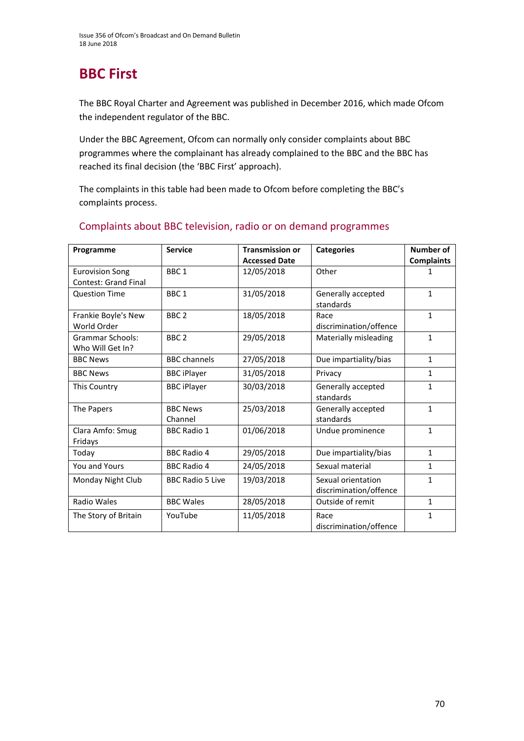# **BBC First**

The BBC Royal Charter and Agreement was published in December 2016, which made Ofcom the independent regulator of the BBC.

Under the BBC Agreement, Ofcom can normally only consider complaints about BBC programmes where the complainant has already complained to the BBC and the BBC has reached its final decision (the 'BBC First' approach).

The complaints in this table had been made to Ofcom before completing the BBC's complaints process.

| Programme                   | <b>Service</b>          | <b>Transmission or</b> | <b>Categories</b>      | Number of         |
|-----------------------------|-------------------------|------------------------|------------------------|-------------------|
|                             |                         | <b>Accessed Date</b>   |                        | <b>Complaints</b> |
| <b>Eurovision Song</b>      | BBC <sub>1</sub>        | 12/05/2018             | Other                  |                   |
| <b>Contest: Grand Final</b> |                         |                        |                        |                   |
| <b>Question Time</b>        | BBC <sub>1</sub>        | 31/05/2018             | Generally accepted     | 1                 |
|                             |                         |                        | standards              |                   |
| Frankie Boyle's New         | BBC <sub>2</sub>        | 18/05/2018             | Race                   | $\mathbf{1}$      |
| World Order                 |                         |                        | discrimination/offence |                   |
| <b>Grammar Schools:</b>     | BBC <sub>2</sub>        | 29/05/2018             | Materially misleading  | $\mathbf{1}$      |
| Who Will Get In?            |                         |                        |                        |                   |
| <b>BBC News</b>             | <b>BBC</b> channels     | 27/05/2018             | Due impartiality/bias  | $\mathbf{1}$      |
| <b>BBC News</b>             | <b>BBC iPlayer</b>      | 31/05/2018             | Privacy                | $\mathbf{1}$      |
| <b>This Country</b>         | <b>BBC iPlayer</b>      | 30/03/2018             | Generally accepted     | $\mathbf{1}$      |
|                             |                         |                        | standards              |                   |
| The Papers                  | <b>BBC News</b>         | 25/03/2018             | Generally accepted     | $\mathbf{1}$      |
|                             | Channel                 |                        | standards              |                   |
| Clara Amfo: Smug            | <b>BBC Radio 1</b>      | 01/06/2018             | Undue prominence       | $\mathbf{1}$      |
| Fridays                     |                         |                        |                        |                   |
| Today                       | <b>BBC Radio 4</b>      | 29/05/2018             | Due impartiality/bias  | $\mathbf{1}$      |
| You and Yours               | <b>BBC Radio 4</b>      | 24/05/2018             | Sexual material        | $\mathbf{1}$      |
| Monday Night Club           | <b>BBC Radio 5 Live</b> | 19/03/2018             | Sexual orientation     | $\mathbf{1}$      |
|                             |                         |                        | discrimination/offence |                   |
| Radio Wales                 | <b>BBC Wales</b>        | 28/05/2018             | Outside of remit       | $\mathbf{1}$      |
| The Story of Britain        | YouTube                 | 11/05/2018             | Race                   | 1                 |
|                             |                         |                        | discrimination/offence |                   |

#### Complaints about BBC television, radio or on demand programmes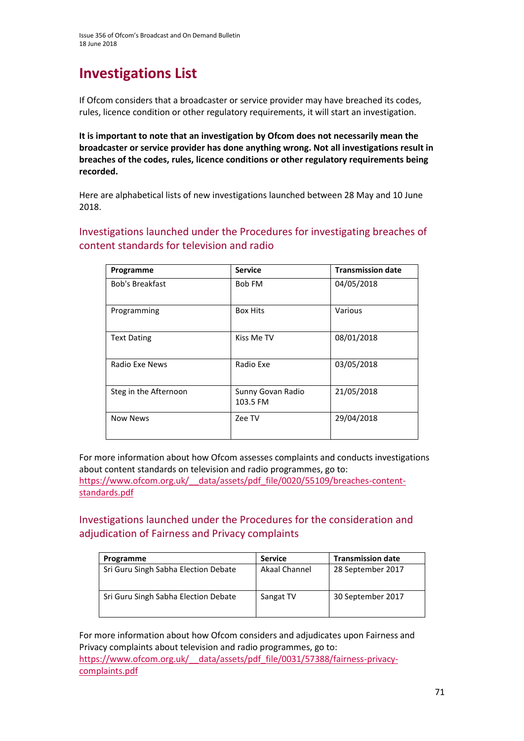# **Investigations List**

If Ofcom considers that a broadcaster or service provider may have breached its codes, rules, licence condition or other regulatory requirements, it will start an investigation.

**It is important to note that an investigation by Ofcom does not necessarily mean the broadcaster or service provider has done anything wrong. Not all investigations result in breaches of the codes, rules, licence conditions or other regulatory requirements being recorded.**

Here are alphabetical lists of new investigations launched between 28 May and 10 June 2018.

Investigations launched under the Procedures for investigating breaches of content standards for television and radio

| Programme              | <b>Service</b>                | <b>Transmission date</b> |
|------------------------|-------------------------------|--------------------------|
| <b>Bob's Breakfast</b> | Bob FM                        | 04/05/2018               |
| Programming            | <b>Box Hits</b>               | Various                  |
| <b>Text Dating</b>     | Kiss Me TV                    | 08/01/2018               |
| Radio Exe News         | Radio Exe                     | 03/05/2018               |
| Steg in the Afternoon  | Sunny Govan Radio<br>103.5 FM | 21/05/2018               |
| <b>Now News</b>        | Zee TV                        | 29/04/2018               |

For more information about how Ofcom assesses complaints and conducts investigations about content standards on television and radio programmes, go to: [https://www.ofcom.org.uk/\\_\\_data/assets/pdf\\_file/0020/55109/breaches-content](https://www.ofcom.org.uk/__data/assets/pdf_file/0020/55109/breaches-content-standards.pdf)[standards.pdf](https://www.ofcom.org.uk/__data/assets/pdf_file/0020/55109/breaches-content-standards.pdf)

Investigations launched under the Procedures for the consideration and adjudication of Fairness and Privacy complaints

| Programme                            | <b>Service</b> | <b>Transmission date</b> |
|--------------------------------------|----------------|--------------------------|
| Sri Guru Singh Sabha Election Debate | Akaal Channel  | 28 September 2017        |
| Sri Guru Singh Sabha Election Debate | Sangat TV      | 30 September 2017        |

For more information about how Ofcom considers and adjudicates upon Fairness and Privacy complaints about television and radio programmes, go to: [https://www.ofcom.org.uk/\\_\\_data/assets/pdf\\_file/0031/57388/fairness-privacy](https://www.ofcom.org.uk/__data/assets/pdf_file/0031/57388/fairness-privacy-complaints.pdf)[complaints.pdf](https://www.ofcom.org.uk/__data/assets/pdf_file/0031/57388/fairness-privacy-complaints.pdf)